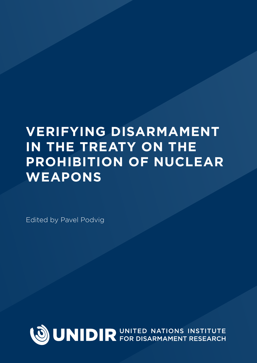# **VERIFYING DISARMAMENT IN THE TREATY ON THE PROHIBITION OF NUCLEAR WEAPONS**

Edited by Pavel Podvig

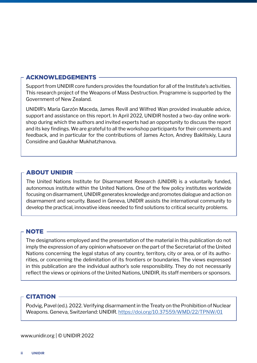#### ACKNOWLEDGEMENTS

Support from UNIDIR core funders provides the foundation for all of the Institute's activities. This research project of the Weapons of Mass Destruction. Programme is supported by the Government of New Zealand.

UNIDIR's María Garzón Maceda, James Revill and Wilfred Wan provided invaluable advice, support and assistance on this report. In April 2022, UNIDIR hosted a two-day online workshop during which the authors and invited experts had an opportunity to discuss the report and its key findings. We are grateful to all the workshop participants for their comments and feedback, and in particular for the contributions of James Acton, Andrey Baklitskiy, Laura Considine and Gaukhar Mukhatzhanova.

#### ABOUT UNIDIR

The United Nations Institute for Disarmament Research (UNIDIR) is a voluntarily funded, autonomous institute within the United Nations. One of the few policy institutes worldwide focusing on disarmament, UNIDIR generates knowledge and promotes dialogue and action on disarmament and security. Based in Geneva, UNIDIR assists the international community to develop the practical, innovative ideas needed to find solutions to critical security problems.

#### NOTE

The designations employed and the presentation of the material in this publication do not imply the expression of any opinion whatsoever on the part of the Secretariat of the United Nations concerning the legal status of any country, territory, city or area, or of its authorities, or concerning the delimitation of its frontiers or boundaries. The views expressed in this publication are the individual author's sole responsibility. They do not necessarily reflect the views or opinions of the United Nations, UNIDIR, its staff members or sponsors.

#### CITATION

Podvig, Pavel (ed.). 2022. Verifying disarmament in the Treaty on the Prohibition of Nuclear Weapons. Geneva, Switzerland: UNIDIR. https://doi.org/10.37559/WMD/22/TPNW/01

[www.unidir.org | © UNIDIR 2](www.unidir.org)022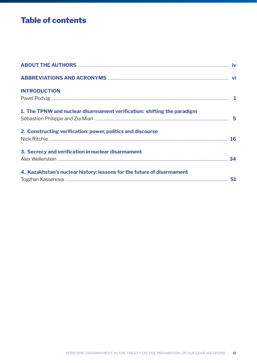# **Table of contents**

| <b>INTRODUCTION</b>                                                     |  |
|-------------------------------------------------------------------------|--|
| 1. The TPNW and nuclear disarmament verification: shifting the paradigm |  |
| 2. Constructing verification: power, politics and discourse             |  |
| 3. Secrecy and verification in nuclear disarmament                      |  |
| 4. Kazakhstan's nuclear history: lessons for the future of disarmament  |  |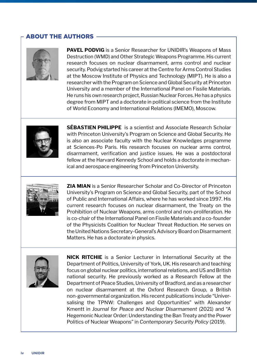### ABOUT THE AUTHORS



**PAVEL PODVIG** is a Senior Researcher for UNIDIR's Weapons of Mass Destruction (WMD) and Other Strategic Weapons Programme. His current research focuses on nuclear disarmament, arms control and nuclear security. Podvig started his career at the Centre for Arms Control Studies at the Moscow Institute of Physics and Technology (MIPT). He is also a researcher with the Program on Science and Global Security at Princeton University and a member of the International Panel on Fissile Materials. He runs his own research project, Russian Nuclear Forces. He has a physics degree from MIPT and a doctorate in political science from the Institute of World Economy and International Relations (IMEMO), Moscow.



**SÉBASTIEN PHILIPPE** is a scientist and Associate Research Scholar with Princeton University's Program on Science and Global Security. He is also an associate faculty with the Nuclear Knowledges programme at Sciences-Po Paris. His research focuses on nuclear arms control, disarmament, verification and justice issues. He was a postdoctoral fellow at the Harvard Kennedy School and holds a doctorate in mechanical and aerospace engineering from Princeton University.



**ZIA MIAN** is a Senior Researcher Scholar and Co-Director of Princeton University's Program on Science and Global Security, part of the School of Public and International Affairs, where he has worked since 1997. His current research focuses on nuclear disarmament, the Treaty on the Prohibition of Nuclear Weapons, arms control and non-proliferation. He is co-chair of the International Panel on Fissile Materials and a co-founder of the Physicists Coalition for Nuclear Threat Reduction. He serves on the United Nations Secretary-General's Advisory Board on Disarmament Matters. He has a doctorate in physics.



**NICK RITCHIE** is a Senior Lecturer in International Security at the Department of Politics, University of York, UK. His research and teaching focus on global nuclear politics, international relations, and US and British national security. He previously worked as a Research Fellow at the Department of Peace Studies, University of Bradford, and as a researcher on nuclear disarmament at the Oxford Research Group, a British non-governmental organization. His recent publications include "Universalising the TPNW: Challenges and Opportunities" with Alexander Kmentt in *Journal for Peace and Nuclear Disarmament* (2021) and "A Hegemonic Nuclear Order: Understanding the Ban Treaty and the Power Politics of Nuclear Weapons" in *Contemporary Security Policy* (2019).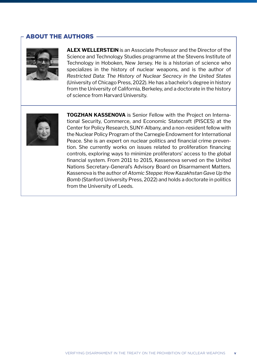#### ABOUT THE AUTHORS



**ALEX WELLERSTEIN** is an Associate Professor and the Director of the Science and Technology Studies programme at the Stevens Institute of Technology in Hoboken, New Jersey. He is a historian of science who specializes in the history of nuclear weapons, and is the author of *Restricted Data: The History of Nuclear Secrecy in the United States*  (University of Chicago Press, 2022). He has a bachelor's degree in history from the University of California, Berkeley, and a doctorate in the history of science from Harvard University.



**TOGZHAN KASSENOVA** is Senior Fellow with the Project on International Security, Commerce, and Economic Statecraft (PISCES) at the Center for Policy Research, SUNY-Albany, and a non-resident fellow with the Nuclear Policy Program of the Carnegie Endowment for International Peace. She is an expert on nuclear politics and financial crime prevention. She currently works on issues related to proliferation financing controls, exploring ways to minimize proliferators' access to the global financial system. From 2011 to 2015, Kassenova served on the United Nations Secretary-General's Advisory Board on Disarmament Matters. Kassenova is the author of *Atomic Steppe: How Kazakhstan Gave Up the Bomb* (Stanford University Press, 2022) and holds a doctorate in politics from the University of Leeds.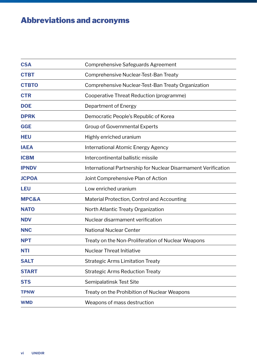# Abbreviations and acronyms

| <b>CSA</b>       | Comprehensive Safeguards Agreement                             |
|------------------|----------------------------------------------------------------|
| <b>CTBT</b>      | Comprehensive Nuclear-Test-Ban Treaty                          |
| <b>CTBTO</b>     | Comprehensive Nuclear-Test-Ban Treaty Organization             |
| <b>CTR</b>       | Cooperative Threat Reduction (programme)                       |
| <b>DOE</b>       | Department of Energy                                           |
| <b>DPRK</b>      | Democratic People's Republic of Korea                          |
| <b>GGE</b>       | <b>Group of Governmental Experts</b>                           |
| <b>HEU</b>       | Highly enriched uranium                                        |
| <b>IAEA</b>      | <b>International Atomic Energy Agency</b>                      |
| <b>ICBM</b>      | Intercontinental ballistic missile                             |
| <b>IPNDV</b>     | International Partnership for Nuclear Disarmament Verification |
| <b>JCPOA</b>     | Joint Comprehensive Plan of Action                             |
| <b>LEU</b>       | Low enriched uranium                                           |
| <b>MPC&amp;A</b> | Material Protection, Control and Accounting                    |
| <b>NATO</b>      | North Atlantic Treaty Organization                             |
| <b>NDV</b>       | Nuclear disarmament verification                               |
| <b>NNC</b>       | <b>National Nuclear Center</b>                                 |
| <b>NPT</b>       | Treaty on the Non-Proliferation of Nuclear Weapons             |
| <b>NTI</b>       | <b>Nuclear Threat Initiative</b>                               |
| <b>SALT</b>      | <b>Strategic Arms Limitation Treaty</b>                        |
| <b>START</b>     | <b>Strategic Arms Reduction Treaty</b>                         |
| <b>STS</b>       | Semipalatinsk Test Site                                        |
| <b>TPNW</b>      | Treaty on the Prohibition of Nuclear Weapons                   |
| <b>WMD</b>       | Weapons of mass destruction                                    |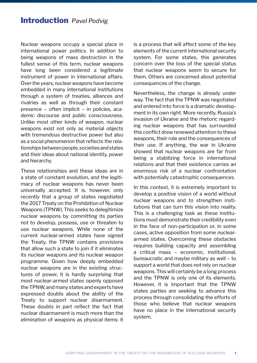Nuclear weapons occupy a special place in international power politics. In addition to being weapons of mass destruction in the fullest sense of this term, nuclear weapons have long been considered a legitimate instrument of power in international affairs. Over the years, nuclear weapons have become embedded in many international institutions through a system of treaties, alliances and rivalries as well as through their constant presence – often implicit – in policies, academic discourse and public consciousness. Unlike most other kinds of weapon, nuclear weapons exist not only as material objects with tremendous destructive power but also as a social phenomenon that reflects the relationships between people, societies and states and their ideas about national identity, power and hierarchy.

These relationships and these ideas are in a state of constant evolution, and the legitimacy of nuclear weapons has never been universally accepted. It is, however, only recently that a group of states negotiated the 2017 Treaty on the Prohibition of Nuclear Weapons (TPNW). This seeks to delegitimize nuclear weapons by committing its parties not to develop, possess, use or threaten to use nuclear weapons. While none of the current nuclear-armed states have signed the Treaty, the TPNW contains provisions that allow such a state to join if it eliminates its nuclear weapons and its nuclear weapon programme. Given how deeply embedded nuclear weapons are in the existing structures of power, it is hardly surprising that most nuclear-armed states openly opposed the TPNW, and many states and experts have expressed doubts about the ability of the Treaty to support nuclear disarmament. These doubts in part reflect the fact that nuclear disarmament is much more than the elimination of weapons as physical items: it is a process that will affect some of the key elements of the current international security system. For some states, this generates concern over the loss of the special status that nuclear weapons seem to secure for them. Others are concerned about potential consequences of the change.

Nevertheless, the change is already under way. The fact that the TPNW was negotiated and entered into force is a dramatic development in its own right. More recently, Russia's invasion of Ukraine and the rhetoric regarding nuclear weapons that has surrounded this conflict drew renewed attention to these weapons, their role and the consequences of their use. If anything, the war in Ukraine showed that nuclear weapons are far from being a stabilizing force in international relations and that their existence carries an enormous risk of a nuclear confrontation with potentially catastrophic consequences.

In this context, it is extremely important to develop a positive vision of a world without nuclear weapons and to strengthen institutions that can turn this vision into reality. This is a challenging task as these institutions must demonstrate their credibility even in the face of non-participation or, in some cases, active opposition from some nucleararmed states. Overcoming these obstacles requires building capacity and assembling a critical mass – economic, institutional, bureaucratic and maybe military as well – to support a world that does not rely on nuclear weapons. This will certainly be a long process and the TPNW is only one of its elements. However, it is important that the TPNW states parties are seeking to advance this process through consolidating the efforts of those who believe that nuclear weapons have no place in the international security system.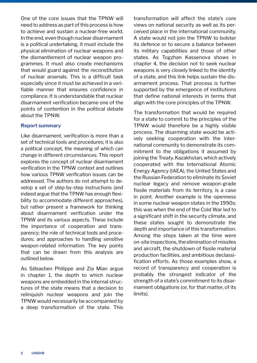One of the core issues that the TPNW will need to address as part of this process is how to achieve and sustain a nuclear-free world. In the end, even though nuclear disarmament is a political undertaking, it must include the physical elimination of nuclear weapons and the dismantlement of nuclear weapon programmes. It must also create mechanisms that would guard against the reconstitution of nuclear arsenals. This is a difficult task especially since it must be achieved in a verifiable manner that ensures confidence in compliance. It is understandable that nuclear disarmament verification became one of the points of contention in the political debate about the TPNW.

#### **Report summary**

Like disarmament, verification is more than a set of technical tools and procedures; it is also a political concept, the meaning of which can change in different circumstances. This report explores the concept of nuclear disarmament verification in the TPNW context and outlines how various TPNW verification issues can be addressed. The authors do not attempt to develop a set of step-by-step instructions (and indeed argue that the TPNW has enough flexibility to accommodate different approaches), but rather present a framework for thinking about disarmament verification under the TPNW and its various aspects. These include the importance of cooperation and transparency; the role of technical tools and procedures; and approaches to handling sensitive weapon-related information. The key points that can be drawn from this analysis are outlined below.

As Sébastien Philippe and Zia Mian argue in chapter 1, the depth to which nuclear weapons are embedded in the internal structures of the state means that a decision to relinquish nuclear weapons and join the TPNW would necessarily be accompanied by a deep transformation of the state. This

transformation will affect the state's core views on national security as well as its perceived place in the international community. A state would not join the TPNW to bolster its defence or to secure a balance between its military capabilities and those of other states. As Togzhan Kassenova shows in chapter 4, the decision not to seek nuclear weapons is very closely linked to the identity of a state, and this link helps sustain the disarmament process. That process is further supported by the emergence of institutions that define national interests in terms that align with the core principles of the TPNW.

The transformation that would be required for a state to commit to the principles of the TPNW would therefore be a highly visible process. The disarming state would be actively seeking cooperation with the international community to demonstrate its commitment to the obligations it assumed by joining the Treaty. Kazakhstan, which actively cooperated with the International Atomic Energy Agency (IAEA), the United States and the Russian Federation to eliminate its Soviet nuclear legacy and remove weapon-grade fissile materials from its territory, is a case in point. Another example is the openness in some nuclear weapon states in the 1990s; this was when the end of the Cold War led to a significant shift in the security climate, and these states sought to demonstrate the depth and importance of this transformation. Among the steps taken at the time were on-site inspections, the elimination of missiles and aircraft, the shutdown of fissile material production facilities, and ambitious declassification efforts. As those examples show, a record of transparency and cooperation is probably the strongest indicator of the strength of a state's commitment to its disarmament obligations (or, for that matter, of its limits).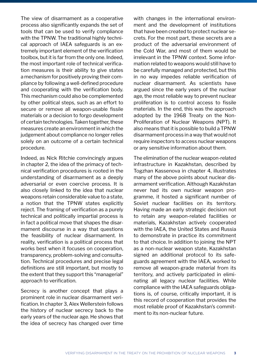The view of disarmament as a cooperative process also significantly expands the set of tools that can be used to verify compliance with the TPNW. The traditional highly technical approach of IAEA safeguards is an extremely important element of the verification toolbox, but it is far from the only one. Indeed, the most important role of technical verification measures is their ability to give states a mechanism for positively proving their compliance by following a well-defined procedure and cooperating with the verification body. This mechanism could also be complemented by other political steps, such as an effort to secure or remove all weapon-usable fissile materials or a decision to forgo development of certain technologies. Taken together, these measures create an environment in which the judgement about compliance no longer relies solely on an outcome of a certain technical procedure.

Indeed, as Nick Ritchie convincingly argues in chapter 2, the idea of the primacy of technical verification procedures is rooted in the understanding of disarmament as a deeply adversarial or even coercive process. It is also closely linked to the idea that nuclear weapons retain considerable value to a state, a notion that the TPNW states explicitly reject. The framing of verification as a purely technical and politically impartial process is in fact a political move that shapes the disarmament discourse in a way that questions the feasibility of nuclear disarmament. In reality, verification is a political process that works best when it focuses on cooperation, transparency, problem-solving and consultation. Technical procedures and precise legal definitions are still important, but mostly to the extent that they support this "managerial" approach to verification.

Secrecy is another concept that plays a prominent role in nuclear disarmament verification. In chapter 3, Alex Wellerstein follows the history of nuclear secrecy back to the early years of the nuclear age. He shows that the idea of secrecy has changed over time

with changes in the international environment and the development of institutions that have been created to protect nuclear secrets. For the most part, these secrets are a product of the adversarial environment of the Cold War, and most of them would be irrelevant in the TPNW context. Some information related to weapons would still have to be carefully managed and protected, but this in no way impedes reliable verification of nuclear disarmament. As scientists have argued since the early years of the nuclear age, the most reliable way to prevent nuclear proliferation is to control access to fissile materials. In the end, this was the approach adopted by the 1968 Treaty on the Non-Proliferation of Nuclear Weapons (NPT). It also means that it is possible to build a TPNW disarmament process in a way that would not require inspectors to access nuclear weapons or any sensitive information about them.

The elimination of the nuclear weapon-related infrastructure in Kazakhstan, described by Togzhan Kassenova in chapter 4, illustrates many of the above points about nuclear disarmament verification. Although Kazakhstan never had its own nuclear weapon programme, it hosted a significant number of Soviet nuclear facilities on its territory. Having made an early strategic decision not to retain any weapon-related facilities or materials, Kazakhstan actively cooperated with the IAEA, the United States and Russia to demonstrate in practice its commitment to that choice. In addition to joining the NPT as a non-nuclear weapon state, Kazakhstan signed an additional protocol to its safeguards agreement with the IAEA, worked to remove all weapon-grade material from its territory, and actively participated in eliminating all legacy nuclear facilities. While compliance with the IAEA safeguards obligations is, of course, critically important, it is this record of cooperation that provides the most reliable proof of Kazakhstan's commitment to its non-nuclear future.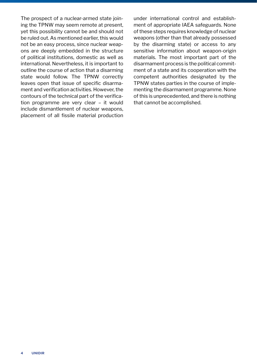The prospect of a nuclear-armed state joining the TPNW may seem remote at present, yet this possibility cannot be and should not be ruled out. As mentioned earlier, this would not be an easy process, since nuclear weapons are deeply embedded in the structure of political institutions, domestic as well as international. Nevertheless, it is important to outline the course of action that a disarming state would follow. The TPNW correctly leaves open that issue of specific disarmament and verification activities. However, the contours of the technical part of the verification programme are very clear – it would include dismantlement of nuclear weapons, placement of all fissile material production under international control and establishment of appropriate IAEA safeguards. None of these steps requires knowledge of nuclear weapons (other than that already possessed by the disarming state) or access to any sensitive information about weapon-origin materials. The most important part of the disarmament process is the political commitment of a state and its cooperation with the competent authorities designated by the TPNW states parties in the course of implementing the disarmament programme. None of this is unprecedented, and there is nothing that cannot be accomplished.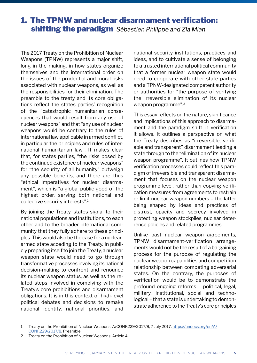# 1. The TPNW and nuclear disarmament verification: shifting the paradigm *Sébastien Philippe and Zia Mian*

The 2017 Treaty on the Prohibition of Nuclear Weapons (TPNW) represents a major shift, long in the making, in how states organize themselves and the international order on the issues of the prudential and moral risks associated with nuclear weapons, as well as the responsibilities for their elimination. The preamble to the treaty and its core obligations reflect the states parties' recognition of the "catastrophic humanitarian consequences that would result from any use of nuclear weapons" and that "any use of nuclear weapons would be contrary to the rules of international law applicable in armed conflict, in particular the principles and rules of international humanitarian law". It makes clear that, for states parties, "the risks posed by the continued existence of nuclear weapons" for "the security of all humanity" outweigh any possible benefits, and there are thus "ethical imperatives for nuclear disarmament", which is "a global public good of the highest order, serving both national and collective security interests".1

By joining the Treaty, states signal to their national populations and institutions, to each other and to the broader international community that they fully adhere to these principles. This would also be the case for a nucleararmed state acceding to the Treaty. In publicly preparing itself to join the Treaty, a nuclear weapon state would need to go through transformative processes involving its national decision-making to confront and renounce its nuclear weapon status, as well as the related steps involved in complying with the Treaty's core prohibitions and disarmament obligations. It is in this context of high-level political debates and decisions to remake national identity, national priorities, and national security institutions, practices and ideas, and to cultivate a sense of belonging to a trusted international political community that a former nuclear weapon state would need to cooperate with other state parties and a TPNW-designated competent authority or authorities for "the purpose of verifying the irreversible elimination of its nuclear weapon programme".2

This essay reflects on the nature, significance and implications of this approach to disarmament and the paradigm shift in verification it allows. It outlines a perspective on what the Treaty describes as "irreversible, verifiable and transparent" disarmament leading a state through to the "elimination of its nuclear weapon programme". It outlines how TPNW verification processes could reflect this paradigm of irreversible and transparent disarmament that focuses on the nuclear weapon programme level, rather than copying verification measures from agreements to restrain or limit nuclear weapon numbers – the latter being shaped by ideas and practices of distrust, opacity and secrecy involved in protecting weapon stockpiles, nuclear deterrence policies and related programmes.

Unlike past nuclear weapon agreements, TPNW disarmament-verification arrangements would not be the result of a bargaining process for the purpose of regulating the nuclear weapon capabilities and competition relationship between competing adversarial states. On the contrary, the purposes of verification would be to demonstrate the profound ongoing reforms – political, legal, military, institutional, social and technological – that a state is undertaking to demonstrate adherence to the Treaty's core principles

<sup>1</sup> Treaty on the Prohibition of Nuclear Weapons, A/CONF.229/2017/8, 7 July 2017, [https://undocs.org/en/A/](https://undocs.org/en/A/CONF.229/2017/8) [CONF.229/2017/8](https://undocs.org/en/A/CONF.229/2017/8), Preamble.

<sup>2</sup> Treaty on the Prohibition of Nuclear Weapons, Article 4.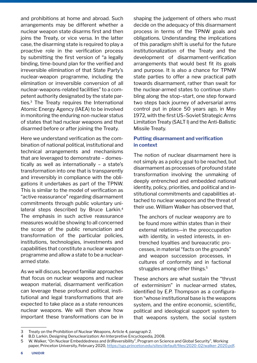and prohibitions at home and abroad. Such arrangements may be different whether a nuclear weapon state disarms first and then joins the Treaty, or vice versa. In the latter case, the disarming state is required to play a proactive role in the verification process by submitting the first version of "a legally binding, time-bound plan for the verified and irreversible elimination of that State Party's nuclear-weapon programme, including the elimination or irreversible conversion of all nuclear-weapons-related facilities" to a competent authority designated by the state parties.3 The Treaty requires the International Atomic Energy Agency (IAEA) to be involved in monitoring the enduring non-nuclear status of states that had nuclear weapons and that disarmed before or after joining the Treaty.

Here we understand verification as the combination of national political, institutional and technical arrangements and mechanisms that are leveraged to demonstrate – domestically as well as internationally – a state's transformation into one that is transparently and irreversibly in compliance with the obligations it undertakes as part of the TPNW. This is similar to the model of verification as "active reassurance" regarding disarmament commitments through public voluntary unilateral steps described by Bruce Larkin.<sup>4</sup> The emphasis in such active reassurance measures would be showing to all concerned the scope of the public renunciation and transformation of the particular policies, institutions, technologies, investments and capabilities that constitute a nuclear weapon programme and allow a state to be a nucleararmed state.

As we will discuss, beyond familiar approaches that focus on nuclear weapons and nuclear weapon material, disarmament verification can leverage these profound political, institutional and legal transformations that are expected to take place as a state renounces nuclear weapons. We will then show how important these transformations can be in

shaping the judgement of others who must decide on the adequacy of this disarmament process in terms of the TPNW goals and obligations. Understanding the implications of this paradigm shift is useful for the future institutionalization of the Treaty and the development of disarmament-verification arrangements that would best fit its goals and purpose. It is also a chance for TPNW state parties to offer a new practical path towards disarmament, rather than swait for the nuclear-armed states to continue stumbling along the stop–start, one step forward two steps back journey of adversarial arms control put in place 50 years ago, in May 1972, with the first US–Soviet Strategic Arms Limitation Treaty (SALT I) and the Anti-Ballistic Missile Treaty.

#### **Putting disarmament and verification in context**

The notion of nuclear disarmament here is not simply as a policy goal to be reached, but disarmament as processes of profound state transformation involving the unmaking of deeply entrenched and embedded national identity, policy, priorities, and political and institutional commitments and capabilities attached to nuclear weapons and the threat of their use. William Walker has observed that,

The anchors of nuclear weaponry are to be found more within states than in their external relations—in the preoccupation with identity, in vested interests, in entrenched loyalties and bureaucratic processes, in material "facts on the grounds" and weapon succession processes, in cultures of conformity and in factional struggles among other things.<sup>5</sup>

These anchors are what sustain the "thrust of exterminism" in nuclear-armed states, identified by E.P. Thompson as a configuration "whose institutional base is the weapons system, and the entire economic, scientific, political and ideological support system to that weapons system, the social system

<sup>3</sup> Treaty on the Prohibition of Nuclear Weapons, Article 4, paragraph 2.

<sup>4</sup> B.D. Larkin, Designing Denuclearization: An Interpretive Encyclopedia, 2008.

<sup>5</sup> W. Walker, "On Nuclear Embeddedness and (Ir)Reversibility", Program on Science and Global Security", Working paper, Princeton University, February 2020, <https://sgs.princeton.edu/sites/default/files/2020-02/walker-2020.pdf>.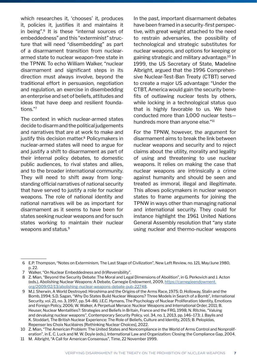which researches it, 'chooses' it, produces it, policies it, justifies it and maintains it in being".6 It is these "internal sources of embeddedness" and this "exterminist" structure that will need "disembedding" as part of a disarmament transition from nucleararmed state to nuclear weapon-free state in the TPNW. To echo William Walker, "nuclear disarmament and significant steps in its direction must always involve, beyond the traditional effort in persuasion, negotiation and regulation, an exercise in disembedding an enterprise and set of beliefs, attitudes and ideas that have deep and resilient foundations."7

The context in which nuclear-armed states decide to disarm and the political judgements and narratives that are at work to make and justify this decision matter.<sup>8</sup> Policymakers in nuclear-armed states will need to argue for and justify a shift to disarmament as part of their internal policy debates, to domestic public audiences, to rival states and allies, and to the broader international community. They will need to shift away from longstanding official narratives of national security that have served to justify a role for nuclear weapons. The role of national identity and national narratives will be as important for disarmament as it seems to have been for states seeking nuclear weapons and for such states working to maintain their nuclear weapons and status.<sup>9</sup>

In the past, important disarmament debates have been framed in a security-first perspective, with great weight attached to the need to restrain adversaries, the possibility of technological and strategic substitutes for nuclear weapons, and options for keeping or gaining strategic and military advantage.10 In 1999, the US Secretary of State, Madeline Albright, argued that the 1996 Comprehensive Nuclear-Test-Ban Treaty (CTBT) served to create a major US advantage: "Under the CTBT, America would gain the security benefits of outlawing nuclear tests by others, while locking in a technological status quo that is highly favorable to us. We have conducted more than 1,000 nuclear tests hundreds more than anyone else."11

For the TPNW, however, the argument for disarmament aims to break the link between nuclear weapons and security and to reject claims about the utility, morality and legality of using and threatening to use nuclear weapons. It relies on making the case that nuclear weapons are intrinsically a crime against humanity and should be seen and treated as immoral, illegal and illegitimate. This allows policymakers in nuclear weapon states to frame arguments for joining the TPNW in ways other than managing national and international security. They could for instance highlight the 1961 United Nations General Assembly resolution that "any state using nuclear and thermo-nuclear weapons

 <sup>6</sup> E.P. Thompson, "Notes on Exterminism, The Last Stage of Civilization", New Left Review, no. 121, May/June 1980, p. 22.

 <sup>7</sup> Walker, "On Nuclear Embeddedness and (Ir)Reversibility".

 <sup>8</sup> Z. Mian, "Beyond the Security Debate: The Moral and Legal Dimensions of Abolition", in G. Perkovich and J. Acton (eds.), Abolishing Nuclear Weapons: A Debate, Carnegie Endowment, 2009, [https://carnegieendowment.](https://carnegieendowment.org/2009/02/13/abolishing-nuclear-weapons-debate-pub-22748) [org/2009/02/13/abolishing-nuclear-weapons-debate-pub-22748](https://carnegieendowment.org/2009/02/13/abolishing-nuclear-weapons-debate-pub-22748).

 <sup>9</sup> M.J. Sherwin, A World Destroyed: Hiroshima and the Origins of the Arms Race, 1975; D. Holloway, Stalin and the Bomb, 1994; S.D. Sagan, "Why Do States Build Nuclear Weapons? Three Models in Search of a Bomb", International Security, vol. 21, no. 3, 1997, pp. 54–86; J.E.C. Hymans, The Psychology of Nuclear Proliferation: Identity, Emotions and Foreign Policy, 2006; W. Walker, A Perpetual Menace: Nuclear Weapons and International Order, 2011; B. Heuser, Nuclear Mentalities?: Strategies and Beliefs in Britain, France and the FRG, 1998; N. Ritchie, "Valuing and devaluing nuclear weapons", Contemporary Security Policy, vol. 34, no. 1, 2013, pp. 146–173; J. Baylis and K. Stoddart, The British Nuclear Experience: The Role of Beliefs, Culture and Identity, 2015; B. Pelopidas, Repenser les Choix Nucléaires [Rethinking Nuclear Choices], 2022.

<sup>10</sup> Z. Mian, "The American Problem: The United States and Noncompliance in the World of Arms Control and Nonproliferation", in E. C. Luck and M. W. Doyle (eds.), International Law and Organization: Closing the Compliance Gap, 2004.

<sup>11</sup> M. Albright, "A Call for American Consensus", Time, 22 November 1999.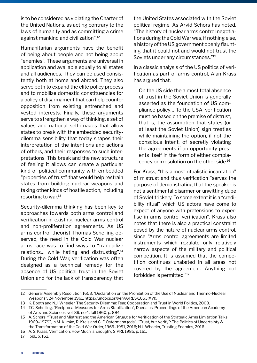is to be considered as violating the Charter of the United Nations, as acting contrary to the laws of humanity and as committing a crime against mankind and civilization".12

Humanitarian arguments have the benefit of being about people and not being about "enemies". These arguments are universal in application and available equally to all states and all audiences. They can be used consistently both at home and abroad. They also serve both to expand the elite policy process and to mobilize domestic constituencies for a policy of disarmament that can help counter opposition from existing entrenched and vested interests. Finally, these arguments serve to strengthen a way of thinking, a set of values and national self-images that allow states to break with the embedded securitydilemma sensibility that today shapes their interpretation of the intentions and actions of others, and their responses to such interpretations. This break and the new structure of feeling it allows can create a particular kind of political community with embedded "properties of trust" that would help restrain states from building nuclear weapons and taking other kinds of hostile action, including resorting to war.<sup>13</sup>

Security-dilemma thinking has been key to approaches towards both arms control and verification in existing nuclear arms control and non-proliferation agreements. As US arms control theorist Thomas Schelling observed, the need in the Cold War nuclear arms race was to find ways to "tranquilize relations… while hating and distrusting".14 During the Cold War, verification was often designed as a technical remedy for the absence of US political trust in the Soviet Union and for the lack of transparency that the United States associated with the Soviet political regime. As Arvid Schors has noted, "The history of nuclear arms control negotiations during the Cold War was, if nothing else, a history of the US government openly flaunting that it could not and would not trust the Soviets under any circumstances."15

In a classic analysis of the US politics of verification as part of arms control, Alan Krass has argued that,

On the US side the almost total absence of trust in the Soviet Union is generally asserted as the foundation of US compliance policy… To the USA, verification must be based on the premise of distrust, that is, the assumption that states (or at least the Soviet Union) sign treaties while maintaining the option, if not the conscious intent, of secretly violating the agreements if an opportunity presents itself in the form of either complacency or irresolution on the other side.<sup>16</sup>

For Krass, "this almost ritualistic incantation" of mistrust and thus verification "serves the purpose of demonstrating that the speaker is not a sentimental disarmer or unwitting dupe of Soviet trickery. To some extent it is a "credibility ritual" which US actors have come to expect of anyone with pretensions to expertise in arms control verification". Krass also notes that there is also a practical constraint posed by the nature of nuclear arms control, since "Arms control agreements are limited instruments which regulate only relatively narrow aspects of the military and political competition. It is assumed that the competition continues unabated in all areas not covered by the agreement. Anything not forbidden is permitted."17

16 A. S. Krass, Verification: How Much is Enough?, SIPRI, 1985, p. 161.

17 Ibid., p. 162.

<sup>12</sup> General Assembly Resolution 1653, "Declaration on the Prohibition of the Use of Nuclear and Thermo-Nuclear Weapons", 24 November 1961, https://undocs.org/en/A/RES/1653(XVI).

<sup>13</sup> K. Booth and N.J. Wheeler, The Security Dilemma: Fear, Cooperation and Trust in World Politics, 2008.

<sup>14</sup> T.C. Schelling, "Reciprocal Measures for Arms Stabilization", Daedalus: Proceedings of the American Academy of Arts and Sciences, vol. 89. no.4, fall 1960, p. 894.

<sup>15</sup> A. Schors, "Trust and Mistrust and the American Struggle for Verification of the Strategic Arms Limitation Talks, 1969–1979", in M. Klimke, R. Kreis and C. F. Ostermann (eds.), "Trust, but Verify": The Politics of Uncertainty & the Transformation of the Cold War Order, 1969–1991, 2016; N.J. Wheeler, Trusting Enemies, 2016.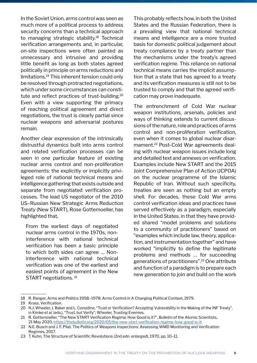In the Soviet Union, arms control was seen as much more of a political process to address security concerns than a technical approach to managing strategic stability.18 Technical verification arrangements and, in particular, on-site inspections were often painted as unnecessary and intrusive and providing little benefit as long as both states agreed politically in principle on arms reductions and limitations.19 This inherent tension could only be resolved through protracted negotiations, which under some circumstances can constitute and reflect practices of trust-building.20 Even with a view supporting the primacy of reaching political agreement and direct negotiations, the trust is clearly partial since nuclear weapons and adversarial postures remain.

Another clear expression of the intrinsically distrustful dynamics built into arms control and related verification processes can be seen in one particular feature of existing nuclear arms control and non-proliferation agreements: the explicitly or implicitly privileged role of national technical means and intelligence gathering that exists outside and separate from negotiated verification processes. The lead US negotiator of the 2010 US–Russian New Strategic Arms Reduction Treaty (New START), Rose Gottemoeller, has highlighted that,

From the earliest days of negotiated nuclear arms control in the 1970s, noninterference with national technical verification has been a basic principle to which both sides can agree … Noninterference with national technical verification was one of the earliest and easiest points of agreement in the New START negotiations. 21

This probably reflects how, in both the United States and the Russian Federation, there is a prevailing view that national technical means and intelligence are a more trusted basis for domestic political judgement about treaty compliance by a treaty partner than the mechanisms under the treaty's agreed verification regime. This reliance on national technical means carries the implicit assumption that a state that has agreed to a treaty and its verification measures is still not to be trusted to comply and that the agreed verification may prove inadequate.

The entrenchment of Cold War nuclear weapon institutions, arsenals, policies and ways of thinking extends to current discussions of the nature, role and practices of arms control and non-proliferation verification, even when it comes to global nuclear disarmament.22 Post-Cold War agreements dealing with nuclear weapon issues include long and detailed text and annexes on verification. Examples include New START and the 2015 Joint Comprehensive Plan of Action (JCPOA) on the nuclear programme of the Islamic Republic of Iran. Without such specificity, treaties are seen as nothing but an empty shell. For decades, these Cold War arms control verification ideas and practices have served effectively as a paradigm, especially in the United States, in that they have provided shared "model problems and solutions to a community of practitioners" based on "examples which include law, theory, application, and instrumentation together" and have worked "implicitly to define the legitimate problems and methods … for succeeding generations of practitioners".23 One attribute and function of a paradigm is to prepare each new generation to join and build on the work

<sup>18</sup> R. Ranger, Arms and Politics 1958–1978: Arms Control in A Changing Political Context, 1979.

<sup>19</sup> Krass, Verification.

<sup>20</sup> N.J. Wheeler, J. Baker and L. Considine, "Trust or Verification? Accepting Vulnerability in the Making of the INF Treaty", in Kimke et al. (eds.), "Trust, but Verify"; Wheeler, Trusting Enemies.

<sup>21</sup> R. Gottemoeller, "The New START Verification Regime: How Good is it?", Bulletin of the Atomic Scientists, 21 May 2020,<https://thebulletin.org/2020/05/the-new-start-verification-regime-how-good-is-it>.

<sup>22</sup> N.E. Busch and J. F. Pilat. The Politics of Weapons Inspections: Assessing WMD Monitoring and Verification Regimes, 2017.

<sup>23</sup> T. Kuhn, The Structure of Scientific Revolutions (2nd edn. enlarged), 1970, pp. 10–11.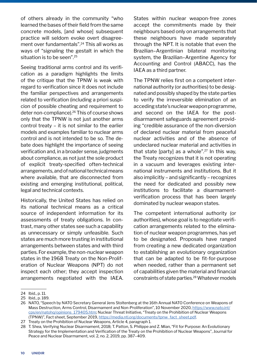of others already in the community "who learned the bases of their field from the same concrete models, [and whose] subsequent practice will seldom evoke overt disagreement over fundamentals".24 This all works as ways of "signaling the gestalt in which the situation is to be seen".<sup>25</sup>

Seeing traditional arms control and its verification as a paradigm highlights the limits of the critique that the TPNW is weak with regard to verification since it does not include the familiar perspectives and arrangements related to verification (including a priori suspicion of possible cheating and requirement to deter non-compliance).26 This of course shows only that the TPNW is not just another arms control treaty – it is not similar to the earlier models and examples familiar to nuclear arms control and is not intended to be so. The debate does highlight the importance of seeing verification and, in a broader sense, judgments about compliance, as not just the sole product of explicit treaty-specified often-technical arrangements, and of national technical means where available, that are disconnected from existing and emerging institutional, political, legal and technical contexts.

Historically, the United States has relied on its national technical means as a critical source of independent information for its assessments of treaty obligations. In contrast, many other states see such a capability as unnecessary or simply unfeasible. Such states are much more trusting in institutional arrangements between states and with third parties. For example, the non-nuclear weapon states in the 1968 Treaty on the Non-Proliferation of Nuclear Weapons (NPT) do not inspect each other; they accept inspection arrangements negotiated with the IAEA. States within nuclear weapon-free zones accept the commitments made by their neighbours based only on arrangements that these neighbours have made separately through the NPT. It is notable that even the Brazilian–Argentinian bilateral monitoring system, the Brazilian–Argentine Agency for Accounting and Control (ABACC), has the IAEA as a third partner.

The TPNW relies first on a competent international authority (or authorities) to be designated and possibly shaped by the state parties to verify the irreversible elimination of an acceding state's nuclear weapon programme, and second on the IAEA for the postdisarmament safeguards agreement providing "credible assurance of the non-diversion of declared nuclear material from peaceful nuclear activities and of the absence of undeclared nuclear material and activities in that state [party] as a whole".27 In this way, the Treaty recognizes that it is not operating in a vacuum and leverages existing international instruments and institutions. But it also implicitly – and significantly – recognizes the need for dedicated and possibly new institutions to facilitate a disarmamentverification process that has been largely dominated by nuclear weapon states.

The competent international authority (or authorities), whose goal is to negotiate verification arrangements related to the elimination of nuclear weapon programmes, has yet to be designated. Proposals have ranged from creating a new dedicated organization to establishing an evolutionary organization that can be adapted to be fit-for-purpose when needed, rather than a permanent set of capabilities given the material and financial constraints of state parties.<sup>28</sup> Whatever models

<sup>24</sup> Ibid., p. 11.

<sup>25</sup> Ibid., p. 189.

<sup>26</sup> NATO, "Speech by NATO Secretary General Jens Stoltenberg at the 16th Annual NATO Conference on Weapons of Mass Destruction, Arms Control, Disarmament and Non-Proliferation", 10 November 2020, [https://www.nato.int/](https://www.nato.int/cps/en/natohq/opinions_179405.htm) [cps/en/natohq/opinions\\_179405.htm;](https://www.nato.int/cps/en/natohq/opinions_179405.htm) Nuclear Threat Initiative, "Treaty on the Prohibition of Nuclear Weapons (TPNW)", Fact sheet, September 2019, [https://media.nti.org/documents/tpnw\\_fact\\_sheet.pdf](https://media.nti.org/documents/tpnw_fact_sheet.pdf).

<sup>27</sup> Treaty on the Prohibition of Nuclear Weapons, Article 4, paragraph 1.

<sup>28</sup> T. Shea, Verifying Nuclear Disarmament, 2018; T. Patton, S. Philippe and Z. Mian, "Fit for Purpose: An Evolutionary Strategy for the Implementation and Verification of the Treaty on the Prohibition of Nuclear Weapons", Journal for Peace and Nuclear Disarmament, vol. 2, no. 2, 2019, pp. 387–409.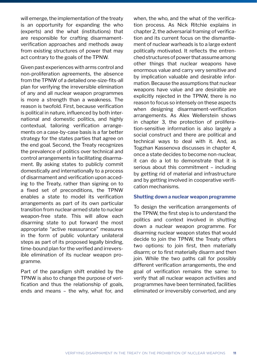will emerge, the implementation of the treaty is an opportunity for expanding the who (experts) and the what (institutions) that are responsible for crafting disarmamentverification approaches and methods away from existing structures of power that may act contrary to the goals of the TPNW.

Given past experiences with arms control and non-proliferation agreements, the absence from the TPNW of a detailed one-size-fits-all plan for verifying the irreversible elimination of any and all nuclear weapon programmes is more a strength than a weakness. The reason is twofold. First, because verification is political in nature, influenced by both international and domestic politics, and highly contextual, tailoring verification arrangements on a case-by-case basis is a far better strategy for the states parties that agree on the end goal. Second, the Treaty recognizes the prevalence of politics over technical and control arrangements in facilitating disarmament. By asking states to publicly commit domestically and internationally to a process of disarmament and verification upon acceding to the Treaty, rather than signing on to a fixed set of preconditions, the TPNW enables a state to model its verification arrangements as part of its own particular transition from nuclear-armed state to nuclear weapon-free state. This will allow each disarming state to put forward the most appropriate "active reassurance" measures in the form of public voluntary unilateral steps as part of its proposed legally binding, time-bound plan for the verified and irreversible elimination of its nuclear weapon programme.

Part of the paradigm shift enabled by the TPNW is also to change the purpose of verification and thus the relationship of goals, ends and means – the why, what for, and when, the who, and the what of the verification process. As Nick Ritchie explains in chapter 2, the adversarial framing of verification and its current focus on the dismantlement of nuclear warheads is to a large extent politically motivated. It reflects the entrenched structures of power that assume among other things that nuclear weapons have enormous value and carry very sensitive and by implication valuable and desirable information. Because the assumptions that nuclear weapons have value and are desirable are explicitly rejected in the TPNW, there is no reason to focus so intensely on these aspects when designing disarmament-verification arrangements. As Alex Wellerstein shows in chapter 3, the protection of proliferation-sensitive information is also largely a social construct and there are political and technical ways to deal with it. And, as Togzhan Kassenova discusses in chapter 4, once a state decides to become non-nuclear, it can do a lot to demonstrate that it is serious about this commitment – including by getting rid of material and infrastructure and by getting involved in cooperative verification mechanisms.

#### **Shutting down a nuclear weapon programme**

To design the verification arrangements of the TPNW, the first step is to understand the politics and context involved in shutting down a nuclear weapon programme. For disarming nuclear weapon states that would decide to join the TPNW, the Treaty offers two options: to join first, then materially disarm; or to first materially disarm and then join. While the two paths call for possibly different verification arrangements, the end goal of verification remains the same: to verify that all nuclear weapon activities and programmes have been terminated, facilities eliminated or irreversibly converted, and any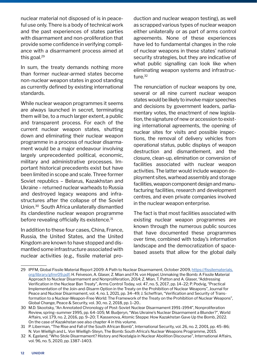nuclear material not disposed of is in peaceful use only. There is a body of technical work and the past experiences of states parties with disarmament and non-proliferation that provide some confidence in verifying compliance with a disarmament process aimed at this goal.<sup>29</sup>

In sum, the treaty demands nothing more than former nuclear-armed states become non-nuclear weapon states in good standing as currently defined by existing international standards.

While nuclear weapon programmes it seems are always launched in secret, terminating them will be, to a much larger extent, a public and transparent process. For each of the current nuclear weapon states, shutting down and eliminating their nuclear weapon programme in a process of nuclear disarmament would be a major endeavour involving largely unprecedented political, economic, military and administrative processes. Important historical precedents exist but have been limited in scope and scale. Three former Soviet republics – Belarus, Kazakhstan and Ukraine – returned nuclear warheads to Russia and destroyed legacy weapons and infrastructures after the collapse of the Soviet Union.30 South Africa unilaterally dismantled its clandestine nuclear weapon programme before revealing officially its existence.<sup>31</sup>

In addition to these four cases, China, France, Russia, the United States, and the United Kingdom are known to have stopped and dismantled some infrastructure associated with nuclear activities (e.g., fissile material production and nuclear weapon testing), as well as scrapped various types of nuclear weapon either unilaterally or as part of arms control agreements. None of these experiences have led to fundamental changes in the role of nuclear weapons in these states' national security strategies, but they are indicative of what public signalling can look like when eliminating weapon systems and infrastructure.<sup>32</sup>

The renunciation of nuclear weapons by one, several or all nine current nuclear weapon states would be likely to involve major speeches and decisions by government leaders, parliamentary votes, the enactment of new legislation, the signature of new or accession to existing international agreements, the opening of nuclear sites for visits and possible inspections, the removal of delivery vehicles from operational status, public displays of weapon destruction and dismantlement, and the closure, clean-up, elimination or conversion of facilities associated with nuclear weapon activities. The latter would include weapon deployment sites, warhead assembly and storage facilities, weapon component design and manufacturing facilities, research and development centres, and even private companies involved in the nuclear weapon enterprise.

The fact is that most facilities associated with existing nuclear weapon programmes are known through the numerous public sources that have documented these programmes over time, combined with today's information landscape and the democratization of spacebased assets that allow for the global daily

<sup>29</sup> IPFM, Global Fissile Material Report 2009: A Path to Nuclear Disarmament, October 2009, [https://fissilematerials.](https://fissilematerials.org/library/gfmr09.pdf) [org/library/gfmr09.pdf](https://fissilematerials.org/library/gfmr09.pdf); H. Feiveson, A. Glaser, Z. Mian and F.N. von Hippel, Unmaking the Bomb: A Fissile Material Approach to Nuclear Disarmament and Nonproliferation, 2014; Z. Mian, T. Patton and A. Glaser, "Addressing Verification in the Nuclear Ban Treaty", Arms Control Today, vol. 47, no. 5, 2017, pp. 14–22; P. Podvig, "Practical Implementation of the Join-and-Disarm Option in the Treaty on the Prohibition of Nuclear Weapons", Journal for Peace and Nuclear Disarmament, vol. 4, no. 1, 2021, pp. 34–49; J. Scheffran, "Verification and Security of Transformation to a Nuclear-Weapon-Free World: The Framework of the Treaty on the Prohibition of Nuclear Weapons", Global Change, Peace & Security, vol. 30, no. 2, 2018, pp. 1–20..

<sup>30</sup> M.D. Skootsky, "An Annotated Chronology of Post-Soviet Nuclear Disarmament 1991–1994", Nonproliferation Review, spring–summer 1995, pp. 64–105; M. Budjeryn, "Was Ukraine's Nuclear Disarmament a Blunder?", World Affairs, vol. 179, no. 2, 2016, pp. 9–20; T. Kassenova, Atomic Steppe: How Kazakhstan Gave Up the Bomb, 2022. On the case of Kazakhstan see also chapter 4 in this volume.

<sup>31</sup> P. Liberman, "The Rise and Fall of the South African Bomb", International Security, vol. 26, no. 2, 2001, pp. 45–86; N. Von Wielligh and L. Von Wielligh-Steyn, The Bomb: South Africa's Nuclear Weapons Programme, 2015.

<sup>32</sup> K. Egeland, "Who Stole Disarmament? History and Nostalgia in Nuclear Abolition Discourse", International Affairs, vol. 96, no. 5, 2020, pp. 1387–1403.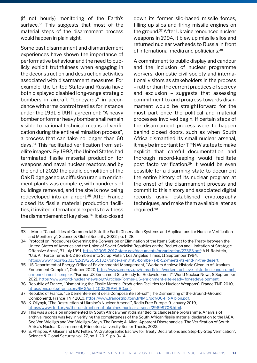(if not hourly) monitoring of the Earth's surface.<sup>33</sup> This suggests that most of the material steps of the disarmament process would happen in plain sight.

Some past disarmament and dismantlement experiences have shown the importance of performative behaviour and the need to publicly exhibit truthfulness when engaging in the deconstruction and destruction activities associated with disarmament measures. For example, the United States and Russia have both displayed disabled long-range strategic bombers in aircraft "boneyards" in accordance with arms control treaties for instance under the 1991 START agreement: "A heavy bomber or former heavy bomber shall remain visible to national technical means of verification during the entire elimination process", a process that can take no longer than 60 days.34 This facilitated verification from satellite imagery. By 1992, the United States had terminated fissile material production for weapons and naval nuclear reactors and by the end of 2020 the public demolition of the Oak Ridge gaseous diffusion uranium enrichment plants was complete, with hundreds of buildings removed, and the site is now being redeveloped into an airport.<sup>35</sup> After France closed its fissile material production facilities, it invited international experts to witness the dismantlement of key sites.<sup>36</sup> It also closed

down its former silo-based missile forces, filling up silos and firing missile engines on the ground.37 After Ukraine renounced nuclear weapons in 1994, it blew up missile silos and returned nuclear warheads to Russia in front of international media and politicians.<sup>38</sup>

A commitment to public display and candour and the inclusion of nuclear programme workers, domestic civil society and international visitors as stakeholders in the process – rather than the current practices of secrecy and exclusion – suggests that assessing commitment to and progress towards disarmament would be straightforward for the most part once the political and material processes involved begin. If certain steps of the disarmament process were to happen behind closed doors, such as when South Africa dismantled its small nuclear arsenal, it may be important for TPNW states to make explicit that careful documentation and thorough record-keeping would facilitate post facto verification.<sup>39</sup> It would be even possible for a disarming state to document the entire history of its nuclear program at the onset of the disarmament process and commit to this history and associated digital records using established cryptography techniques, and make them available later as required.<sup>40</sup>

<sup>33</sup> I. Moric, "Capabilities of Commercial Satellite Earth Observation Systems and Applications for Nuclear Verification and Monitoring", Science & Global Security, 2022, pp. 1–28.

<sup>34</sup> Protocol on Procedures Governing the Conversion or Elimination of the Items Subject to the Treaty between the United States of America and the Union of Soviet Socialist Republics on the Reduction and Limitation of Strategic Offensive Arms", 31 July 1991, <https://2009-2017.state.gov/documents/organization/27363.pdf>; A.H. Rotstein, "U.S. Air Force Turns B-52 Bombers into Scrap Metal", Los Angeles Times, 11 September 1994, <https://www.npr.org/2013/12/19/255551327/once-a-mighty-bomber-a-b-52-meets-its-end-in-the-desert>.

<sup>35</sup> US Department of Energy, Office of Environmental Management, "Workers Achieve Historic Cleanup of Uranium Enrichment Complex", October 2020, [https://www.energy.gov/em/articles/workers-achieve-historic-cleanup-urani](https://www.energy.gov/em/articles/workers-achieve-historic-cleanup-uranium-enrichment-complex)[um-enrichment-complex](https://www.energy.gov/em/articles/workers-achieve-historic-cleanup-uranium-enrichment-complex); "Former US Enrichment Site Ready for Redevelopment", World Nuclear News, 9 September 2021,<https://www.world-nuclear-news.org/Articles/Former-US-enrichment-site-ready-for-redevelopment>.

<sup>36</sup> Republic of France, "Dismantling the Fissile Material Production Facilities for Nuclear Weapons", France TNP 2010, [https://onu.delegfrance.org/IMG/pdf\\_100329PM\\_BD.pdf](https://onu.delegfrance.org/IMG/pdf_100329PM_BD.pdf).

<sup>37</sup> Republic of France, "Le Démentèlement de la Composante sol–sol" [The Dismantling of the Ground–Ground Component], France TNP 2010,<https://www.francetnp.gouv.fr/IMG/pdf/06-FR-Albion.pdf>.

<sup>38</sup> K. Oliynyk, "The Destruction of Ukraine's Nuclear Arsenal", Radio Free Europe, 9 January 2019, <https://www.rferl.org/a/the-destruction-of-ukraines-nuclear-arsenal/29699706.html>.

<sup>39</sup> This was a decision implemented by South Africa when it dismantled its clandestine programme. Analysis of archival records was key in verifying the completeness of the South African fissile material declaration to the IAEA. See Von Wielligh and Von Wielligh-Steyn, The Bomb; A. Allen, Apparent Discrepancies: The Verification of South Africa's Nuclear Disarmament, Princeton University Senior Thesis, 2022.

<sup>40</sup> S. Philippe, A. Glaser and E.W. Felten, "A Cryptographic Escrow for Treaty Declarations and Step-by-Step Verification", Science & Global Security, vol. 27, no. 1, 2019, pp. 3–14.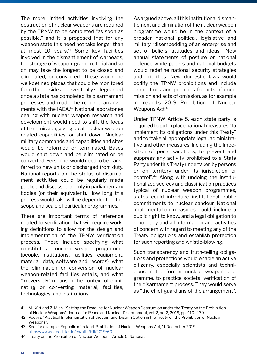The more limited activities involving the destruction of nuclear weapons are required by the TPNW to be completed "as soon as possible," and it is proposed that for any weapon state this need not take longer than at most 10 years.41 Some key facilities involved in the dismantlement of warheads, the storage of weapon-grade material and so on may take the longest to be closed and eliminated, or converted. These would be well-defined places that could be monitored from the outside and eventually safeguarded once a state has completed its disarmament processes and made the required arrangements with the IAEA.<sup>42</sup> National laboratories dealing with nuclear weapon research and development would need to shift the focus of their mission, giving up all nuclear weapon related capabilities, or shut down. Nuclear military commands and capabilities and sites would be reformed or terminated. Bases would shut down and be eliminated or be converted. Personnel would need to be transferred to new units or discharged from duty. National reports on the status of disarmament activities could be regularly made public and discussed openly in parliamentary bodies (or their equivalent). How long this process would take will be dependent on the scope and scale of particular programmes.

There are important terms of reference related to verification that will require working definitions to allow for the design and implementation of the TPNW verification process. These include specifying what constitutes a nuclear weapon programme (people, institutions, facilities, equipment, material, data, software and records), what the elimination or conversion of nuclear weapon-related facilities entails, and what "irreversibly" means in the context of eliminating or converting material, facilities, technologies, and institutions.

As argued above, all this institutional dismantlement and elimination of the nuclear weapon programme would be in the context of a broader national political, legislative and military "disembedding of an enterprise and set of beliefs, attitudes and ideas". New annual statements of posture or national defence white papers and national budgets would redefine national security strategies and priorities. New domestic laws would codify the TPNW prohibitions and include prohibitions and penalties for acts of commission and acts of omission, as for example in Ireland's 2019 Prohibition of Nuclear Weapons Act.<sup>43</sup>

Under TPNW Article 5, each state party is required to put in place national measures "to implement its obligations under this Treaty" and to "take all appropriate legal, administrative and other measures, including the imposition of penal sanctions, to prevent and suppress any activity prohibited to a State Party under this Treaty undertaken by persons or on territory under its jurisdiction or control".44 Along with undoing the institutionalized secrecy and classification practices typical of nuclear weapon programmes, states could introduce institutional public commitments to nuclear candour. National implementation measures could include a public right to know, and a legal obligation to report any and all information and activities of concern with regard to meeting any of the Treaty obligations and establish protection for such reporting and whistle-blowing.

Such transparency and truth-telling obligations and protections would enable an active citizenry, especially scientists and technicians in the former nuclear weapon programme, to practice societal verification of the disarmament process. They would serve as "the chief guardians of the arrangement",

<sup>41</sup> M. Kütt and Z. Mian, "Setting the Deadline for Nuclear Weapon Destruction under the Treaty on the Prohibition of Nuclear Weapons", Journal for Peace and Nuclear Disarmament, vol. 2, no. 2, 2019, pp. 410–430.

<sup>42</sup> Podvig, "Practical Implementation of the Join-and-Disarm Option in the Treaty on the Prohibition of Nuclear Weapons".

<sup>43</sup> See, for example, Republic of Ireland, Prohibition of Nuclear Weapons Act, 11 December 2019, <https://www.oireachtas.ie/en/bills/bill/2019/60>.

<sup>44</sup> Treaty on the Prohibition of Nuclear Weapons, Article 5: National.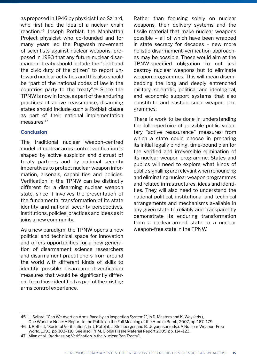as proposed in 1946 by physicist Leo Szilard, who first had the idea of a nuclear chain reaction.45 Joseph Rotblat, the Manhattan Project physicist who co-founded and for many years led the Pugwash movement of scientists against nuclear weapons, proposed in 1993 that any future nuclear disarmament treaty should include the "right and the civic duty of the citizen" to report untoward nuclear activities and this also should be "part of the national codes of law in the countries party to the treaty".46 Since the TPNW is now in force, as part of the enduring practices of active reassurance, disarming states should include such a Rotblat clause as part of their national implementation measures.<sup>47</sup>

#### **Conclusion**

The traditional nuclear weapon-centred model of nuclear arms control verification is shaped by active suspicion and distrust of treaty partners and by national security imperatives to protect nuclear weapon information, arsenals, capabilities and policies. Verification in the TPNW can be distinctly different for a disarming nuclear weapon state, since it involves the presentation of the fundamental transformation of its state identity and national security perspectives, institutions, policies, practices and ideas as it joins a new community.

As a new paradigm, the TPNW opens a new political and technical space for innovation and offers opportunities for a new generation of disarmament science researchers and disarmament practitioners from around the world with different kinds of skills to identify possible disarmament-verification measures that would be significantly different from those identified as part of the existing arms control experience.

Rather than focusing solely on nuclear weapons, their delivery systems and the fissile material that make nuclear weapons possible – all of which have been wrapped in state secrecy for decades – new more holistic disarmament-verification approaches may be possible. These would aim at the TPNW-specified obligation to not just destroy nuclear weapons but to eliminate weapon programmes. This will mean disembedding the long and deeply entrenched military, scientific, political and ideological, and economic support systems that also constitute and sustain such weapon programmes.

There is work to be done in understanding the full repertoire of possible public voluntary "active reassurance" measures from which a state could choose in preparing its initial legally binding, time-bound plan for the verified and irreversible elimination of its nuclear weapon programme. States and publics will need to explore what kinds of public signalling are relevant when renouncing and eliminating nuclear weapon programmes and related infrastructures, ideas and identities. They will also need to understand the national political, institutional and technical arrangements and mechanisms available in any given state to reliably and transparently demonstrate its enduring transformation from a nuclear-armed state to a nuclear weapon-free state in the TPNW.

<sup>45</sup> L. Szilard, "Can We Avert an Arms Race by an Inspection System?", in D. Masters and K. Way (eds.), One World or None: A Report to the Public on the Full Meaning of the Atomic Bomb, 2007, pp. 167–179.

<sup>46</sup> J. Rotblat, "Societal Verification", in J, Rotblat, J. Steinberger and B. Udgaonkar (eds.), A Nuclear-Weapon-Free World, 1993, pp. 103–118. See also IPFM, Global Fissile Material Report 2009, pp. 114–123.

<sup>47</sup> Mian et al., "Addressing Verification in the Nuclear Ban Treaty".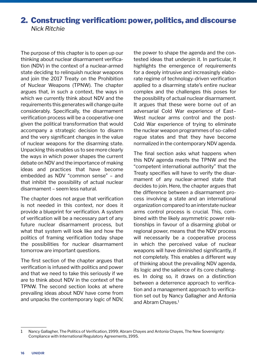# 2. Constructing verification: power, politics, and discourse *Nick Ritchie*

The purpose of this chapter is to open up our thinking about nuclear disarmament verification (NDV) in the context of a nuclear-armed state deciding to relinquish nuclear weapons and join the 2017 Treaty on the Prohibition of Nuclear Weapons (TPNW). The chapter argues that, in such a context, the ways in which we currently think about NDV and the requirements this generates will change quite considerably. Specifically, the disarmament verification process will be a cooperative one given the political transformation that would accompany a strategic decision to disarm and the very significant changes in the value of nuclear weapons for the disarming state. Unpacking this enables us to see more clearly the ways in which power shapes the current debate on NDV and the importance of making ideas and practices that have become embedded as NDV "common sense" – and that inhibit the possibility of actual nuclear disarmament – seem less natural.

The chapter does not argue that verification is not needed in this context, nor does it provide a blueprint for verification. A system of verification will be a necessary part of any future nuclear disarmament process, but what that system will look like and how the politics of framing verification today shape the possibilities for nuclear disarmament tomorrow are important questions.

The first section of the chapter argues that verification is infused with politics and power and that we need to take this seriously if we are to think about NDV in the context of the TPNW. The second section looks at where prevailing ideas about NDV have come from and unpacks the contemporary logic of NDV,

the power to shape the agenda and the contested ideas that underpin it. In particular, it highlights the emergence of requirements for a deeply intrusive and increasingly elaborate regime of technology-driven verification applied to a disarming state's entire nuclear complex and the challenges this poses for the possibility of actual nuclear disarmament. It argues that these were borne out of an adversarial Cold War experience of East– West nuclear arms control and the post-Cold War experience of trying to eliminate the nuclear weapon programmes of so-called rogue states and that they have become normalized in the contemporary NDV agenda.

The final section asks what happens when this NDV agenda meets the TPNW and the "competent international authority" that the Treaty specifies will have to verify the disarmament of any nuclear-armed state that decides to join. Here, the chapter argues that the difference between a disarmament process involving a state and an international organization compared to an interstate nuclear arms control process is crucial. This, combined with the likely asymmetric power relationships in favour of a disarming global or regional power, means that the NDV process will necessarily be a cooperative process in which the perceived value of nuclear weapons will have diminished significantly, if not completely. This enables a different way of thinking about the prevailing NDV agenda, its logic and the salience of its core challenges. In doing so, it draws on a distinction between a deterrence approach to verification and a management approach to verification set out by Nancy Gallagher and Antonia and Abram Chayes.<sup>1</sup>

<sup>1</sup> Nancy Gallagher, The Politics of Verification, 1999; Abram Chayes and Antonia Chayes, The New Sovereignty: Compliance with International Regulatory Agreements, 1995.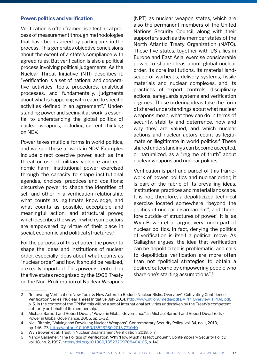#### **Power, politics and verification**

Verification is often framed as a technical process of measurement through methodologies that have been agreed by participants in the process. This generates objective conclusions about the extent of a state's compliance with agreed rules. But verification is also a political process involving political judgements. As the Nuclear Threat Initiative (NTI) describes it, "verification is a set of national and cooperative activities, tools, procedures, analytical processes, and fundamentally, judgments about what is happening with regard to specific activities defined in an agreement".2 Understanding power and seeing it at work is essential to understanding the global politics of nuclear weapons, including current thinking on NDV.

Power takes multiple forms in world politics, and we see these at work in NDV. Examples include direct coercive power, such as the threat or use of military violence and economic harm; institutional power exercised through the capacity to shape institutional agendas, choices, practices and coalitions; discursive power to shape the identities of self and other in a verification relationship, what counts as legitimate knowledge, and what counts as possible, acceptable and meaningful action; and structural power, which describes the ways in which some actors are empowered by virtue of their place in social, economic and political structures.<sup>3</sup>

For the purposes of this chapter, the power to shape the ideas and institutions of nuclear order, especially ideas about what counts as "nuclear order" and how it should be realized, are really important. This power is centred on the five states recognized by the 1968 Treaty on the Non-Proliferation of Nuclear Weapons

(NPT) as nuclear weapon states, which are also the permanent members of the United Nations Security Council, along with their supporters such as the member states of the North Atlantic Treaty Organization (NATO). These five states, together with US allies in Europe and East Asia, exercise considerable power to shape ideas about global nuclear order, its core institutions, its material landscape of warheads, delivery systems, fissile materials and nuclear complexes, and its practices of export controls, disciplinary actions, safeguards systems and verification regimes. These ordering ideas take the form of shared understandings about what nuclear weapons mean, what they can do in terms of security, stability and deterrence, how and why they are valued, and which nuclear actions and nuclear actors count as legitimate or illegitimate in world politics.<sup>4</sup> These shared understandings can become accepted, or naturalized, as a "regime of truth" about nuclear weapons and nuclear politics.

Verification is part and parcel of this framework of power, politics and nuclear order; it is part of the fabric of its prevailing ideas, institutions, practices and material landscape. It is not, therefore, a depoliticized technical exercise located somewhere "beyond the politics of nuclear disarmament", and therefore outside of structures of power.<sup>5</sup> It is, as Wyn Bowen et al. argue, very much part of nuclear politics. In fact, denying the politics of verification is itself a political move. As Gallagher argues, the idea that verification can be depoliticized is problematic, and calls to depoliticize verification are more often than not "political strategies to obtain a desired outcome by empowering people who share one's starting assumptions".6

<sup>2 &</sup>quot;Innovating Verification: New Tools & New Actors to Reduce Nuclear Risks. Overview", Cultivating Confidence Verification Series, Nuclear Threat Initiative, July 2014, [http://www.nti.org/media/pdfs/VPP\\_Overview\\_FINAL.pdf](http://www.nti.org/media/pdfs/VPP_Overview_FINAL.pdf), p. 5. In the context of the TPNW, this will be a set of international activities undertaken by the Treaty's competent authority on behalf of its membership.

<sup>3</sup> Michael Barnett and Robert Duvall, "Power in Global Governance", in Michael Barnett and Robert Duvall (eds.), Power in Global Governance, 2005, pp. 1–32.

<sup>4</sup> Nick Ritchie, "Valuing and Devaluing Nuclear Weapons", Contemporary Security Policy, vol. 34, no. 1, 2013, pp. 146–73, <https://doi.org/10.1080/13523260.2013.771040>.

<sup>5</sup> Wyn Bowen et al., Trust in Nuclear Disarmament Verification, 2018, p. 7.

<sup>6</sup> Nancy Gallagher, "The Politics of Verification: Why 'How Much?' Is Not Enough", Contemporary Security Policy, vol. 18, no. 2, 1997, [https://doi.org/10.1080/13523269708404165,](https://doi.org/10.1080/13523269708404165) p. 141.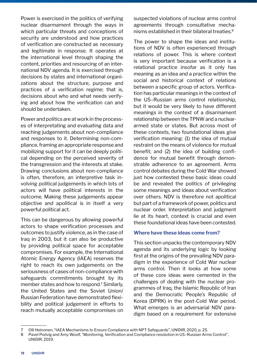Power is exercised in the politics of verifying nuclear disarmament through the ways in which particular threats and conceptions of security are understood and how practices of verification are constructed as necessary and legitimate in response. It operates at the international level through shaping the content, priorities and resourcing of an international NDV agenda. It is exercised through decisions by states and international organizations about the structure, purpose and practices of a verification regime; that is, decisions about who and what needs verifying and about how the verification can and should be undertaken.

Power and politics are at work in the processes of interpretating and evaluating data and reaching judgements about non-compliance and responses to it. Determining non-compliance, framing an appropriate response and mobilizing support for it can be deeply political depending on the perceived severity of the transgression and the interests at stake. Drawing conclusions about non-compliance is often, therefore, an interpretive task involving political judgements in which lots of actors will have political interests in the outcome. Making these judgements appear objective and apolitical is in itself a very powerful political act.

This can be dangerous by allowing powerful actors to shape verification processes and outcomes to justify violence, as in the case of Iraq in 2003, but it can also be productive by providing political space for acceptable compromises. For example, the International Atomic Energy Agency (IAEA) reserves the right to reach its own judgements on the seriousness of cases of non-compliance with safeguards commitments brought by its member states and how to respond.<sup>7</sup> Similarly, the United States and the Soviet Union/ Russian Federation have demonstrated flexibility and political judgement in efforts to reach mutually acceptable compromises on suspected violations of nuclear arms control agreements through consultative mechanisms established in their bilateral treaties.<sup>8</sup>

The power to shape the ideas and institutions of NDV is often experienced through relations of power. This is where context is very important because verification is a relational practice insofar as it only has meaning as an idea and a practice within the social and historical context of relations between a specific group of actors. Verification has particular meanings in the context of the US–Russian arms control relationship, but it would be very likely to have different meanings in the context of a disarmament relationship between the TPNW and a nucleararmed state or states. But across most of these contexts, two foundational ideas give verification meaning: (1) the idea of mutual restraint on the means of violence for mutual benefit; and (2) the idea of building confidence for mutual benefit through demonstrable adherence to an agreement. Arms control debates during the Cold War showed just how contested these basic ideas could be and revealed the politics of privileging some meanings and ideas about verification over others. NDV is therefore not apolitical but part of a framework of power, politics and nuclear order. Interpretation and judgment lie at its heart, context is crucial and even these foundational ideas have been contested.

#### **Where have these ideas come from?**

This section unpacks the contemporary NDV agenda and its underlying logic by looking first at the origins of the prevailing NDV paradigm in the experience of Cold War nuclear arms control. Then it looks at how some of these core ideas were cemented in the challenges of dealing with the nuclear programmes of Iraq, the Islamic Republic of Iran and the Democratic People's Republic of Korea (DPRK) in the post-Cold War period. What emerges is an adversarial NDV paradigm based on a requirement for extensive

<sup>7</sup> Olli Heinonen, "IAEA Mechanisms to Ensure Compliance with NPT Safeguards", UNIDIR, 2020, p. 25.

<sup>8</sup> Pavel Podvig and Amy Woolf, "Monitoring, Verification and Compliance resolution in US–Russian Arms Control", UNIDIR, 2019.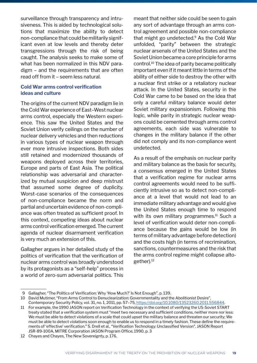surveillance through transparency and intrusiveness. This is aided by technological solutions that maximize the ability to detect non-compliance that could be militarily significant even at low levels and thereby deter transgressions through the risk of being caught. The analysis seeks to make some of what has been normalized in this NDV paradigm – and the requirements that are often read off from it – seem less natural.

#### **Cold War arms control verification ideas and culture**

The origins of the current NDV paradigm lie in the Cold War experience of East–West nuclear arms control, especially the Western experience. This saw the United States and the Soviet Union verify ceilings on the number of nuclear delivery vehicles and then reductions in various types of nuclear weapon through ever more intrusive inspections. Both sides still retained and modernized thousands of weapons deployed across their territories, Europe and parts of East Asia. The political relationship was adversarial and characterized by mutual suspicion and deep mistrust that assumed some degree of duplicity. Worst-case scenarios of the consequences of non-compliance became the norm and partial and uncertain evidence of non-compliance was often treated as sufficient proof. In this context, competing ideas about nuclear arms control verification emerged. The current agenda of nuclear disarmament verification is very much an extension of this.

Gallagher argues in her detailed study of the politics of verification that the verification of nuclear arms control was broadly understood by its protagonists as a "self-help" process in a world of zero-sum adversarial politics. This

meant that neither side could be seen to gain any sort of advantage through an arms control agreement and possible non-compliance that might go undetected. $9$  As the Cold War unfolded, "parity" between the strategic nuclear arsenals of the United States and the Soviet Union became a core principle for arms control.10 The idea of parity became politically important even if it meant little in terms of the ability of either side to destroy the other with a nuclear first strike or a retaliatory nuclear attack. In the United States, security in the Cold War came to be based on the idea that only a careful military balance would deter Soviet military expansionism. Following this logic, while parity in strategic nuclear weapons could be cemented through arms control agreements, each side was vulnerable to changes in the military balance if the other did not comply and its non-compliance went undetected.

As a result of the emphasis on nuclear parity and military balance as the basis for security, a consensus emerged in the United States that a verification regime for nuclear arms control agreements would need to be sufficiently intrusive so as to detect non-compliance at a level that would not lead to an immediate military advantage and would give the United States enough time to respond with its own military programmes. $11$  Such a level of verification would deter non-compliance because the gains would be low (in terms of military advantage before detection) and the costs high (in terms of recrimination, sanctions, countermeasures and the risk that the arms control regime might collapse altogether).12

 <sup>9</sup> Gallagher, "The Politics of Verification: Why 'How Much?' Is Not Enough", p. 139.

<sup>10</sup> David Mutimer, "From Arms Control to Denuclearization: Governmentality and the Abolitionist Desire",

Contemporary Security Policy, vol. 31, no. 1, 2011, pp. 57–75,<https://doi.org/10.1080/13523260.2011.556844>.

<sup>11</sup> For example, the 1990 JASON report on Verification Technology in the context of verifying the US-Soviet START treaty stated that a verification system must "meet two necessary and sufficient conditions, neither more nor less: We must be able to detect violations of a scale that could upset the military balance and threaten our security; We must be able to detect violations soon enough to enable us to respond in a timely fashion. These define the requirements of 'effective' verification." S. Drell et al., "Verification Technology: Unclassified Version", JASON Report JSR-89-100A, MITRE Corporation JASON Program Office, 1990, p. 3

<sup>12</sup> Chayes and Chayes, The New Sovereignty, p. 176.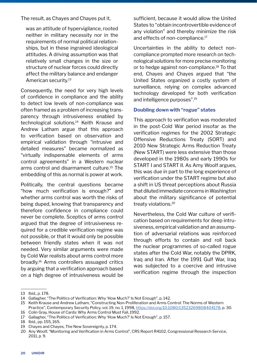The result, as Chayes and Chayes put it,

was an attitude of hypervigilance, rooted neither in military necessity nor in the requirements of normal political relationships, but in these ingrained ideological attitudes. A driving assumption was that relatively small changes in the size or structure of nuclear forces could directly affect the military balance and endanger American security.13

Consequently, the need for very high levels of confidence in compliance and the ability to detect low levels of non-compliance was often framed as a problem of increasing transparency through intrusiveness enabled by technological solutions.<sup>14</sup> Keith Krause and Andrew Latham argue that this approach to verification based on observation and empirical validation through "intrusive and detailed measures" became normalized as "virtually indispensable elements of arms control agreements" in a Western nuclear arms control and disarmament culture.<sup>15</sup> The embedding of this as normal is power at work.

Politically, the central questions became "how much verification is enough?" and whether arms control was worth the risks of being duped, knowing that transparency and therefore confidence in compliance could never be complete. Sceptics of arms control argued that the degree of intrusiveness required for a credible verification regime was not possible, or that it would only be possible between friendly states when it was not needed. Very similar arguments were made by Cold War realists about arms control more broadly.16 Arms controllers assuaged critics by arguing that a verification approach based on a high degree of intrusiveness would be sufficient, because it would allow the United States to "obtain incontrovertible evidence of any violation" and thereby minimize the risk and effects of non-compliance.<sup>17</sup>

Uncertainties in the ability to detect noncompliance prompted more research on technological solutions for more precise monitoring or to hedge against non-compliance.<sup>18</sup> To that end, Chayes and Chayes argued that "the United States organized a costly system of surveillance, relying on complex advanced technology developed for both verification and intelligence purposes".19

#### **Doubling down with "rogue" states**

This approach to verification was moderated in the post-Cold War period insofar as the verification regimes for the 2002 Strategic Offensive Reductions Treaty (SORT) and 2010 New Strategic Arms Reduction Treaty (New START) were less extensive than those developed in the 1980s and early 1990s for START I and START II. As Amy Woolf argues, this was due in part to the long experience of verification under the START regime but also a shift in US threat perceptions about Russia that diluted immediate concerns in Washington about the military significance of potential treaty violations.<sup>20</sup>

Nevertheless, the Cold War culture of verification based on requirements for deep intrusiveness, empirical validation and an assumption of adversarial relations was reinforced through efforts to contain and roll back the nuclear programmes of so-called rogue states after the Cold War, notably the DPRK, Iraq and Iran. After the 1991 Gulf War, Iraq was subjected to a coercive and intrusive verification regime through the inspection

<sup>13</sup> Ibid., p. 178.

<sup>14</sup> Gallagher, "The Politics of Verification: Why 'How Much?' Is Not Enough", p. 142.

<sup>15</sup> Keith Krause and Andrew Latham, "Constructing Non-Proliferation and Arms Control: The Norms of Western Practice", Contemporary Security Policy, vol. 19, no. 1, 1998, [https://doi.org/10.1080/13523269808404178,](https://doi.org/10.1080/13523269808404178) p. 30.

<sup>16</sup> Colin Gray, House of Cards: Why Arms Control Must Fail, 1992.

<sup>17</sup> Gallagher, "The Politics of Verification: Why 'How Much?' Is Not Enough", p. 157.

<sup>18</sup> Ibid., pp. 155, 165.

<sup>19</sup> Chayes and Chayes, The New Sovereignty, p. 174.

<sup>20</sup> Any Woolf, "Monitoring and Verification in Arms Control", CRS Report R4102, Congressional Research Service, 2011, p. 9.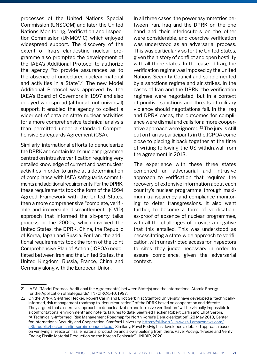processes of the United Nations Special Commission (UNSCOM) and later the United Nations Monitoring, Verification and Inspection Commission (UNMOVIC), which enjoyed widespread support. The discovery of the extent of Iraq's clandestine nuclear programme also prompted the development of the IAEA's Additional Protocol to authorize the agency "to provide assurances as to the absence of undeclared nuclear material and activities in a State".<sup>21</sup> The new Model Additional Protocol was approved by the IAEA's Board of Governors in 1997 and also enjoyed widespread (although not universal) support. It enabled the agency to collect a wider set of data on state nuclear activities for a more comprehensive technical analysis than permitted under a standard Comprehensive Safeguards Agreement (CSA).

Similarly, international efforts to denuclearize the DPRK and contain Iran's nuclear prgramme centred on intrusive verification requiring very detailed knowledge of current and past nuclear activities in order to arrive at a determination of compliance with IAEA safeguards commitments and additional requirements. For the DPRK, these requirements took the form of the 1994 Agreed Framework with the United States, then a more comprehensive "complete, verifiable and irreversible dismantlement" (CVID) approach that informed the six-party talks process in the 2000s, which involved the United States, the DPRK, China, the Republic of Korea, Japan and Russia. For Iran, the additional requirements took the form of the Joint Comprehensive Plan of Action (JCPOA) negotiated between Iran and the United States, the United Kingdom, Russia, France, China and Germany along with the European Union.

In all three cases, the power asymmetries between Iran, Iraq and the DPRK on the one hand and their interlocutors on the other were considerable, and coercive verification was understood as an adversarial process. This was particularly so for the United States, given the history of conflict and open hostility with all three states. In the case of Iraq, the verification regime was imposed by the United Nations Security Council and supplemented by a sanctions regime and air strikes. In the cases of Iran and the DPRK, the verification regimes were negotiated, but in a context of punitive sanctions and threats of military violence should negotiations fail. In the Iraq and DPRK cases, the outcomes for compliance were dismal and calls for a more cooperative approach were ignored.<sup>22</sup> The jury is still out on Iran as participants in the JCPOA come close to piecing it back together at the time of writing following the US withdrawal from the agreement in 2018.

The experience with these three states cemented an adversarial and intrusive approach to verification that required the recovery of extensive information about each country's nuclear programme through maximum transparency and compliance monitoring to deter transgressions. It also went further, to become a form of verificationas-proof of absence of nuclear programmes, with all the challenges of proving a negative that this entailed. This was understood as necessitating a state-wide approach to verification, with unrestricted access for inspectors to sites they judge necessary in order to assure compliance, given the adversarial context.

<sup>21</sup> IAEA, "Model Protocol Additional the Agreement(s) between State(s) and the International Atomic Energy for the Application of Safeguards", INFCIRC/540, 1997.

<sup>22</sup> On the DPRK, Siegfried Hecker, Robert Carlin and Elliot Serbin at Stanford University have developed a "technicallyinformed, risk management roadmap to 'denuclearization'" of the DPRK based on cooperation and détente. They argued that a coercive approach to denuclearization and intrusive verification "will be virtually impossible in a confrontational environment" and note its failures to date. Siegfried Hecker, Robert Carlin and Elliot Serbin, "A Technically-Informed, Risk Management Roadmap for North Korea's Denuclearization", 28 May 2018, Center for International Security and Cooperation, Stanford University, [https://fsi-live.s3.us-west-1.amazonaws.com/](https://fsi-live.s3.us-west-1.amazonaws.com/s3fs-public/hecker_carlin-serbin_denuc_rlc.pdf) [s3fs-public/hecker\\_carlin-serbin\\_denuc\\_rlc.pdf](https://fsi-live.s3.us-west-1.amazonaws.com/s3fs-public/hecker_carlin-serbin_denuc_rlc.pdf). Similarly, Pavel Podvig has developed a detailed approach based on verifying a freeze on fissile material production and slowly building from there. Pavel Podvig, "Freeze and Verify: Ending Fissile Material Production on the Korean Peninsula", UNIDIR, 2020.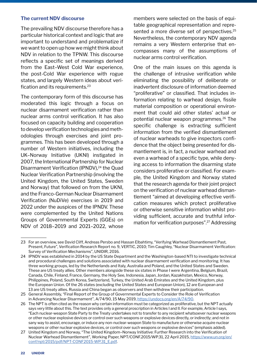#### **The current NDV discourse**

The prevailing NDV discourse therefore has a particular historical context and logic that are important to understand and problematize if we want to open up how we might think about NDV in relation to the TPNW. This discourse reflects a specific set of meanings derived from the East–West Cold War experience, the post-Cold War experience with rogue states, and largely Western ideas about verification and its requirements.23

The contemporary form of this discourse has moderated this logic through a focus on nuclear disarmament verification rather than nuclear arms control verification. It has also focused on capacity building and cooperation to develop verification technologies and methodologies through exercises and joint programmes. This has been developed through a number of Western initiatives, including the UK–Norway Initiative (UKNI) instigated in 2007, the International Partnership for Nuclear Disarmament Verification (IPNDV),<sup>24</sup> the Quad Nuclear Verification Partnership (involving the United Kingdom, the United States, Sweden and Norway) that followed on from the UKNI, and the Franco-German Nuclear Disarmament Verification (NuDiVe) exercises in 2019 and 2022 under the auspices of the IPNDV. These were complemented by the United Nations Groups of Governmental Experts (GGEs) on NDV of 2018–2019 and 2021–2022, whose members were selected on the basis of equitable geographical representation and represented a more diverse set of perspectives.<sup>25</sup> Nevertheless, the contemporary NDV agenda remains a very Western enterprise that encompasses many of the assumptions of nuclear arms control verification.

One of the main issues on this agenda is the challenge of intrusive verification while eliminating the possibility of deliberate or inadvertent disclosure of information deemed "proliferative" or classified. That includes information relating to warhead design, fissile material composition or operational environment that could aid other states' actual or potential nuclear weapon programmes.<sup>26</sup> The specific challenge is extracting sufficient information from the verified dismantlement of nuclear warheads to give inspectors confidence that the object being presented for dismantlement is, in fact, a nuclear warhead and even a warhead of a specific type, while denying access to information the disarming state considers proliferative or classified. For example, the United Kingdom and Norway stated that the research agenda for their joint project on the verification of nuclear warhead dismantlement "aimed at developing effective verification measures which protect proliferative or otherwise sensitive information whilst providing sufficient, accurate and truthful information for verification purposes".27 Addressing

<sup>23</sup> For an overview, see David Cliff, Andreas Persbo and Hassan Elbahtimy, "Verifying Warhead Dismantlement Past, Present, Future", Verification Research Report no. 9, VERTIC, 2010; Tim Caughley, "Nuclear Disarmament Verification: Survey of Verification Mechanisms", UNIDIR, 2016.

<sup>24</sup> IPNDV was established in 2014 by the US State Department and the Washington-based NTI to investigate technical and procedural challenges and solutions associated with nuclear disarmament verification and monitoring. It has three working groups, led by the Netherlands and Italy, Australia and Poland, and the United States and Sweden. These are US treaty allies. Other members alongside these six states in Phase I were Argentina, Belgium, Brazil, Canada, Chile, Finland, France, Germany, the Holy See, Indonesia, Japan, Jordan, Kazakhstan, Mexico, Norway, Philippines, Poland, South Korea, Switzerland, Turkey, the United Arab Emirates and the United Kingdom, plus the European Union. Of the 26 states (excluding the United States and European Union), 12 are European and 13 are US treaty allies. Russia and China began as observers and then withdrew their participation.

<sup>25</sup> General Assembly, "Final Report of the Group of Governmental Experts to Consider the Role of Verification in Advancing Nuclear Disarmament", A/74/90, 15 May 2019,<https://undocs.org/en/A/74/90>.

<sup>26</sup> The NPT is often cited as the reason why certain information must be categorized as proliferative, but the NPT actually says very little about this. The text provides only a general proscription in Articles I and II. For example, Article I says, "Each nuclear-weapon State Party to the Treaty undertakes not to transfer to any recipient whatsoever nuclear weapons or other nuclear explosive devices or control over such weapons or explosive devices directly, or indirectly; and not in sany way to assist, encourage, or induce any non-nuclear-weapon State to manufacture or otherwise acquire nuclear weapons or other nuclear explosive devices, or control over such weapons or explosive devices" (emphasis added).

<sup>27</sup> United Kingdom and Norway, "The United Kingdom–Norway Initiative: Further Research into the Verification of Nuclear Warhead Dismantlement", Working Paper, NPT/CONF.2015/WP.31, 22 April 2015, [https://www.un.org/en/](https://www.un.org/en/conf/npt/2015/pdf/NPT-CONF2015-WP.31_E.pdf) [conf/npt/2015/pdf/NPT-CONF2015-WP.31\\_E.pdf](https://www.un.org/en/conf/npt/2015/pdf/NPT-CONF2015-WP.31_E.pdf).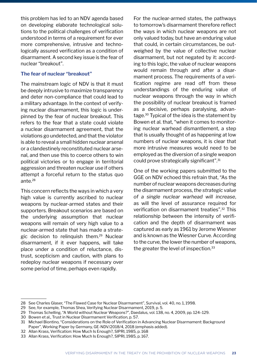this problem has led to an NDV agenda based on developing elaborate technological solutions to the political challenges of verification understood in terms of a requirement for ever more comprehensive, intrusive and technologically assured verification as a condition of disarmament. A second key issue is the fear of nuclear "breakout".

#### **The fear of nuclear "breakout"**

The mainstream logic of NDV is that it must be deeply intrusive to maximize transparency and deter non-compliance that could lead to a military advantage. In the context of verifying nuclear disarmament, this logic is underpinned by the fear of nuclear breakout. This refers to the fear that a state could violate a nuclear disarmament agreement, that the violations go undetected, and that the violator is able to reveal a small hidden nuclear arsenal or a clandestinely reconstituted nuclear arsenal, and then use this to coerce others to win political victories or to engage in territorial aggression and threaten nuclear use if others attempt a forceful return to the status quo ante.<sup>28</sup>

This concern reflects the ways in which a very high value is currently ascribed to nuclear weapons by nuclear-armed states and their supporters. Breakout scenarios are based on the underlying assumption that nuclear weapons will remain of very high value to a nuclear-armed state that has made a strategic decision to relinquish them.29 Nuclear disarmament, if it ever happens, will take place under a condition of reluctance, distrust, scepticism and caution, with plans to redeploy nuclear weapons if necessary over some period of time, perhaps even rapidly.

For the nuclear-armed states, the pathways to tomorrow's disarmament therefore reflect the ways in which nuclear weapons are not only valued today, but have an enduring value that could, in certain circumstances, be outweighed by the value of collective nuclear disarmament, but not negated by it: according to this logic, the value of nuclear weapons would remain through and after a disarmament process. The requirements of a verification regime are read off from these understandings of the enduring value of nuclear weapons through the way in which the possibility of nuclear breakout is framed as a decisive, perhaps paralysing, advantage.30 Typical of the idea is the statement by Bowen et al. that, "when it comes to monitoring nuclear warhead dismantlement, a step that is usually thought of as happening at low numbers of nuclear weapons, it is clear that more intrusive measures would need to be employed as the diversion of a single weapon could prove strategically significant".31

One of the working papers submitted to the GGE on NDV echoed this refrain that, "As the number of nuclear weapons decreases during the disarmament process, *the strategic value of a single nuclear warhead will increase*, as will the level of assurance required for verification on disarmament treaties".32 This relationship between the intensity of verification and the depth of disarmament was captured as early as 1961 by Jerome Wiesner and is known as the Wiesner Curve. According to the curve, the lower the number of weapons, the greater the level of inspection.<sup>33</sup>

<sup>28</sup> See Charles Glaser, "The Flawed Case for Nuclear Disarmament", Survival, vol. 40, no. 1, 1998.

<sup>29</sup> See, for example, Thomas Shea, Verifying Nuclear Disarmament, 2019, p. 5.

<sup>29</sup> Thomas Schelling, "A World without Nuclear Weapons?", Daedalus, vol. 138, no. 4, 2009, pp. 124–129.

<sup>30</sup> Bowen et al., Trust in Nuclear Disarmament Verification, p. 57.

<sup>31</sup> Michael Biontino, "Considerations on the Role of Verification in Advancing Nuclear Disarmament: Background Paper", Working Paper by Germany, GE-NDV/2018/4, 2018 (emphasis added).

<sup>32</sup> Allan Krass, Verification: How Much Is Enough?, SIPRI, 1985, p. 168

<sup>33</sup> Allan Krass, Verification: How Much Is Enough?, SIPRI, 1985, p. 167.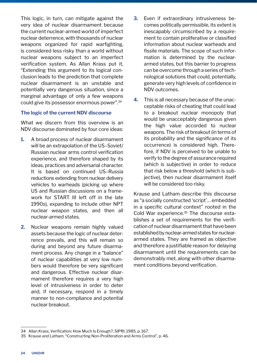This logic, in turn, can mitigate against the very idea of nuclear disarmament because the current nuclear-armed world of imperfect nuclear deterrence, with thousands of nuclear weapons organized for rapid warfighting, is considered less risky than a world without nuclear weapons subject to an imperfect verification system. As Allan Krass put it, "Extending this argument to its logical conclusion leads to the prediction that complete nuclear disarmament is an unstable and potentially very dangerous situation, since a marginal advantage of only a few weapons could give its possessor enormous power".34

#### **The logic of the current NDV discourse**

What we discern from this overview is an NDV discourse dominated by four core ideas:

- **1.** A broad process of nuclear disarmament will be an extrapolation of the US–Soviet/ Russian nuclear arms control verification experience, and therefore shaped by its ideas, practices and adversarial character. It is based on continued US–Russia reductions extending from nuclear delivery vehicles to warheads (picking up where US and Russian discussions on a framework for START III left off in the late 1990s), expanding to include other NPT nuclear weapon states, and then all nuclear-armed states.
- **2.** Nuclear weapons remain highly valued assets because the logic of nuclear deterrence prevails, and this will remain so during and beyond any future disarmament process. Any change in a "balance" of nuclear capabilities at very low numbers would therefore be very significant and dangerous. Effective nuclear disarmament therefore requires a very high level of intrusiveness in order to deter and, if necessary, respond in a timely manner to non-compliance and potential nuclear breakout.
- **3.** Even if extraordinary intrusiveness becomes politically permissible, its extent is inescapably circumscribed by a requirement to contain proliferative or classified information about nuclear warheads and fissile materials. The scope of such information is determined by the nucleararmed states, but this barrier to progress can be overcome through a series of technological solutions that could, potentially, generate very high levels of confidence in NDV outcomes.
- **4.** This is all necessary because of the unacceptable risks of cheating that could lead to a breakout nuclear monopoly that would be unacceptably dangerous given the high value accorded to nuclear weapons. The risk of breakout (in terms of its probability and the significance of its occurrence) is considered high. Therefore, if NDV is perceived to be unable to verify to the degree of assurance required (which is subjective) in order to reduce that risk below a threshold (which is subjective), then nuclear disarmament itself will be considered too risky.

Krause and Latham describe this discourse as "a socially constructed 'script'… embedded in a specific cultural context" rooted in the Cold War experience.35 The discourse establishes a set of requirements for the verification of nuclear disarmament that have been established by nuclear-armed states for nucleararmed states. They are framed as objective and therefore a justifiable reason for delaying disarmament until the requirements can be demonstrably met, along with other disarmament conditions beyond verification.

<sup>34</sup> Allan Krass, Verification: How Much Is Enough?, SIPRI, 1985, p. 167.

<sup>35</sup> Krause and Latham, "Constructing Non-Proliferation and Arms Control", p. 46.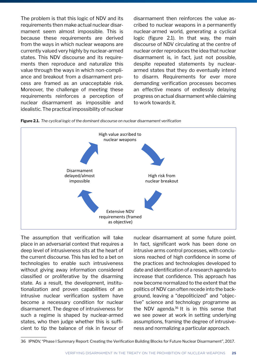The problem is that this logic of NDV and its requirements then make actual nuclear disarmament seem almost impossible. This is because these requirements are derived from the ways in which nuclear weapons are currently valued very highly by nuclear-armed states. This NDV discourse and its requirements then reproduce and naturalize this value through the ways in which non-compliance and breakout from a disarmament process are framed as an unacceptable risk. Moreover, the challenge of meeting these requirements reinforces a perception of nuclear disarmament as impossible and idealistic. The practical impossibility of nuclear

disarmament then reinforces the value ascribed to nuclear weapons in a permanently nuclear-armed world, generating a cyclical logic (figure 2.1). In that way, the main discourse of NDV circulating at the centre of nuclear order reproduces the idea that nuclear disarmament is, in fact, just not possible, despite repeated statements by nucleararmed states that they do eventually intend to disarm. Requirements for ever more demanding verification processes becomes an effective means of endlessly delaying progress on actual disarmament while claiming to work towards it.





The assumption that verification will take place in an adversarial context that requires a deep level of intrusiveness sits at the heart of the current discourse. This has led to a bet on technologies to enable such intrusiveness without giving away information considered classified or proliferative by the disarming state. As a result, the development, institutionalization and proven capabilities of an intrusive nuclear verification system have become a necessary condition for nuclear disarmament. The degree of intrusiveness for such a regime is shaped by nuclear-armed states, who then judge whether this is sufficient to tip the balance of risk in favour of nuclear disarmament at some future point. In fact, significant work has been done on intrusive arms control processes, with conclusions reached of high confidence in some of the practices and technologies developed to date and identification of a research agenda to increase that confidence. This approach has now become normalized to the extent that the politics of NDV can often recede into the background, leaving a "depoliticized" and "objective" science and technology programme as the NDV agenda. $36$  It is in this sense that we see power at work in setting underlying assumptions, framing the degree of intrusiveness and normalizing a particular approach.

<sup>36</sup> IPNDV, "Phase I Summary Report: Creating the Verification Building Blocks for Future Nuclear Disarmament", 2017.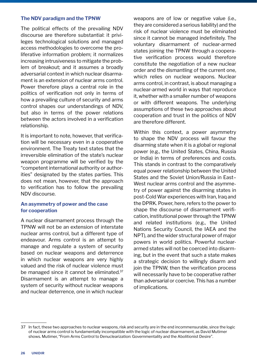#### **The NDV paradigm and the TPNW**

The political effects of the prevailing NDV discourse are therefore substantial: it privileges technological solutions and managed access methodologies to overcome the proliferative information problem; it normalizes increasing intrusiveness to mitigate the problem of breakout; and it assumes a broadly adversarial context in which nuclear disarmament is an extension of nuclear arms control. Power therefore plays a central role in the politics of verification not only in terms of how a prevailing culture of security and arms control shapes our understandings of NDV, but also in terms of the power relations between the actors involved in a verification relationship.

It is important to note, however, that verification will be necessary even in a cooperative environment. The Treaty text states that the irreversible elimination of the state's nuclear weapon programme will be verified by the "competent international authority or authorities" designated by the states parties. This does not mean, however, that the approach to verification has to follow the prevailing NDV discourse.

#### **An asymmetry of power and the case for cooperation**

A nuclear disarmament process through the TPNW will not be an extension of interstate nuclear arms control, but a different type of endeavour. Arms control is an attempt to manage and regulate a system of security based on nuclear weapons and deterrence in which nuclear weapons are very highly valued and the risk of nuclear violence must be managed since it cannot be eliminated.<sup>37</sup> Disarmament is an attempt to manage a system of security without nuclear weapons and nuclear deterrence, one in which nuclear weapons are of low or negative value (i.e., they are considered a serious liability) and the risk of nuclear violence must be eliminated since it cannot be managed indefinitely. The voluntary disarmament of nuclear-armed states joining the TPNW through a cooperative verification process would therefore constitute the negotiation of a new nuclear order and the dismantling of the current one, which relies on nuclear weapons. Nuclear arms control, in contrast, is about managing a nuclear-armed world in ways that reproduce it, whether with a smaller number of weapons or with different weapons. The underlying assumptions of these two approaches about cooperation and trust in the politics of NDV are therefore different.

Within this context, a power asymmetry to shape the NDV process will favour the disarming state when it is a global or regional power (e.g., the United States, China, Russia or India) in terms of preferences and costs. This stands in contrast to the comparatively equal power relationship between the United States and the Soviet Union/Russia in East– West nuclear arms control and the asymmetry of power against the disarming states in post-Cold War experiences with Iran, Iraq and the DPRK. Power, here, refers to the power to shape the discourse of disarmament verification, institutional power through the TPNW and related institutions (e.g., the United Nations Security Council, the IAEA and the NPT), and the wider structural power of major powers in world politics. Powerful nucleararmed states will not be coerced into disarming, but in the event that such a state makes a strategic decision to willingly disarm and join the TPNW, then the verification process will necessarily have to be cooperative rather than adversarial or coercive. This has a number of implications.

<sup>37</sup> In fact, these two approaches to nuclear weapons, risk and security are in the end incommensurable, since the logic of nuclear arms control is fundamentally incompatible with the logic of nuclear disarmament, as David Mutimer shows. Mutimer, "From Arms Control to Denuclearization: Governmentality and the Abolitionist Desire".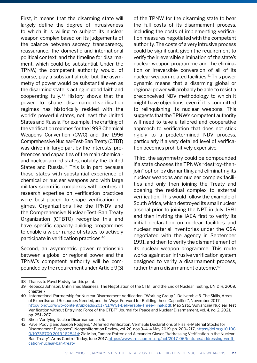First, it means that the disarming state will largely define the degree of intrusiveness to which it is willing to subject its nuclear weapon complex based on its judgements of the balance between secrecy, transparency, reassurance, the domestic and international political context, and the timeline for disarmament, which could be substantial. Under the TPNW, the competent authority would, of course, play a substantial role, but the asymmetry of power would be substantial even as the disarming state is acting in good faith and cooperating fully.38 History shows that the power to shape disarmament-verification regimes has historically resided with the world's powerful states, not least the United States and Russia. For example, the crafting of the verification regimes for the 1993 Chemical Weapons Convention (CWC) and the 1996 Comprehensive Nuclear-Test-Ban Treaty (CTBT) was driven in large part by the interests, preferences and capacities of the main chemicaland nuclear-armed states, notably the United States and Russia.39 This is in part because those states with substantial experience of chemical or nuclear weapons and with large military-scientific complexes with centres of research expertise on verification practices were best-placed to shape verification regimes. Organizations like the IPNDV and the Comprehensive Nuclear-Test-Ban Treaty Organization (CTBTO) recognize this and have specific capacity-building programmes to enable a wider range of states to actively participate in verification practices.40

Second, an asymmetric power relationship between a global or regional power and the TPNW's competent authority will be compounded by the requirement under Article 9(3) of the TPNW for the disarming state to bear the full costs of its disarmament process, including the costs of implementing verification measures negotiated with the competent authority. The costs of a very intrusive process could be significant, given the requirement to verify the irreversible elimination of the state's nuclear weapon programme and the elimination or irreversible conversion of all of its nuclear weapon-related facilities.<sup>41</sup> This power dynamic means that a disarming global or regional power will probably be able to resist a preconceived NDV methodology to which it might have objections, even if it is committed to relinquishing its nuclear weapons. This suggests that the TPNW's competent authority will need to take a tailored and cooperative approach to verification that does not stick rigidly to a predetermined NDV process, particularly if a very detailed level of verification becomes prohibitively expensive.

Third, the asymmetry could be compounded if a state chooses the TPNWs "destroy-thenjoin" option by dismantling and eliminating its nuclear weapons and nuclear complex facilities and only then joining the Treaty and opening the residual complex to external verification. This would follow the example of South Africa, which destroyed its small nuclear arsenal prior to joining the NPT in July 1991 and then inviting the IAEA first to verify its initial declaration on nuclear facilities and nuclear material inventories under the CSA negotiated with the agency in September 1991, and then to verify the dismantlement of its nuclear weapon programme. This route works against an intrusive verification system designed to verify a disarmament process, rather than a disarmament outcome.<sup>42</sup>

<sup>38</sup> Thanks to Pavel Podvig for this point.

<sup>39</sup> Rebecca Johnson, Unfinished Business: The Negotiation of the CTBT and the End of Nuclear Testing, UNIDIR, 2009, chapter 7.

<sup>40</sup> International Partnership for Nuclear Disarmament Verification, "Working Group 1: Deliverable 3. The Skills, Areas of Expertise and Resources Needed, and the Ways Forward for Building these Capacities", November 2017, <http://ipndv.org/wp-content/uploads/2017/11/WG1-Deliverable-Three-Final-.pdf>; Mao Sato, "Advancing Nuclear Test Verification without Entry into Force of the CTBT", Journal for Peace and Nuclear Disarmament, vol. 4, no. 2, 2021, pp. 251–267.

<sup>41</sup> Shea, Verifying Nuclear Disarmament, p. 6.

<sup>42</sup> Pavel Podvig and Joseph Rodgers, "Deferred Verification: Verifiable Declarations of Fissile-Material Stocks for Disarmament Purposes", Nonproliferation Review, vol. 26, nos 3–4, 4 May 2019, pp. 209–217, [https://doi.org/10.108](https://doi.org/10.1080/10736700.2019.1628414) [0/10736700.2019.1628414](https://doi.org/10.1080/10736700.2019.1628414); Zia Mian, Tamara Patton and Alexander Glaser, "Addressing Verification in the Nuclear Ban Treaty", Arms Control Today, June 2017, [https://www.armscontrol.org/act/2017-06/features/addressing-verifi](https://www.armscontrol.org/act/2017-06/features/addressing-verification-nuclear-ban-treaty)[cation-nuclear-ban-treaty](https://www.armscontrol.org/act/2017-06/features/addressing-verification-nuclear-ban-treaty).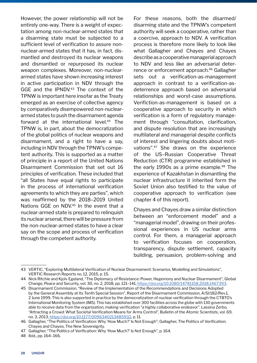However, the power relationship will not be entirely one-way. There is a weight of expectation among non-nuclear-armed states that a disarming state must be subjected to a sufficient level of verification to assure nonnuclear-armed states that it has, in fact, dismantled and destroyed its nuclear weapons and dismantled or repurposed its nuclear weapon complexes. Moreover, non-nucleararmed states have shown increasing interest in active participation in NDV through the GGE and the IPNDV.<sup>43</sup> The context of the TPNW is important here insofar as the Treaty emerged as an exercise of collective agency by comparatively disempowered non-nucleararmed states to push the disarmament agenda forward at the international level.<sup>44</sup> The TPNW is, in part, about the democratization of the global politics of nuclear weapons and disarmament, and a right to have a say, including in NDV through the TPNW's competent authority. This is supported as a matter of principle in a report of the United Nations Disarmament Commission that set out 16 principles of verification. These included that "all States have equal rights to participate in the process of international verification agreements to which they are parties", which was reaffirmed by the 2018–2019 United Nations GGE on NDV.<sup>45</sup> In the event that a nuclear-armed state is prepared to relinquish its nuclear arsenal, there will be pressure from the non-nuclear-armed states to have a clear say on the scope and process of verification through the competent authority.

For these reasons, both the disarmed/ disarming state and the TPNW's competent authority will seek a cooperative, rather than a coercive, approach to NDV. A verification process is therefore more likely to look like what Gallagher and Chayes and Chayes describe as a cooperative managerial approach to NDV and less like an adversarial deterrence or enforcement approach.46 Gallagher sets out a verification-as-management approach in contrast to a verification-asdeterrence approach based on adversarial relationships and worst-case assumptions. Verifiction-as-management is based on a cooperative approach to security in which verification is a form of regulatory management through "consultation, clarification, and dispute resolution that are increasingly multilateral and managerial despite conflicts of interest and lingering doubts about motivations".47 She draws on the experience of the US–Russian Cooperative Threat Reduction (CTR) programme established in the early 1990s as a prime example.<sup>48</sup> The experience of Kazakhstan in dismantling the nuclear infrastructure it inherited form the Soviet Union also testified to the value of cooperative approach to verification (see chapter 4 of this report).

Chayes and Chayes draw a similar distinction between an "enforcement model" and a "managerial model", drawing on their professional experiences in US nuclear arms control. For them, a managerial approach to verification focuses on cooperation, transparency, dispute settlement, capacity building, persuasion, problem-solving and

<sup>43</sup> VERTIC, "Exploring Multilateral Verification of Nuclear Disarmament: Scenarios, Modelling and Simulations", VERTIC Research Reports no. 12, 2015, p. 15.

<sup>44</sup> Nick Ritchie and Kjolv Egeland, "The Diplomacy of Resistance: Power, Hegemony and Nuclear Disarmament", Global Change, Peace and Security, vol. 30, no. 2, 2018, pp. 121–141,<https://doi.org/10.1080/14781158.2018.1467393>.

<sup>45</sup> Disarmament Commission, "Review of the Implementation of the Recommendations and Decisions Adopted by the General Assembly at Its Tenth Special Session", Report of the Disarmament Commission, A/Sl/182/Rev.1, 2 June 1999. This is also supported in practice by the democratization of nuclear verification through the CTBTO's International Monitoring System (IMS). This has established over 300 facilities across the globe with 130 governments able to receive data from the organization, making verification "a highly collaborative endeavor". Lassina Zerbo, "Attracting a Crowd: What Societal Verification Means for Arms Control", Bulletin of the Atomic Scientists, vol. 69, no. 3, 2013,<https://doi.org/10.1177/0096340213485932>, p. 11.

<sup>46</sup> Gallagher, "The Politics of Verification: Why 'How Much?' Is Not Enough"; Gallagher, The Politics of Verification; Chayes and Chayes, The New Sovereignty.

<sup>47</sup> Gallagher, "The Politics of Verification: Why 'How Much?' Is Not Enough", p. 164.

<sup>48</sup> Ibid., pp. 164–166.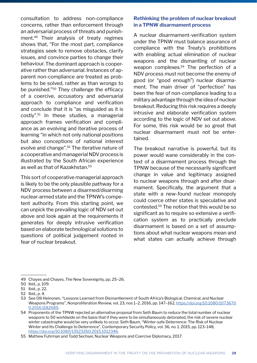consultation to address non-compliance concerns, rather than enforcement through an adversarial process of threats and punishment.49 Their analysis of treaty regimes shows that, "For the most part, compliance strategies seek to remove obstacles, clarify issues, and convince parties to change their behaviour. The dominant approach is cooperative rather than adversarial. Instances of apparent non-compliance are treated as problems to be solved, rather as than wrongs to be punished."50 They challenge the efficacy of a coercive, accusatory and adversarial approach to compliance and verification and conclude that it is "as misguided as it is costly".51 In these studies, a managerial approach frames verification and compliance as an evolving and iterative process of learning "in which not only national positions but also conceptions of national interest evolve and change".52 The iterative nature of a cooperative and managerial NDV process is illustrated by the South African experience as well as that of Kazakhstan.53

This sort of cooperative managerial approach is likely to be the only plausible pathway for a NDV process between a disarmed/disarming nuclear-armed state and the TPNW's competent authority. From this starting point, we can unpick the prevailing logic of NDV set out above and look again at the requirements it generates for deeply intrusive verification based on elaborate technological solutions to questions of political judgement rooted in fear of nuclear breakout.

#### **Rethinking the problem of nuclear breakout in a TPNW disarmament process**

A nuclear disarmament-verification system under the TPNW must balance assurance of compliance with the Treaty's prohibitions with enabling actual elimination of nuclear weapons and the dismantling of nuclear weapon complexes.<sup>54</sup> The perfection of a NDV process must not become the enemy of good (or "good enough") nuclear disarmament. The main driver of "perfection" has been the fear of non-compliance leading to a military advantage through the idea of nuclear breakout. Reducing this risk requires a deeply intrusive and elaborate verification system according to the logic of NDV set out above. For some, this risk would be so great that nuclear disarmament must not be entertained.

The breakout narrative is powerful, but its power would wane considerably in the context of a disarmament process through the TPNW because of the necessarily significant change in value and legitimacy assigned to nuclear weapons through and after disarmament. Specifically, the argument that a state with a new-found nuclear monopoly could coerce other states is speculative and contested.<sup>55</sup> The notion that this would be so significant as to require so extensive a verification system as to practically preclude disarmament is based on a set of assumptions about what nuclear weapons mean and what states can actually achieve through

<sup>49</sup> Chayes and Chayes, The New Sovereignty, pp. 25–26.

<sup>50</sup> Ibid., p. 109.

<sup>51</sup> Ibid., p. 22.

<sup>52</sup> Ibid., p. 4.

<sup>53</sup> See Olli Heinonen, "Lessons Learned from Dismantlement of South Africa's Biological, Chemical, and Nuclear Weapons Programs", Nonproliferation Review, vol. 23, nos 1–2, 2016, pp. 147–162, [https://doi.org/10.1080/1073670](https://doi.org/10.1080/10736700.2016.1182685) [0.2016.1182685](https://doi.org/10.1080/10736700.2016.1182685).

<sup>54</sup> Proponents of the TPNW rejected an alternative proposal from Seth Baum to reduce the total number of nuclear weapons to 50 worldwide on the basis that if they were to be simultaneously detonated, the risk of severe nuclear winter catastrophe would be very unlikely to occur. Seth Baum, "Winter-safe Deterrence: The Risk of Nuclear Winter and Its Challenge to Deterrence", Contemporary Security Policy, vol. 36, no. 1, 2015, pp. 123–148, <https://doi.org/10.1080/13523260.2015.1012346>.

<sup>55</sup> Mathew Fuhrman and Todd Sechser, Nuclear Weapons and Coercive Diplomacy, 2017.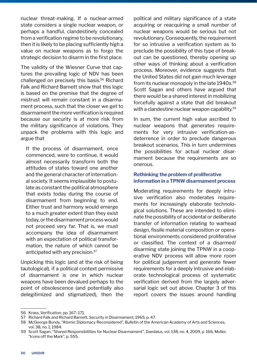nuclear threat-making. If a nuclear-armed state considers a single nuclear weapon, or perhaps a handful, clandestinely concealed from a verification regime to be revolutionary, then it is likely to be placing sufficiently high a value on nuclear weapons as to forgo the strategic decision to disarm in the first place.

The validity of the Wiesner Curve that captures the prevailing logic of NDV has been challenged on precisely this basis.<sup>56</sup> Richard Falk and Richard Barnett show that this logic is based on the premise that the degree of mistrust will remain constant in a disarmament process, such that the closer we get to disarmament the more verification is required because our security is at more risk from the military significance of violations. They unpack the problems with this logic and argue that

If the process of disarmament, once commenced, were to continue, it would almost necessarily transform both the attitudes of states toward one another and the general character of international society. It seems implausible to postulate as constant the political atmosphere that exists today during the course of disarmament from beginning to end. Either trust and harmony would emerge to a much greater extent than they exist today, or the disarmament process would not proceed very far. That is, we must accompany the idea of disarmament with an expectation of political transformation, the nature of which cannot be anticipated with any precision.<sup>57</sup>

Unpicking this logic (and at the risk of being tautological), if a political context permissive of disarmament is one in which nuclear weapons have been devalued perhaps to the point of obsolescence (and potentially also delegitimized and stigmatized), then the political and military significance of a state acquiring or reacquiring a small number of nuclear weapons would be serious but not revolutionary. Consequently, the requirement for so intrusive a verification system as to preclude the possibility of this type of breakout can be questioned, thereby opening up other ways of thinking about a verification process. Moreover, evidence suggests that the United States did not gain much leverage from its nuclear monopoly in the late 1940s.<sup>58</sup> Scott Sagan and others have argued that there would be a shared interest in mobilizing forcefully against a state that did breakout with a clandestine nuclear weapon capability.<sup>59</sup>

In sum, the current high value ascribed to nuclear weapons that generates requirements for very intrusive verification-asdeterrence in order to preclude dangerous breakout scenarios. This in turn undermines the possibilities for actual nuclear disarmament because the requirements are so onerous.

#### **Rethinking the problem of proliferative information in a TPNW disarmament process**

Moderating requirements for deeply intrusive verification also moderates requirements for increasingly elaborate technological solutions. These are intended to eliminate the possibility of accidental or deliberate transfer of information relating to warhead design, fissile material composition or operational environments considered proliferative or classified. The context of a disarmed/ disarming state joining the TPNW in a cooperative NDV process will allow more room for political judgement and generate fewer requirements for a deeply intrusive and elaborate technological process of systematic verification derived from the largely adversarial logic set out above. Chapter 3 of this report covers the issues around handling

<sup>56</sup> Krass, Verification, pp. 167–171.

<sup>57</sup> Richard Falk and Richard Barnett, Security in Disarmament, 1965, p. 47.

<sup>58</sup> McGeorge Bundy, "Atomic Diplomacy Reconsidered", Bulletin of the American Academy of Arts and Sciences, vol. 38, no. 1, 1984.

<sup>59</sup> Scott Sagan, "Shared Responsibilities for Nuclear Disarmament", Daedalus, vol. 138, no. 4, 2009, p. 166; Muller, "Icons off the Mark", p. 555.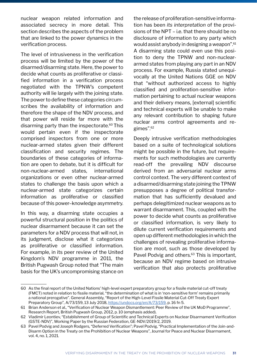nuclear weapon related information and associated secrecy in more detail. This section describes the aspects of the problem that are linked to the power dynamics in the verification process.

The level of intrusiveness in the verification process will be limited by the power of the disarmed/disarming state. Here, the power to decide what counts as proliferative or classified information in a verification process negotiated with the TPNW's competent authority will lie largely with the joining state. The power to define these categories circumscribes the availability of information and therefore the shape of the NDV process, and that power will reside far more with the disarming party than the inspectorate.<sup>60</sup> This would pertain even if the inspectorate comprised inspectors from one or more nuclear-armed states given their different classification and security regimes. The boundaries of these categories of information are open to debate, but it is difficult for non-nuclear-armed states, international organizations or even other nuclear-armed states to challenge the basis upon which a nuclear-armed state categorizes certain information as proliferative or classified because of this power–knowledge asymmetry.

In this way, a disarming state occupies a powerful structural position in the politics of nuclear disarmament because it can set the parameters for a NDV process that will not, in its judgment, disclose what it categorizes as proliferative or classified information. For example, in its peer review of the United Kingdom's NDV programme in 2011, the British Pugwash Group noted that "The main basis for the UK's uncompromising stance on

the release of proliferation-sensitive information has been *its interpretation* of the provisions of the NPT – i.e. that there should be no disclosure of information to any party which would assist anybody in designing a weapon".61 A disarming state could even use this position to deny the TPNW and non-nucleararmed states from playing any part in an NDV process. For example, Russia stated unequivocally at the United Nations GGE on NDV that "without authorized access to highly classified and proliferation-sensitive information pertaining to actual nuclear weapons and their delivery means, [external] scientific and technical experts will be unable to make any relevant contribution to shaping future nuclear arms control agreements and regimes".62

Deeply intrusive verification methodologies based on a suite of technological solutions might be possible in the future, but requirements for such methodologies are currently read-off the prevailing NDV discourse derived from an adversarial nuclear arms control context. The very different context of a disarmed/disarming state joining the TPNW presupposes a degree of political transformation that has sufficiently devalued and perhaps delegitimized nuclear weapons as to warrant disarmament. This, coupled with the power to decide what counts as proliferative or classified information, is very likely to dilute current verification requirements and open up different methodologies in which the challenges of revealing proliferative information are moot, such as those developed by Pavel Podvig and others.<sup>63</sup> This is important, because an NDV regime based on intrusive verification that also protects proliferative

<sup>60</sup> As the final report of the United Nations' high-level expert preparatory group for a fissile material cut-off treaty (FMCT) noted in relation to fissile material, "the determination of what is in 'non-sensitive form' remains primarily a national prerogative". General Assembly, "Report of the High-Level Fissile Material Cut-Off Treaty Expert Preparatory Group", A/73/159, 13 July 2018, https://undocs.org/en/A/73/159, p. 16 fn 5.

<sup>61</sup> Brian Anderson et al., "Verification of Nuclear Weapon Dismantlement: Peer Review of the UK MoD Programme", Research Report, British Pugwash Group, 2012, p. 10 (emphasis added).

<sup>62</sup> Vladimir Leontiev, "Establishment of Group of Scientific and Technical Experts on Nuclear Disarmament Verification (GSTE-NDV)", Working Paper by the Russian Federation, GE-NDV/2019/2, 2019.

<sup>63</sup> Pavel Podvig and Joseph Rodgers, "Deferred Verification"; Pavel Podvig, "Practical Implementation of the Join-and-Disarm Option in the Treaty on the Prohibition of Nuclear Weapons", Journal for Peace and Nuclear Disarmament, vol. 4, no. 1, 2021.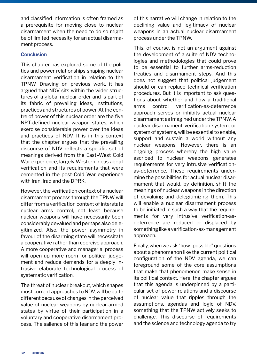and classified information is often framed as a prerequisite for moving close to nuclear disarmament when the need to do so might be of limited necessity for an actual disarmament process.

#### **Conclusion**

This chapter has explored some of the politics and power relationships shaping nuclear disarmament verification in relation to the TPNW. Drawing on previous work, it has argued that NDV sits within the wider structures of a global nuclear order and is part of its fabric of prevailing ideas, institutions, practices and structures of power. At the centre of power of this nuclear order are the five NPT-defined nuclear weapon states, which exercise considerable power over the ideas and practices of NDV. It is in this context that the chapter argues that the prevailing discourse of NDV reflects a specific set of meanings derived from the East–West Cold War experience, largely Western ideas about verification and its requirements that were cemented in the post-Cold War experience with Iran, Iraq and the DPRK.

However, the verification context of a nuclear disarmament process through the TPNW will differ from a verification context of interstate nuclear arms control, not least because nuclear weapons will have necessarily been considerably devalued and perhaps also delegitimized. Also, the power asymmetry in favour of the disarming state will necessitate a cooperative rather than coercive approach. A more cooperative and managerial process will open up more room for political judgement and reduce demands for a deeply intrusive elaborate technological process of systematic verification.

The threat of nuclear breakout, which shapes most current approaches to NDV, will be quite different because of changes in the perceived value of nuclear weapons by nuclear-armed states by virtue of their participation in a voluntary and cooperative disarmament process. The salience of this fear and the power of this narrative will change in relation to the declining value and legitimacy of nuclear weapons in an actual nuclear disarmament process under the TPNW.

This, of course, is not an argument against the development of a suite of NDV technologies and methodologies that could prove to be essential to further arms-reduction treaties and disarmament steps. And this does not suggest that political judgement should or can replace technical verification procedures. But it is important to ask questions about whether and how a traditional arms control verification-as-deterrence approach serves or inhibits actual nuclear disarmament as imagined under the TPNW. A nuclear disarmament-verification system, or system of systems, will be essential to enable, support and sustain a world without any nuclear weapons. However, there is an ongoing process whereby the high value ascribed to nuclear weapons generates requirements for very intrusive verificationas-deterrence. These requirements undermine the possibilities for actual nuclear disarmament that would, by definition, shift the meanings of nuclear weapons in the direction of devaluing and delegitimizing them. This will enable a nuclear disarmament process to be initiated in such a way that the requirements for very intrusive verification-asdeterrence are reduced or displaced by something like a verification-as-management approach.

Finally, when we ask "how–possible" questions about a phenomenon like the current political configuration of the NDV agenda, we can foreground some of the core assumptions that make that phenomenon make sense in its political context. Here, the chapter argues that this agenda is underpinned by a particular set of power relations and a discourse of nuclear value that ripples through the assumptions, agendas and logic of NDV, something that the TPNW actively seeks to challenge. This discourse of requirements and the science and technology agenda to try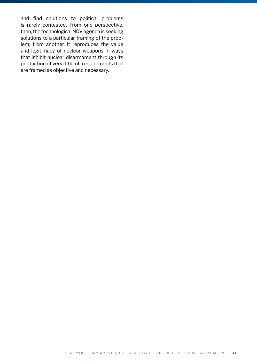and find solutions to political problems is rarely contested. From one perspective, then, the technological NDV agenda is seeking solutions to a particular framing of the problem; from another, it reproduces the value and legitimacy of nuclear weapons in ways that inhibit nuclear disarmament through its production of very difficult requirements that are framed as objective and necessary.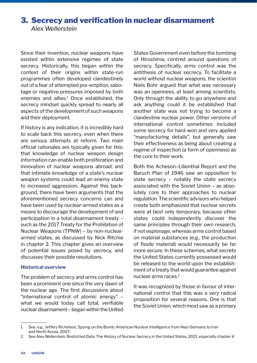## 3. Secrecy and verification in nuclear disarmament *Alex Wellerstein*

Since their invention, nuclear weapons have existed within extensive regimes of state secrecy. Historically, this began within the context of their origins within state-run programmes often developed clandestinely out of a fear of attempted pre-emption, sabotage or negative pressures imposed by both enemies and allies.<sup>1</sup> Once established, the secrecy mindset quickly spread to nearly all aspects of the development of such weapons and their deployment.

If history is any indication, it is incredibly hard to scale back this secrecy, even when there are serious attempts at reform. Two main official rationales are typically given for this: that knowledge of nuclear weapon design information can enable both proliferation and innovation of nuclear weapons abroad; and that intimate knowledge of a state's nuclear weapon systems could lead an enemy state to increased aggression. Against this background, there have been arguments that the aforementioned secrecy concerns can and have been used by nuclear-armed states as a means to discourage the development of and participation in a total disarmament treaty – such as the 2017 Treaty for the Prohibition of Nuclear Weapons (TPNW) – by non-nucleararmed states, as discussed by Nick Ritchie in chapter 2. This chapter gives an overview of potential issues posed by secrecy, and discusses their possible resolutions.

#### **Historical overview**

The problem of secrecy and arms control has been a prominent one since the very dawn of the nuclear age. The first discussions about "international control of atomic energy" – what we would today call total, verifiable nuclear disarmament – began within the United

States Government even before the bombing of Hiroshima, centred around questions of secrecy. Specifically, arms control was the antithesis of nuclear secrecy. To facilitate a world without nuclear weapons, the scientist Niels Bohr argued that what was necessary was an openness, at least among scientists. Only through the ability to go anywhere and ask anything could it be established that another state was not trying to become a clandestine nuclear power. Other versions of international control sometimes included some secrecy for hard-won and very applied "manufacturing details", but generally saw their effectiveness as being about creating a regime of inspection (a form of openness) as the core to their work.

Both the Acheson–Lilienthal Report and the Baruch Plan of 1946 saw an opposition to state secrecy – notably the state secrecy associated with the Soviet Union – as absolutely core to their approaches to nuclear regulation. The scientific advisors who helped create both emphasized that nuclear secrets were at best only temporary, because other states could independently discover the same principles through their own research, if not espionage, whereas arms control based on material substances (e.g., the production of fissile material) would necessarily be far more secure. In these schemes, what secrets the United States currently possessed would be released to the world upon the establishment of a treaty that would guarantee against nuclear arms races.<sup>2</sup>

It was recognized by those in favour of international control that this was a very radical proposition for several reasons. One is that the Soviet Union, which most saw as a primary

<sup>1</sup> See, e.g., Jeffery Richelson, Spying on the Bomb: American Nuclear Intelligence from Nazi Germany to Iran and North Korea, 2007.

<sup>2</sup> See Alex Wellerstein, Restricted Data: The History of Nuclear Secrecy in the United States, 2021, especially chapter 4.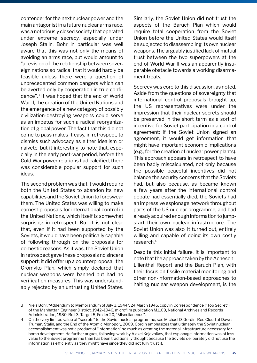contender for the next nuclear power and the main antagonist in a future nuclear arms race, was a notoriously closed society that operated under extreme secrecy, especially under Joseph Stalin. Bohr in particular was well aware that this was not only the means of avoiding an arms race, but would amount to "a revision of the relationship between sovereign nations so radical that it would hardly be feasible unless there were a question of unprecedented common dangers which can be averted only by cooperation in true confidence".3 It was hoped that the end of World War II, the creation of the United Nations and the emergence of a new category of possibly civilization-destroying weapons could serve as an impetus for such a radical reorganization of global power. The fact that this did not come to pass makes it easy, in retrospect, to dismiss such advocacy as either idealism or naivete, but it interesting to note that, especially in the early post-war period, before the Cold War power relations had calcified, there was considerable popular support for such ideas.

The second problem was that it would require both the United States to abandon its new capabilities and the Soviet Union to foreswear them. The United States was willing to make earnest proposals for international control in the United Nations, which itself is somewhat surprising in retrospect. But it is not clear that, even if it had been supported by the Soviets, it would have been politically capable of following through on the proposals for domestic reasons. As it was, the Soviet Union in retrospect gave these proposals no sincere support; it did offer up a counterproposal, the Gromyko Plan, which simply declared that nuclear weapons were banned but had no verification measures. This was understandably rejected by an untrusting United States.

Similarly, the Soviet Union did not trust the aspects of the Baruch Plan which would require total cooperation from the Soviet Union before the United States would itself be subjected to disassembling its own nuclear weapons. The arguably justified lack of mutual trust between the two superpowers at the end of World War II was an apparently insuperable obstacle towards a working disarmament treaty.

Secrecy was core to this discussion, as noted. Aside from the questions of sovereignty that international control proposals brought up, the US representatives were under the impression that their nuclear secrets should be preserved in the short term as a sort of incentive for Soviet participation in a control agreement: if the Soviet Union signed an agreement, it would get information that might have important economic implications (e.g., for the creation of nuclear power plants). This approach appears in retrospect to have been badly miscalculated, not only because the possible peaceful incentives did not balance the security concerns that the Soviets had, but also because, as became known a few years after the international control debate had essentially died, the Soviets had an impressive espionage network throughout parts of the US nuclear programme, and had already acquired enough information to jumpstart their own nuclear infrastructure. The Soviet Union was also, it turned out, entirely willing and capable of doing its own costly research.4

Despite this initial failure, it is important to note that the approach taken by the Acheson– Lilienthal Report and the Baruch Plan, with their focus on fissile material monitoring and other non-information-based approaches to halting nuclear weapon development, is the

<sup>3</sup> Niels Bohr, "Addendum to Memorandum of July 3, 1944", 24 March 1945, copy in Correspondence ("Top Secret") of the Manhattan Engineer District, 1942–1946, microfilm publication M1109, National Archives and Records Administration, 1980, Roll 3, Target 5, Folder 20, "Miscellaneous".

<sup>4</sup> On the very limited value of "secrets" to the Soviet nuclear programme, see Michael D. Gordin, Red Cloud at Dawn: Truman, Stalin, and the End of the Atomic Monopoly, 2009. Gordin emphasizes that ultimately the Soviet nuclear accomplishment was not a product of "information" so much as creating the material infrastructure necessary for bomb development. He further argues, following work by Alexei Kojevnikov, that espionage information was of less value to the Soviet programme than has been traditionally thought because the Soviets deliberately did not use the information as efficiently as they might have since they did not fully trust it.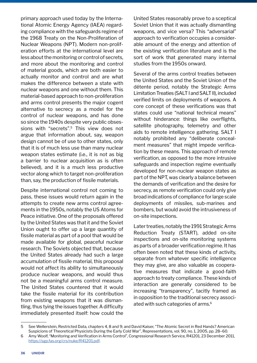primary approach used today by the International Atomic Energy Agency (IAEA) regarding compliance with the safeguards regime of the 1968 Treaty on the Non-Proliferation of Nuclear Weapons (NPT). Modern non-proliferation efforts at the international level are less about the monitoring or control of secrets, and more about the monitoring and control of material goods, which are both easier to actually monitor and control and are what makes the difference between a state with nuclear weapons and one without them. This material-based approach to non-proliferation and arms control presents the major cogent alternative to secrecy as a model for the control of nuclear weapons, and has done so since the 1940s despite very public obsessions with "secrets".5 This view does not argue that information about, say, weapon design cannot be of use to other states, only that it is of much less use than many nuclear weapon states estimate (i.e., it is not as big a barrier to nuclear acquisition as is often believed), and it is a much less productive vector along which to target non-proliferation than, say, the production of fissile materials.

Despite international control not coming to pass, these issues would return again in the attempts to create new arms control agreements in the 1950s, notably the US Atoms for Peace initiative. One of the proposals offered by the United States was that it and the Soviet Union ought to offer up a large quantity of fissile material as part of a pool that would be made available for global, peaceful nuclear research. The Soviets objected that, because the United States already had such a large accumulation of fissile material, this proposal would not affect its ability to simultaneously produce nuclear weapons, and would thus not be a meaningful arms control measure. The United States countered that it would take the fissile material for its contribution from existing weapons that it was dismantling, thus tying the issues together. A difficulty immediately presented itself: how could the

United States reasonably prove to a sceptical Soviet Union that it was actually dismantling weapons, and vice versa? This "adversarial" approach to verification occupies a considerable amount of the energy and attention of the existing verification literature and is the sort of work that generated many internal studies from the 1950s onward.

Several of the arms control treaties between the United States and the Soviet Union of the détente period, notably the Strategic Arms Limitation Treaties (SALT I and SALT II), included verified limits on deployments of weapons. A core concept of these verifications was that states could use "national technical means" without hinderance: things like overflights, satellite photography, telemetry and other aids to remote intelligence gathering. SALT I notably prohibited any "deliberate concealment measures" that might impede verification by these means. This approach of remote verification, as opposed to the more intrusive safeguards and inspection regime eventually developed for non-nuclear weapon states as part of the NPT, was clearly a balance between the demands of verification and the desire for secrecy, as remote verification could only give broad indications of compliance for large scale deployments of missiles, sub-marines and bombers, but would avoid the intrusiveness of on-site inspections.

Later treaties, notably the 1991 Strategic Arms Reduction Treaty (START), added on-site inspections and on-site monitoring systems as parts of a broader verification regime. It has often been noted that these kinds of activity, separate from whatever specific intelligence they may give, are also valuable as cooperative measures that indicate a good-faith approach to treaty compliance. These kinds of interaction are generally considered to be increasing "transparency", tacitly framed as in opposition to the traditional secrecy associated with such categories of arms.<sup>6</sup>

<sup>5</sup> See Wellerstein, Restricted Data, chapters 4, 8 and 9; and David Kaiser, "The Atomic Secret in Red Hands? American Suspicions of Theoretical Physicists During the Early Cold War", Representations, vol. 90, no. 1, 2005, pp. 28–60.

<sup>6</sup> Amy Woolf, "Monitoring and Verification in Arms Control", Congressional Research Service, R41201, 23 December 2011, <https://sgp.fas.org/crs/nuke/R41201.pdf>.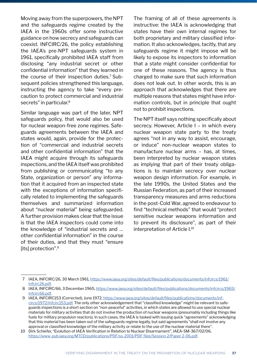Moving away from the superpowers, the NPT and the safeguards regime created by the IAEA in the 1960s offer some instructive guidance on how secrecy and safeguards can coexist. INFCIRC/26, the policy establishing the IAEA's pre-NPT safeguards system in 1961, specifically prohibited IAEA staff from disclosing "any industrial secret or other confidential information" that they learned in the course of their inspection duties.<sup>7</sup> Subsequent policies strengthened this language, instructing the agency to take "every precaution to protect commercial and industrial secrets" in particular.<sup>8</sup>

Similar language was part of the later, NPT safeguards policy, that would also be used for nuclear weapon-free zone regimes. Safeguards agreements between the IAEA and states would, again, provide for the protection of "commercial and industrial secrets and other confidential information" that the IAEA might acquire through its safeguards inspections, and the IAEA itself was prohibited from publishing or communicating "to any State, organization or person" any information that it acquired from an inspected state with the exceptions of information specifically related to implementing the safeguards themselves and summarized information about "nuclear material" being safeguarded. A further provision makes clear that the issue is that the IAEA inspectors could come into the knowledge of "industrial secrets and … other confidential information" in the course of their duties, and that they must "ensure lits] protection".<sup>9</sup>

The framing of all of these agreements is instructive: the IAEA is acknowledging that states have their own internal regimes for both proprietary and military classified information. It also acknowledges, tacitly, that any safeguards regime it might impose will be likely to expose its inspectors to information that a state might consider confidential for one of these reasons. The agency is thus charged to make sure that such information does not leak out. In other words, this is an approach that acknowledges that there are multiple reasons that states might have information controls, but in principle that ought not to prohibit inspections.

The NPT itself says nothing specifically about secrecy. However, Article I – in which every nuclear weapon state party to the treaty agrees "not in any way to assist, encourage, or induce" non-nuclear weapon states to manufacture nuclear arms – has, at times, been interpreted by nuclear weapon states as implying that part of their treaty obligations is to maintain secrecy over nuclear weapon design information. For example, in the late 1990s, the United States and the Russian Federation, as part of their increased transparency measures and arms reductions in the post-Cold War, agreed to endeavour to find "technical methods" that would "protect sensitive nuclear weapons information and to prevent its disclosure", as part of their interpretation of Article I.10

 <sup>7</sup> IAEA, INFCIRC/26, 30 March 1961, [https://www.iaea.org/sites/default/files/publications/documents/infcircs/1961/](https://www.iaea.org/sites/default/files/publications/documents/infcircs/1961/infcirc26.pdf) [infcirc26.pdf](https://www.iaea.org/sites/default/files/publications/documents/infcircs/1961/infcirc26.pdf).

 <sup>8</sup> IAEA, INFCIRC/66, 3 December 1965, h[ttps://www.iaea.org/sites/default/files/publications/documents/infcircs/1965/](https://www.iaea.org/sites/default/files/publications/documents/infcircs/1965/infcirc66.pdf) [infcirc66.pdf](https://www.iaea.org/sites/default/files/publications/documents/infcircs/1965/infcirc66.pdf).

<sup>9</sup> IAEA, INFCIRC153 (Corrected), June 1972, [https://www.iaea.org/sites/default/files/publications/documents/inf](https://www.iaea.org/sites/default/files/publications/documents/infcircs/1972/infcirc153.pdf)[circs/1972/infcirc153.pdf](https://www.iaea.org/sites/default/files/publications/documents/infcircs/1972/infcirc153.pdf). The only other acknowledgement that "classified knowledge" might be relevant to safeguards inspections is a short section on "non-peaceful" activities, in which states are allowed to use special nuclear materials for military activities that do not involve the production of nuclear weapons (presumably including things like fuels for military propulsion reactors). In such cases, the IAEA is tasked with issuing quick "agreements" acknowledging that this material has been taken out of the safeguards regime legally, but said agreements "shall not involve any approval or classified knowledge of the military activity or relate to the use of the nuclear material there".

<sup>10</sup> Dirk Schiefer, "Evolution of IAEA Verification in Relation to Nuclear Disarmament", IAEA-SM-367/02/06, <https://www-pub.iaea.org/MTCD/publications/PDF/ss-2001/PDF files/Session 2/Paper 2-06.pdf>.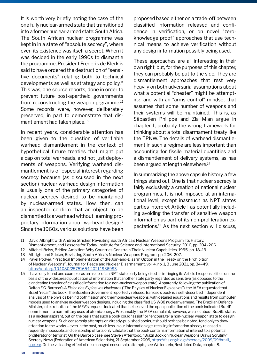It is worth very briefly noting the case of the one fully nuclear-armed state that transitioned into a former nuclear-armed state: South Africa. The South African nuclear programme was kept in in a state of "absolute secrecy", where even its existence was itself a secret. When it was decided in the early 1990s to dismantle the programme, President Frederik de Klerk is said to have ordered the destruction of "sensitive documents" relating both to technical developments as well as strategy and policy. $11$ This was, one source reports, done in order to prevent future post-apartheid governments from reconstructing the weapon prgramme.<sup>12</sup> Some records were, however, deliberately preserved, in part to demonstrate that dismantlement had taken place.<sup>13</sup>

In recent years, considerable attention has been given to the question of verifiable warhead dismantlement in the context of hypothetical future treaties that might put a cap on total warheads, and not just deployments of weapons. Verifying warhead dismantlement is of especial interest regarding secrecy because (as discussed in the next section) nuclear warhead design information is usually one of the primary categories of nuclear secrecy desired to be maintained by nuclear-armed states. How, then, can an inspector confirm that an object to be dismantled is a warhead without learning proprietary information about warhead design? Since the 1960s, various solutions have been

proposed based either on a trade-off between classified information released and confidence in verification, or on novel "zeroknowledge proof" approaches that use technical means to achieve verification without any design information possibly being used.

These approaches are all interesting in their own right, but, for the purposes of this chapter, they can probably be put to the side. They are dismantlement approaches that rest very heavily on both adversarial assumptions about what a potential "cheater" might be attempting, and with an "arms control" mindset that assumes that some number of weapons and their systems will be maintained. This is, as Sébastien Philippe and Zia Mian argue in chapter 1, probably the wrong framework for thinking about a total disarmament treaty like the TPNW. The details of warhead dismantlement in such a regime are less important than accounting for fissile material quantities and a dismantlement of delivery systems, as has been argued at length elsewhere.<sup>14</sup>

In summarizing the above capsule history, a few things stand out. One is that nuclear secrecy is fairly exclusively a creation of national nuclear programmes. It is not imposed at an international level, except inasmuch as NPT states parties interpret Article I as potentially including avoiding the transfer of sensitive weapon information as part of its non-proliferation expectations.15 As the next section will discuss,

<sup>11</sup> David Albright with Andrea Stricker, Revisiting South Africa's Nuclear Weapons Program: Its History,

Dismantlement, and Lessons for Today, Institute for Science and International Security, 2016, pp. 204–206.

<sup>12</sup> Mitchell Reiss, Bridled Ambition: Why Countries Constrain Their Nuclear Capabilities, 1995, pp. 18–19.

<sup>13</sup> Albright and Sticker, Revisiting South Africa's Nuclear Weapons Program, pp. 206–207.

<sup>14</sup> Pavel Podvig, "Practical Implementation of the Join-and-Disarm Option in the Treaty on the Prohibition of Nuclear Weapons", Journal for Peace and Nuclear Disarmament, vol. 4, no. 1, 3 June 2021, pp. 34–49, <https://doi.org/10.1080/25751654.2021.1936993>.

<sup>15</sup> I have only found one example, as an aside, of an NPT state party being cited as infringing its Article I responsibilities on the basis of the widespread publication of information that another state party regarded as sensitive (as opposed to the clandestine transfer of classified information to a non-nuclear weapon state). Apparently, following the publication of Dalton E.G. Barroso's *A Física dos Explosivos Nucleares* ("The Physics of Nuclear Explosives"), the IAEA requested that Brazil "recall" the book. The Brazilian Government reportedly refused. Barroso's book is a self-described independent analysis of the physics behind both fission and thermonuclear weapons, with detailed equations and results from computer models used to analyse nuclear weapon designs, including the classified US W88 nuclear warhead. The Brazilian Defence Minister, in his rebuttal of the IAEA's request, indicated that he believed the open publication of the book indicated Brazil's commitment to non-military uses of atomic energy. Presumably, the IAEA complaint, however, was not about Brazil's status as a nuclear aspirant, but on the basis that such a book could "assist" or "encourage" a non-nuclear weapon state to design nuclear weapons. Such censorship attempts on already-published books, it should perhaps be noted, tend only to draw attention to the works – even in the past, much less in our information age, recalling information already released is requently impossible, and censorship efforts only validate that the book contains information of interest to a potential proliferator or terrorist. On the Barroso case, see Steven Aftergood, "Brazil Book on Nuclear Weapons Draws Scrutiny", Secrecy News (Federation of American Scientists), 21 September 2009, [https://fas.org/blogs/secrecy/2009/09/brazil\\_](https://fas.org/blogs/secrecy/2009/09/brazil_nuclear) [nuclear](https://fas.org/blogs/secrecy/2009/09/brazil_nuclear). On the validating effect of mismanaged censorship attempts, see Wellerstein, Restricted Data, chapter 8.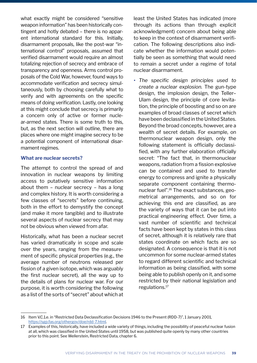what exactly might be considered "sensitive weapon information" has been historically contingent and hotly debated – there is no apparent international standard for this. Initially, disarmament proposals, like the post-war "international control" proposals, assumed that verified disarmament would require an almost totalizing rejection of secrecy and embrace of transparency and openness. Arms control proposals of the Cold War, however, found ways to accommodate verification and secrecy simultaneously, both by choosing carefully what to verify and with agreements on the specific means of doing verification. Lastly, one looking at this might conclude that secrecy is primarily a concern only of active or former nuclear-armed states. There is some truth to this, but, as the next section will outline, there are places where one might imagine secrecy to be a potential component of international disarmament regimes.

#### **What are nuclear secrets?**

The attempt to control the spread of and innovation in nuclear weapons by limiting access to putatively sensitive information about them – nuclear secrecy – has a long and complex history. It is worth considering a few classes of "secrets" before continuing, both in the effort to demystify the concept (and make it more tangible) and to illustrate several aspects of nuclear secrecy that may not be obvious when viewed from afar.

Historically, what has been a nuclear secret has varied dramatically in scope and scale over the years, ranging from the measurement of specific physical properties (e.g., the average number of neutrons released per fission of a given isotope, which was arguably the first nuclear secret), all the way up to the details of plans for nuclear war. For our purpose, it is worth considering the following as a list of the sorts of "secret" about which at

least the United States has indicated (more through its actions than through explicit acknowledgment) concern about being able to keep in the context of disarmament verification. The following descriptions also indicate whether the information would potentially be seen as something that would need to remain a secret under a regime of total nuclear disarmament.

• *The specific design principles used to create a nuclear explosion.* The gun-type design, the implosion design, the Teller– Ulam design, the principle of core levitation, the principle of boosting and so on are examples of broad classes of secret which have been declassified in the United States. Beyond the broad concepts, however, are a wealth of secret details. For example, on thermonuclear weapon design, only the following statement is officially declassified, with any further elaboration officially secret: "The fact that, in thermonuclear weapons, radiation from a fission explosive can be contained and used to transfer energy to compress and ignite a physically separate component containing thermonuclear fuel".16 The exact substances, geometrical arrangements, and so on for achieving this end are classified, as are the variety of ways that it can be put into practical engineering effect. Over time, a vast number of scientific and technical facts have been kept by states in this class of secret, although it is relatively rare that states coordinate on which facts are so designated. A consequence is that it is not uncommon for some nuclear-armed states to regard different scientific and technical information as being classified, with some being able to publish openly on it, and some restricted by their national legislation and regulations.<sup>17</sup>

<sup>16</sup> Item V.C.1.e. in "Restricted Data Declassification Decisions 1946 to the Present (RDD-7)", 1 January 2001, <https://sgp.fas.org/othergov/doe/rdd-7.html>.

<sup>17</sup> Examples of this, historically, have included a wide variety of things, including the possibility of peaceful nuclear fusion at all, which was classified in the United States until 1958, but was published quite openly by many other countries prior to this point. See Wellerstein, Restricted Data, chapter 6.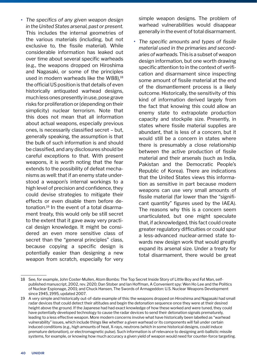• *The specifics of any given weapon design in the United States arsenal, past or present.* This includes the internal geometries of the various materials (including, but not exclusive to, the fissile material). While considerable information has leaked out over time about several specific warheads (e.g., the weapons dropped on Hiroshima and Nagasaki, or some of the principles used in modern warheads like the W88).<sup>18</sup> the official US position is that details of even historically antiquated warhead designs, much less ones presently in use, pose grave risks for proliferation or (depending on their simplicity) nuclear terrorism. Note that this does not mean that all information about actual weapons, especially previous ones, is necessarily classified secret – but, generally speaking, the assumption is that the bulk of such information is and should be classified, and any disclosures should be careful exceptions to that. With present weapons, it is worth noting that the fear extends to the possibility of defeat mechanisms as well: that if an enemy state understood a weapon's internal workings to a high level of precision and confidence, they could devise strategies to mitigate their effects or even disable them before detonation.19 In the event of a total disarmament treaty, this would only be still secret to the extent that it gave away very practical design knowledge. It might be considered an even more sensitive class of secret than the "general principles" class, because copying a specific design is potentially easier than designing a new weapon from scratch, especially for very

simple weapon designs. The problem of warhead vulnerabilities would disappear generally in the event of total disarmament.

• *The specific amounts and types of fissile material used in the primaries and secondaries of warheads.* This is a subset of weapon design information, but one worth drawing specific attention to in the context of verification and disarmament since inspecting some amount of fissile material at the end of the dismantlement process is a likely outcome. Historically, the sensitivity of this kind of information derived largely from the fact that knowing this could allow an enemy state to extrapolate production capacity and stockpile size. Presently, in states where fissile material supplies are abundant, that is less of a concern, but it would still be a concern in states where there is presumably a close relationship between the active production of fissile material and their arsenals (such as India, Pakistan and the Democratic People's Republic of Korea). There are indications that the United States views this information as sensitive in part because modern weapons can use very small amounts of fissile material (far lower than the "significant quantity" figures used by the IAEA). The reasons why this is a concern seem unarticulated, but one might speculate that, if acknowledged, this fact could create greater regulatory difficulties or could spur a less-advanced nuclear-armed state towards new design work that would greatly expand its arsenal size. Under a treaty for total disarmament, there would be great

<sup>18</sup> See, for example, John Coster-Mullen, Atom Bombs: The Top Secret Inside Story of Little Boy and Fat Man, selfpublished manuscript, 2002, rev. 2020; Dan Stober and Ian Hoffman, A Convenient spy: Wen Ho Lee and the Politics of Nuclear Espionage, 2001; and Chuck Hansen, The Swords of Armageddon: U.S. Nuclear Weapons Development since 1945, 1995, updated 2007.

<sup>19</sup> A very simple and historically out-of-date example of this: the weapons dropped on Hiroshima and Nagasaki had small radar devices that could detect their altitudes and begin the detonation sequence once they were at their desired height above the ground. If the Japanese had had exact knowledge of how these worked and were tuned, they could have potentially developed technology to cause the radar devices to send their detonation signals prematurely, leading to a less effective weapon. More modern concerns involve what have historically been labelled as "warhead vulnerability" issues, which include things like whether a given warhead or its components will fail under certain induced conditions (e.g., high amounts of heat, X-rays, neutrons (which in some historical designs, could induce premature detonation), or electromagnetic pulse). Such information is of relevance to designing anti-ballistic missile systems, for example, or knowing how much accuracy a given yield of weapon would need for counter-force targeting.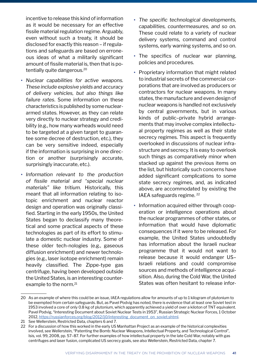incentive to release this kind of information as it would be necessary for an effective fissile material regulation regime. Arguably, even without such a treaty, it should be disclosed for exactly this reason – if regulations and safeguards are based on erroneous ideas of what a militarily significant amount of fissile material is, then that is potentially quite dangerous.<sup>20</sup>

- *Nuclear capabilities for active weapons. These include explosive yields and accuracy of delivery vehicles, but also things like failure rates*. Some information on these characteristics is published by some nucleararmed states. However, as they can relate very directly to nuclear strategy and credibility (e.g., how many warheads would need to be targeted at a given target to guarantee some decree of destruction, etc.), they can be very sensitive indeed, especially if the information is surprising in one direction or another (surprisingly accurate, surprisingly inaccurate, etc.).
- *Information relevant to the production of fissile material and "special nuclear materials" like tritium*. Historically, this meant that all information relating to isotopic enrichment and nuclear reactor design and operation was originally classified. Starting in the early 1950s, the United States began to declassify many theoretical and some practical aspects of these technologies as part of its effort to stimulate a domestic nuclear industry. Some of these older tech-nologies (e.g., gaseous diffusion enrichment) and newer technologies (e.g., laser isotope enrichment) remain heavily classified. The Zippe-type gas centrifuge, having been developed outside the United States, is an interesting counterexample to the norm.<sup>21</sup>
- *The specific technological developments, capabilities, countermeasures, and so on.*  These could relate to a variety of nuclear delivery systems, command and control systems, early warning systems, and so on.
- The specifics of nuclear war planning, policies and procedures.
- Proprietary information that might related to industrial secrets of the commercial corporations that are involved as producers or contractors for nuclear weapons. In many states, the manufacture and even design of nuclear weapons is handled not exclusively by central governments, but in various kinds of public–private hybrid arrangements that may involve complex intellectual property regimes as well as their state secrecy regimes. This aspect is frequently overlooked in discussions of nuclear infrastructure and secrecy. It is easy to overlook such things as comparatively minor when stacked up against the previous items on the list, but historically such concerns have added significant complications to some state secrecy regimes, and, as indicated above, are accommodated by existing the IAEA safeguards regime. 22
- Information acquired either through cooperation or intelligence operations about the nuclear programmes of other states, or information that would have diplomatic consequences if it were to be released. For example, the United States undoubtedly has information about the Israeli nuclear programme that it would not want to release because it would endanger US– Israeli relations and could compromise sources and methods of intelligence acquisition. Also, during the Cold War, the United States was often hesitant to release infor-

<sup>20</sup> As an example of where this could be an issue, IAEA regulations allow for amounts of up to 1 kilogram of plutonium to be exempted from certain safeguards. But, as Pavel Podvig has noted, there is evidence that at least one Soviet test in 1953 involved a core of only 0.8 kg of plutonium, which apparently achieved a yield of over a kiloton of TNT equivalent. Pavel Podvig, "Interesting Document about Soviet Nuclear Tests in 1953", Russian Strategic Nuclear Forces, 1 October 2012, [https://russianforces.org/blog/2012/10/interesting\\_document\\_on\\_soviet.shtml](https://russianforces.org/blog/2012/10/interesting_document_on_soviet.shtml).

<sup>21</sup> See Wellerstein, Restricted Data, chapters 6 and 7.

<sup>22</sup> For a discussion of how this worked in the early US Manhattan Project as an example of the historical complexities involved, see Wellerstein, "Patenting the Bomb: Nuclear Weapons, Intellectual Property, and Technological Control", Isis, vol. 99, 2008, pp. 57–87. For further examples of how intellectual property in the late Cold War, notably with gas centrifuges and laser fusion, complicated US secrecy goals, see also Wellerstein, Restricted Data, chapter 7.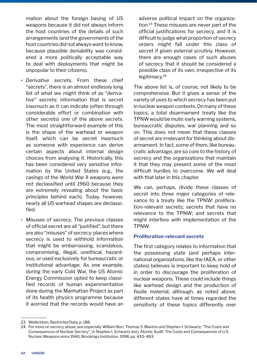mation about the foreign basing of US weapons because it did not always inform the host countries of the details of such arrangements (and the governments of the host countries did not always want to know, because plausible deniability was considered a more politically acceptable way to deal with deployments that might be unpopular to their citizens).

- *Derivative secrets.* From these chief "secrets", there is an almost endlessly long list of what we might think of as "derivative" secrets: information that is secret inasmuch as it can indicate (often through considerable effort or combination with other secrets) one of the above secrets. The most straightforward example of this is the shape of the warhead or weapon itself, which can be secret inasmuch as someone with experience can derive certain aspects about internal design choices from analysing it. Historically, this has been considered very sensitive information by the United States (e.g., the casings of the World War II weapons were not declassified until 1960 because they are extremely revealing about the basic principles behind each). Today, however, nearly all US warhead shapes are declassified.
- *Misuses of secrecy.* The previous classes of official secret are all "justified", but there are also "misuses" of secrecy: places where secrecy is used to withhold information that might be embarrassing, scandalous, compromising, illegal, unethical, hazardous, or used exclusively for bureaucratic or institutional advantage. As one example, during the early Cold War, the US Atomic Energy Commission opted to keep classified records of human experimentation done during the Manhattan Project as part of its health physics programme because it worried that the records would have an

adverse political impact on the organization.<sup>23</sup> These misuses are never part of the official justifications for secrecy, and it is difficult to judge what proportion of secrecy orders might fall under this class of secret if given external scrutiny. However, there are enough cases of such abuses of secrecy that it should be considered a possible class of its own, irrespective of its legitimacy.<sup>24</sup>

The above list is, of course, not likely to be comprehensive. But it gives a sense of the variety of uses to which secrecy has been put in nuclear weapon contexts. On many of these topics, a total disarmament treaty like the TPNW would be mute: early warning systems, bureaucratic disputes, war planning and so on. This does not mean that these classes of secret are irrelevant for thinking about disarmament. In fact, some of them, like bureaucratic advantage, are so core to the history of secrecy and the organizations that maintain it that they may present some of the most difficult hurdles to overcome. We will deal with that later in this chapter.

We can, perhaps, divide these classes of secret into three major categories of relevance to a treaty like the TPNW: proliferation-relevant secrets; secrets that have no relevance to the TPNW; and secrets that might interfere with implementation of the TPNW.

#### **Proliferation-relevant secrets**

The first category relates to information that the possessing state (and perhaps international organizations, like the IAEA, or other states) believes is important to keep hold of in order to discourage the proliferation of nuclear weapons. These could include things like warhead design and the production of fissile material, although, as noted above, different states have at times regarded the sensitivity of these topics differently over

<sup>23</sup> Wellerstein, Restricted Data, p. 188.

<sup>24</sup> For more on secrecy abuse, see especially William Burr, Thomas S. Blanton and Stephen I. Schwartz, "The Costs and Consequences of Nuclear Secrecy", in Stephen I. Schwartz (ed.), Atomic Audit: The Costs and Consequences of U.S. Nuclear Weapons since 1940, Brookings Institution, 1998, pp. 433–483.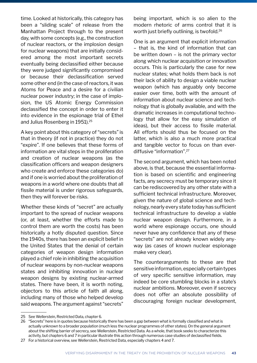time. Looked at historically, this category has been a "sliding scale" of release from the Manhattan Project through to the present day, with some concepts (e.g., the construction of nuclear reactors, or the implosion design for nuclear weapons) that are initially considered among the most important secrets eventually being declassified either because they were judged significantly compromised or because their declassification served some other end (in the case of reactors, it was Atoms for Peace and a desire for a civilian nuclear power industry; in the case of implosion, the US Atomic Energy Commission declassified the concept in order to enter it into evidence in the espionage trial of Ethel and Julius Rosenberg in 1951).25

A key point about this category of "secrets" is that in theory (if not in practice) they do not "expire". If one believes that these forms of information are vital steps in the proliferation and creation of nuclear weapons (as the classification officers and weapon designers who create and enforce these categories do) and if one is worried about the proliferation of weapons in a world where one doubts that all fissile material is under rigorous safeguards, then they will forever be risks.

Whether these kinds of "secret" are actually important to the spread of nuclear weapons (or, at least, whether the efforts made to control them are worth the costs) has been historically a hotly disputed question. Since the 1940s, there has been an explicit belief in the United States that the denial of certain categories of weapon design information played a chief role in inhibiting the acquisition of nuclear weapons by non-nuclear weapons states and inhibiting innovation in nuclear weapon designs by existing nuclear-armed states. There have been, it is worth noting, objectors to this article of faith all along, including many of those who helped develop said weapons. The argument against "secrets"

being important, which is so alien to the modern rhetoric of arms control that it is worth just briefly outlining, is twofold.<sup>26</sup>

One is an argument that explicit information – that is, the kind of information that can be written down – is not the primary vector along which nuclear acquisition or innovation occurs. This is particularly the case for new nuclear states; what holds them back is not their lack of ability to design a viable nuclear weapon (which has arguably only become easier over time, both with the amount of information about nuclear science and technology that is globally available, and with the dramatic increases in computational technology that allow for the easy simulation of ideas), but their access to fissile material. All efforts should thus be focused on the latter, which is also a much more practical and tangible vector to focus on than everdiffusive "information".27

The second argument, which has been noted above, is that, because the essential information is based on scientific and engineering facts, any secrecy must be temporary since it can be rediscovered by any other state with a sufficient technical infrastructure. Moreover, given the nature of global science and technology, nearly every state today has sufficient technical infrastructure to develop a viable nuclear weapon design. Furthermore, in a world where espionage occurs, one should never have any confidence that any of these "secrets" are not already known widely anyway (as cases of known nuclear espionage make very clear).

The counterarguments to these are that sensitive information, especially certain types of very specific sensitive information, may indeed be core stumbling blocks in a state's nuclear ambitions. Moreover, even if secrecy does not offer an absolute possibility of discouraging foreign nuclear development,

<sup>25</sup> See Wellerstein, Restricted Data, chapter 6.

<sup>26</sup> "Secrets" here is in quotes because historically there has been a gap between what is formally classified and what is actually unknown to a broader population (much less the nuclear programmes of other states). On the general argument about the shifting barrier of secrecy, see Wellerstein, Restricted Data. As a whole, that book seeks to characterize this activity, but chapters 6 and 7 in particular illustrate this action through numerous case studies of declassified fields.

<sup>27</sup> For a historical overview, see Wellerstein, Restricted Data, especially chapters 4 and 7.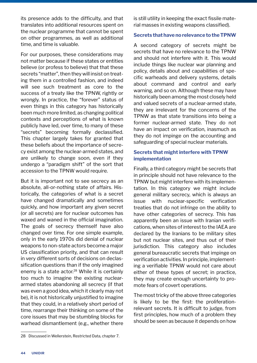its presence adds to the difficulty, and that translates into additional resources spent on the nuclear programme that cannot be spent on other programmes, as well as additional time, and time is valuable.

For our purposes, these considerations may not matter because if these states or entities believe (or profess to believe) that that these secrets "matter", then they will insist on treating them in a controlled fashion, and indeed will see such treatment as core to the success of a treaty like the TPNW, rightly or wrongly. In practice, the "forever" status of even things in this category has historically been much more limited, as changing political contexts and perceptions of what is known publicly have led, over time, to many of these "secrets" becoming formally declassified. This chapter largely takes for granted that these beliefs about the importance of secrecy exist among the nuclear-armed states, and are unlikely to change soon, even if they undergo a "paradigm shift" of the sort that accession to the TPNW would require.

But it is important not to see secrecy as an absolute, all-or-nothing state of affairs. Historically, the categories of what is a secret have changed dramatically and sometimes quickly, and how important any given secret (or all secrets) are for nuclear outcomes has waxed and waned in the official imagination. The goals of secrecy themself have also changed over time. For one simple example, only in the early 1970s did denial of nuclear weapons to non-state actors become a major US classification priority, and that can result in very different sorts of decisions on declassification questions than if the only imagined enemy is a state actor.<sup>28</sup> While it is certainly too much to imagine the existing nucleararmed states abandoning all secrecy (if that was even a good idea, which it clearly may not be), it is not historically unjustified to imagine that they could, in a relatively short period of time, rearrange their thinking on some of the core issues that may be stumbling blocks for warhead dismantlement (e.g., whether there

is still utility in keeping the exact fissile material masses in existing weapons classified).

#### **Secrets that have no relevance to the TPNW**

A second category of secrets might be secrets that have no relevance to the TPNW and should not interfere with it. This would include things like nuclear war planning and policy, details about and capabilities of specific warheads and delivery systems, details about command and control and early warning, and so on. Although these may have historically been among the most closely held and valued secrets of a nuclear-armed state, they are irrelevant for the concerns of the TPNW as that state transitions into being a former nuclear-armed state. They do not have an impact on verification, inasmuch as they do not impinge on the accounting and safeguarding of special nuclear materials.

#### **Secrets that might interfere with TPNW implementation**

Finally, a third category might be secrets that in principle should not have relevance to the TPNW but might interfere with its implementation. In this category we might include general military secrecy, which is always an issue with nuclear-specific verification treaties that do not infringe on the ability to have other categories of secrecy. This has apparently been an issue with Iranian verifications, when sites of interest to the IAEA are declared by the Iranians to be military sites but not nuclear sites, and thus out of their jurisdiction. This category also includes general bureaucratic secrets that impinge on verification activities. In principle, implementing a verifiable TPNW would not care about either of these types of secret; in practice, they may create enough uncertainty to promote fears of covert operations.

The most tricky of the above three categories is likely to be the first: the proliferationrelevant secrets. It is difficult to judge, from first principles, how much of a problem they should be seen as because it depends on how

<sup>28</sup> Discussed in Wellerstein, Restricted Data, chapter 7.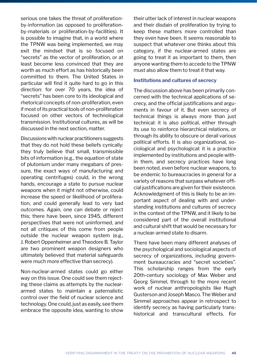serious one takes the threat of proliferationby-information (as opposed to proliferationby-materials or proliferation-by-facilities). It is possible to imagine that, in a world where the TPNW was being implemented, we may exit the mindset that is so focused on "secrets" as the vector of proliferation, or at least become less convinced that they are worth as much effort as has historically been committed to them. The United States in particular will find it quite hard to go in this direction: for over 70 years, the idea of "secrets" has been core to its ideological and rhetorical concepts of non-proliferation, even if most of its practical tools of non-proliferation focused on other vectors of technological transmission. Institutional cultures, as will be discussed in the next section, matter.

Discussions with nuclear practitioners suggests that they do not hold these beliefs cynically: they truly believe that small, transmissible bits of information (e.g., the equation of state of plutonium under many megabars of pressure, the exact ways of manufacturing and operating centrifuges) could, in the wrong hands, encourage a state to pursue nuclear weapons when it might not otherwise, could increase the speed or likelihood of proliferation, and could generally lead to very bad outcomes. Again, one can debate or reject this; there have been, since 1945, different perspectives that were not uninformed, and not all critiques of this come from people outside the nuclear weapon system (e.g., J. Robert Oppenheimer and Theodore B. Taylor are two prominent weapon designers who ultimately believed that material safeguards were much more effective than secrecy).

Non-nuclear-armed states could go either way on this issue. One could see them rejecting these claims as attempts by the nucleararmed states to maintain a paternalistic control over the field of nuclear science and technology. One could, just as easily, see them embrace the opposite idea, wanting to show their utter lack of interest in nuclear weapons and their disdain of proliferation by trying to keep these matters more controlled than they even have been. It seems reasonable to suspect that whatever one thinks about this category, if the nuclear-armed states are going to treat it as important to them, then anyone wanting them to accede to the TPNW must also allow them to treat it that way.

#### **Institutions and cultures of secrecy**

The discussion above has been primarily concerned with the technical applications of secrecy, and the official justifications and arguments in favour of it. But even secrecy of technical things is always more than just technical: it is also political, either through its use to reinforce hierarchical relations, or through its ability to obscure or derail various political efforts. It is also organizational, sociological and psychological: it is a practice implemented by institutions and people within them, and secrecy practices have long been noted, even before nuclear weapons, to be endemic to bureaucracies in general for a variety of reasons that surpass whatever official justifications are given for their existence. Acknowledgment of this is likely to be an important aspect of dealing with and understanding institutions and cultures of secrecy in the context of the TPNW, and it likely to be considered part of the overall institutional and cultural shift that would be necessary for a nuclear-armed state to disarm.

There have been many different analyses of the psychological and sociological aspects of secrecy of organizations, including government bureaucracies and "secret societies". This scholarship ranges from the early 20th-century sociology of Max Weber and Georg Simmel, through to the more recent work of nuclear anthropologists like Hugh Gusterson and Joseph Masco. The Weber and Simmel approaches appear in retrospect to identify secrecy as having particularly transhistorical and transcultural effects. For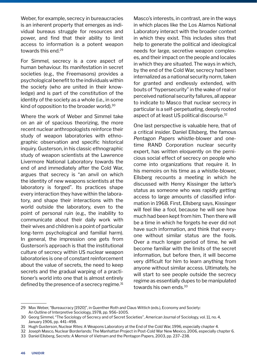Weber, for example, secrecy in bureaucracies is an inherent property that emerges as individual bureaus struggle for resources and power, and find that their ability to limit access to information is a potent weapon towards this end.<sup>29</sup>

For Simmel, secrecy is a core aspect of human behaviour. Its manifestation in secret societies (e.g., the Freemasons) provides a psychological benefit to the individuals within the society (who are united in their knowledge) and is part of the constitution of the identity of the society as a whole (i.e., in some kind of opposition to the broader world).<sup>30</sup>

Where the work of Weber and Simmel take on an air of spacious theorizing, the more recent nuclear anthropologists reinforce their study of weapon laboratories with ethnographic observation and specific historical inquiry. Gusterson, in his classic ethnographic study of weapon scientists at the Lawrence Livermore National Laboratory towards the end of and immediately after the Cold War, argues that secrecy is "an anvil on which the identity of new weapons scientists at the laboratory is forged". Its practices shape every interaction they have within the laboratory, and shape their interactions with the world outside the laboratory, even to the point of personal ruin (e.g., the inability to communicate about their daily work with their wives and children is a point of particular long-term psychological and familial harm). In general, the impression one gets from Gusterson's approach is that the institutional culture of secrecy within US nuclear weapon laboratories is one of constant reinforcement about the value of secrets, the need to keep secrets and the gradual warping of a practitioner's world into one that is almost entirely defined by the presence of a secrecy regime.<sup>31</sup>

Masco's interests, in contrast, are in the ways in which places like the Los Alamos National Laboratory interact with the broader context in which they exist. This includes sites that help to generate the political and ideological needs for large, secretive weapon complexes, and their impact on the people and locales in which they are situated. The ways in which, by the end of the Cold War, secrecy had been internalized as a national security norm, taken for granted and endlessly extended, with bouts of "hypersecurity" in the wake of real or perceived national security failures, all appear to indicate to Masco that nuclear secrecy in particular is a self-perpetuating, deeply rooted aspect of at least US political discourse.<sup>32</sup>

One last perspective is valuable here, that of a critical insider. Daniel Ellsberg, the famous *Pentagon Papers* whistle-blower and onetime RAND Corporation nuclear security expert, has written eloquently on the pernicious social effect of secrecy on people who come into organizations that require it. In his memoirs on his time as a whistle-blower, Ellsberg recounts a meeting in which he discussed with Henry Kissinger the latter's status as someone who was rapidly getting access to large amounts of classified information in 1968. First, Ellsberg says, Kissinger will feel like a fool, because he will see how much had been kept from him. Then there will be a time in which he forgets he ever did not have such information, and think that everyone without similar status are the fools. Over a much longer period of time, he will become familiar with the limits of the secret information, but before then, it will become very difficult for him to learn anything from anyone without similar access. Ultimately, he will start to see people outside the secrecy regime as essentially dupes to be manipulated towards his own ends.<sup>33</sup>

<sup>29</sup> Max Weber, "Bureaucracy [1920]", in Guenther Roth and Claus Wittich (eds.), Economy and Society: An Outline of Interpretive Sociology, 1978, pp. 956–1005.

<sup>30</sup> Georg Simmel, "The Sociology of Secrecy and of Secret Societies", American Journal of Sociology, vol. 11, no. 4, January 1906, pp. 441–498.

<sup>31</sup> Hugh Gusterson, Nuclear Rites: A Weapons Laboratory at the End of the Cold War, 1996, especially chapter 4.

<sup>32</sup> Joseph Masco, Nuclear Borderlands: The Manhattan Project in Post-Cold War New Mexico, 2006, especially chapter 6.

<sup>33</sup> Daniel Ellsberg, Secrets: A Memoir of Vietnam and the Pentagon Papers, 2003, pp. 237–238.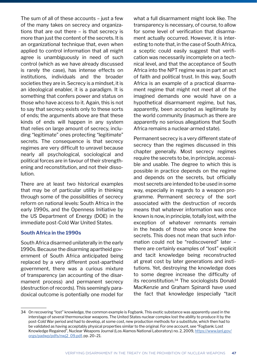The sum of all of these accounts – just a few of the many takes on secrecy and organizations that are out there – is that secrecy is more than just the content of the secrets. It is an organizational technique that, even when applied to control information that all might agree is unambiguously in need of such control (which as we have already discussed is rarely the case), has intense effects on institutions, individuals and the broader societies they are in. Secrecy is a mindset, it is an ideological enabler, it is a paradigm. It is something that confers power and status on those who have access to it. Again, this is not to say that secrecy exists only to these sorts of ends; the arguments above are that these kinds of ends will happen in any system that relies on large amount of secrecy, including "legitimate" ones protecting "legitimate" secrets. The consequence is that secrecy regimes are very difficult to unravel because nearly all psychological, sociological and political forces are in favour of their strengthening and reconstitution, and not their dissolution.

There are at least two historical examples that may be of particular utility in thinking through some of the possibilities of secrecy reform on national levels: South Africa in the early 1990s, and the Openness Initiative by the US Department of Energy (DOE) in the immediate post-Cold War United States.

#### **South Africa in the 1990s**

South Africa disarmed unilaterally in the early 1990s. Because the disarming apartheid government of South Africa anticipated being replaced by a very different post-apartheid government, there was a curious mixture of transparency (an accounting of the disarmament process) and permanent secrecy (destruction of records). This seemingly paradoxical outcome is potentially one model for

what a full disarmament might look like. The transparency is necessary, of course, to allow for some level of verification that disarmament actually occurred. However, it is interesting to note that, in the case of South Africa, a sceptic could easily suggest that verification was necessarily incomplete on a technical level, and that the acceptance of South Africa into the NPT regime was in part an act of faith and political trust. In this way, South Africa is an example of a practical disarmament regime that might not meet all of the imagined demands one would have on a hypothetical disarmament regime, but has, apparently, been accepted as legitimate by the world community (inasmuch as there are apparently no serious allegations that South Africa remains a nuclear-armed state).

Permanent secrecy is a very different state of secrecy than the regimes discussed in this chapter generally. Most secrecy regimes require the secrets to be, in principle, accessible and usable. The degree to which this is possible in practice depends on the regime and depends on the secrets, but officially most secrets are intended to be used in some way, especially in regards to a weapon programme. Permanent secrecy of the sort associated with the destruction of records means that whatever information was once known is now, in principle, totally lost, with the exception of whatever remnants remain in the heads of those who once knew the secrets. This does not mean that such information could not be "rediscovered" later – there are certainly examples of "lost" explicit and tacit knowledge being reconstructed at great cost by later generations and institutions. Yet, destroying the knowledge does to some degree increase the difficulty of its reconstitution.34 The sociologists Donald MacKenzie and Graham Spinardi have used the fact that knowledge (especially "tacit

<sup>34</sup> On recovering "lost" knowledge, the common example is Fogbank. This exotic substance was apparently used in the interstage of several thermonuclear weapons. The United States nuclear complex lost the ability to produce it by the post-Cold War period and had to develop, at some cost, new production methods for a substitute, which then had to be validated as having acceptably physical properties similar to the original. For one account, see "Fogbank: Lost Knowledge Regained", Nuclear Weapons Journal (Los Alamos National Laboratory) no. 2, 2009, [https://www.lanl.gov/](https://www.lanl.gov/orgs/padwp/pdfs/nwj2_09.pdf) [orgs/padwp/pdfs/nwj2\\_09.pdf](https://www.lanl.gov/orgs/padwp/pdfs/nwj2_09.pdf)[, pp. 20–21.](https://obamawhitehouse.archives.gov/the-press-office/2012/03/26/joint-statement-presidents-republic-kazakhstan-russian-federation-and-un)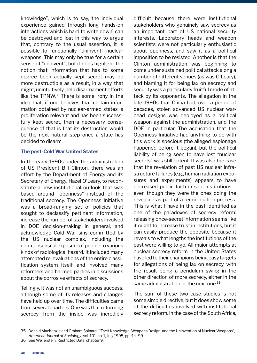knowledge", which is to say, the individual experience gained through long hands-on interactions which is hard to write down) can be destroyed and lost in this way to argue that, contrary to the usual assertion, it is possible to functionally "uninvent" nuclear weapons. This may only be true for a certain sense of "uninvent", but it does highlight the notion that information that has to some degree been actually kept secret may be more destructible as a result, in a way that might, unintuitively, help disarmament efforts like the TPNW.35 There is some irony in the idea that, if one believes that certain information obtained by nuclear-armed states is proliferation relevant and has been successfully kept secret, then a necessary consequence of that is that its destruction would be the next natural step once a state has decided to disarm.

#### **The post-Cold War United States**

In the early 1990s under the administration of US President Bill Clinton, there was an effort by the Department of Energy and its Secretary of Energy, Hazel O'Leary, to reconstitute a new institutional outlook that was based around "openness" instead of the traditional secrecy. The Openness Initiative was a broad-ranging set of policies that sought to declassify pertinent information, increase the number of stakeholders involved in DOE decision-making in general, and acknowledge Cold War sins committed by the US nuclear complex, including the non-consensual exposure of people to various kinds of radiological hazard. It included many attempted re-evaluations of the entire classification system itself, and involved many reformers and harmed parties in discussions about the corrosive effects of secrecy.

Tellingly, it was not an unambiguous success, although some of its releases and changes have held up over time. The difficulties came from several quarters. One was that reforming secrecy from the inside was incredibly difficult because there were institutional stakeholders who genuinely saw secrecy as an important part of US national security interests. Laboratory heads and weapon scientists were not particularly enthusiastic about openness, and saw it as a political imposition to be resisted. Another is that the Clinton administration was beginning to come under sustained political attack along a number of different venues (as was O'Leary), and blaming it for being lax on secrecy and security was a particularly fruitful mode of attack by its opponents. The allegation in the late 1990s that China had, over a period of decades, stolen advanced US nuclear warhead designs was deployed as a political weapon against the administration, and the DOE in particular. The accusation that the Openness Initiative had anything to do with this work is specious (the alleged espionage happened before it began), but the political liability of being seen to have lost "nuclear secrets" was still potent. It was also the case that the revelation of past US nuclear infrastructure failures (e.g., human radiation exposures and experiments) appears to have decreased public faith in said institutions – even though they were the ones doing the revealing as part of a reconciliation process. This is what I have in the past identified as one of the paradoxes of secrecy reform: releasing once-secret information seems like it ought to increase trust in institutions, but it can easily produce the opposite because it reveals to what lengths the institutions of the past were willing to go. All major attempts at nuclear secrecy reform in the United States have led to their champions being easy targets for allegations of being lax on secrecy, with the result being a pendulum swing in the other direction of more secrecy, either in the same administration or the next one.<sup>36</sup>

The sum of these two case studies is not some simple directive, but it does show some of the difficulties involved with institutional secrecy reform. In the case of the South Africa,

<sup>35</sup> Donald MacKenzie and Graham Spinardi, "Tacit Knowledge, Weapons Design, and the Uninvention of Nuclear Weapons", *American Journal of Sociology*, vol. 101, no. 1, July 1995, pp. 44–99.

<sup>36</sup> See Wellerstein, Restricted Data, chapter 9.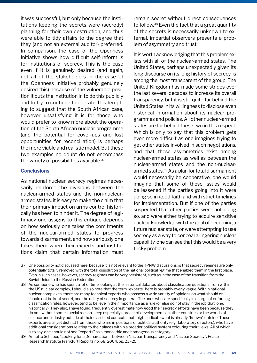it was successful, but only because the institutions keeping the secrets were (secretly) planning for their own destruction, and thus were able to tidy affairs to the degree that they (and not an external auditor) preferred. In comparison, the case of the Openness Initiative shows how difficult self-reform is for institutions of secrecy. This is the case even if it is genuinely desired (and again, not all of the stakeholders in the case of the Openness Initiative probably genuinely desired this) because of the vulnerable position it puts the institution in to do this publicly and to try to continue to operate. It is tempting to suggest that the South African case, however unsatisfying it is for those who would prefer to know more about the operation of the South African nuclear programme (and the potential for cover-ups and lost opportunities for reconciliation) is perhaps the more viable and realistic model. But these two examples no doubt do not encompass the variety of possibilities available.<sup>37</sup>

#### **Conclusions**

As national nuclear secrecy regimes necessarily reinforce the divisions between the nuclear-armed states and the non-nucleararmed states, it is easy to make the claim that their primary impact on arms control historically has been to hinder it. The degree of legitimacy one assigns to this critique depends on how seriously one takes the comitments of the nuclear-armed states to progress towards disarmament, and how seriously one takes them when their experts and institutions claim that certain information must

remain secret without direct consequences to follow.<sup>38</sup> Even the fact that a great quantity of the secrets is necessarily unknown to external, impartial observers presents a problem of asymmetry and trust.

It is worth acknowledging that this problem exists with all of the nuclear-armed states. The United States, perhaps unexpectedly given its long discourse on its long history of secrecy, is among the most transparent of the group. The United Kingdom has made some strides over the last several decades to increase its overall transparency, but it is still quite far behind the United States in its willingness to disclose even historical information about its nuclear programmes and policies. All other nuclear-armed states are far behind these two in this respect. Which is only to say that this problem gets even more difficult as one imagines trying to get other states involved in such negotiations, and that these asymmetries exist among nuclear-armed states as well as between the nuclear-armed states and the non-nucleararmed states.39 As a plan for total disarmament would necessarily be cooperative, one would imagine that some of these issues would be lessened if the parties going into it were doing so in good faith and with strict timelines for implementation. But if one of the parties suspected that other parties were not doing so, and were either trying to acquire sensitive nuclear knowledge with the goal of becoming a future nuclear state, or were attempting to use secrecy as a way to conceal a lingering nuclear capability, one can see that this would be a very tricky problem.

<sup>37</sup> One possibility not discussed here, because it is not relevant to the TPNW discussions, is that secrecy regimes are only potentially totally removed with the total dissolution of the national political regime that enabled them in the first place. Even in such cases, however, secrecy regimes can be very persistent, such as in the case of the transition from the Soviet Union to the Russian Federation.

<sup>38</sup> As someone who has spent a lot of time looking at the historical debates about classification questions from within the US nuclear complex, I should also note that the term "experts" here is probably overly vague. Within national nuclear complexes, there are many technical experts who possess a wide variety of opinions on what should or should not be kept secret, and the utility of secrecy in general. The ones who are specifically in charge of enforcing classification rules, however, tend to believe in their importance as a rule (or else do not stay in the job that long, historically). They also, I have found, frequently overestimate how good their secrecy efforts have been because they do not, without some special reason, keep especially abreast of developments in other countries or the worlds of science and industry outside of their classified contexts that might indicate what is already "known" outside. These experts are still yet distinct from those who are in positions of political authority (e.g., laboratory directors), who have additional considerations relating to their places within a broader political system colouring their views. All of which is to say, one should not see "experts" as a monolithic and homogenous category.

<sup>39</sup> Annette Schaper, "Looking for a Demarcation – between Nuclear Transparency and Nuclear Secrecy", Peace Research Institute Frankfurt Reports no. 68, 2004, pp. 23–25.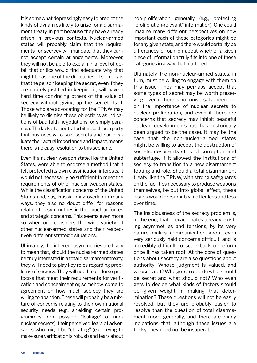It is somewhat depressingly easy to predict the kinds of dynamics likely to arise for a disarmament treaty, in part because they have already arisen in previous contexts. Nuclear-armed states will probably claim that the requirements for secrecy will mandate that they cannot accept certain arrangements. Moreover, they will not be able to explain in a level of detail that critics would find adequate why that might be as one of the difficulties of secrecy is that the person keeping the secret, even if they are entirely justified in keeping it, will have a hard time convincing others of the value of secrecy without giving up the secret itself. Those who are advocating for the TPNW may be likely to dismiss these objections as indications of bad faith negotiations, or simply paranoia. The lack of a neutral arbiter, such as a party that has access to said secrets and can evaluate their actual importance and impact, means there is no easy resolution to this scenario.

Even if a nuclear weapon state, like the United States, were able to endorse a method that it felt protected its own classification interests, it would not necessarily be sufficient to meet the requirements of other nuclear weapon states. While the classification concerns of the United States and, say, Russia, may overlap in many ways, they also no doubt differ for reasons relating to asymmetries in their nuclear forces and strategic concerns. This seems even more so when one considers the wide variety of other nuclear-armed states and their respectively different strategic situations.

Ultimately, the inherent asymmetries are likely to mean that, should the nuclear-armed states be truly interested in a total disarmament treaty, they will need to play key roles regarding problems of secrecy. They will need to endorse protocols that meet their requirements for verification and concealment or, somehow, come to agreement on how much secrecy they are willing to abandon. These will probably be a mixture of concerns relating to their own national security needs (e.g., shielding certain programmes from possible "leakage" of nonnuclear secrets), their perceived fears of adversaries who might be "cheating" (e.g., trying to make sure verification is robust) and fears about non-proliferation generally (e.g., protecting "proliferation-relevant" information). One could imagine many different perspectives on how important each of these categories might be for any given state, and there would certainly be differences of opinion about whether a given piece of information truly fits into one of these categories in a way that mattered.

Ultimately, the non-nuclear-armed states, in turn, must be willing to engage with them on this issue. They may perhaps accept that some types of secret may be worth preserving, even if there is not universal agreement on the importance of nuclear secrets to nuclear proliferation, and even if there are concerns that secrecy may inhibit peaceful nuclear developments (as has historically been argued to be the case). It may be the case that the non-nuclear-armed states might be willing to accept the destruction of secrets, despite its stink of corruption and subterfuge, if it allowed the institutions of secrecy to transition to a new disarmament footing and role. Should a total disarmament treaty like the TPNW, with strong safeguards on the facilities necessary to produce weapons themselves, be put into global effect, these issues would presumably matter less and less over time.

The insidiousness of the secrecy problem is, in the end, that it exacerbates already-existing asymmetries and tensions, by its very nature makes communication about even very seriously held concerns difficult, and is incredibly difficult to scale back or reform once it has taken root. At the core of questions about secrecy are also questions about authority: Whose judgment is valued, and whose is not? Who gets to decide what should be secret and what should not? Who even gets to decide what kinds of factors should be given weight in making that determination? These questions will not be easily resolved, but they are probably easier to resolve than the question of total disarmament more generally, and there are many indications that, although these issues are tricky, they need not be insuperable.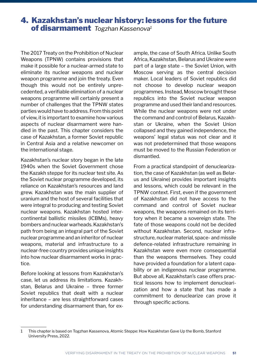### 4. Kazakhstan's nuclear history: lessons for the future of disarmament *Togzhan Kassenova1*

The 2017 Treaty on the Prohibition of Nuclear Weapons (TPNW) contains provisions that make it possible for a nuclear-armed state to eliminate its nuclear weapons and nuclear weapon programme and join the treaty. Even though this would not be entirely unprecedented, a verifiable elimination of a nuclear weapons programme will certainly present a number of challenges that the TPNW states parties would have to address. From this point of view, it is important to examine how various aspects of nuclear disarmament were handled in the past. This chapter considers the case of Kazakhstan, a former Soviet republic in Central Asia and a relative newcomer on the international stage.

Kazakhstan's nuclear story began in the late 1940s when the Soviet Government chose the Kazakh steppe for its nuclear test site. As the Soviet nuclear programme developed, its reliance on Kazakhstan's resources and land grew. Kazakhstan was the main supplier of uranium and the host of several facilities that were integral to producing and testing Soviet nuclear weapons. Kazakhstan hosted intercontinental ballistic missiles (ICBMs), heavy bombers and nuclear warheads. Kazakhstan's path from being an integral part of the Soviet nuclear programme and an inheritor of nuclear weapons, material and infrastructure to a nuclear-free country provides unique insights into how nuclear disarmament works in practice.

Before looking at lessons from Kazakhstan's case, let us address its limitations. Kazakhstan, Belarus and Ukraine – three former Soviet republics that dealt with a nuclear inheritance – are less straightforward cases for understanding disarmament than, for example, the case of South Africa. Unlike South Africa, Kazakhstan, Belarus and Ukraine were part of a large state – the Soviet Union, with Moscow serving as the central decision maker. Local leaders of Soviet republics did not choose to develop nuclear weapon programmes. Instead, Moscow brought these republics into the Soviet nuclear weapon programme and used their land and resources. While the nuclear weapons were not under the command and control of Belarus, Kazakhstan or Ukraine, when the Soviet Union collapsed and they gained independence, the weapons' legal status was not clear and it was not predetermined that those weapons must be moved to the Russian Federation or dismantled.

From a practical standpoint of denuclearization, the case of Kazakhstan (as well as Belarus and Ukraine) provides important insights and lessons, which could be relevant in the TPNW context. First, even if the government of Kazakhstan did not have access to the command and control of Soviet nuclear weapons, the weapons remained on its territory when it became a sovereign state. The fate of those weapons could not be decided without Kazakhstan. Second, nuclear infrastructure, nuclear material, space- and missile defence-related infrastructure remaining in Kazakhstan were even more consequential than the weapons themselves. They could have provided a foundation for a latent capability or an indigenous nuclear programme. But above all, Kazakhstan's case offers practical lessons how to implement denuclearization and how a state that has made a commitment to denuclearize can prove it through specific actions.

<sup>1</sup> This chapter is based on Togzhan Kassenova, Atomic Steppe: How Kazakhstan Gave Up the Bomb, Stanford University Press, 2022.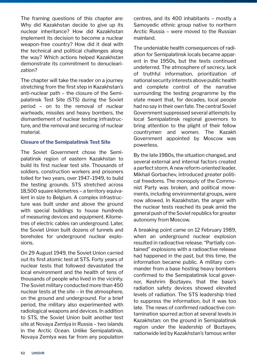The framing questions of this chapter are: Why did Kazakhstan decide to give up its nuclear inheritance? How did Kazakhstan implement its decision to become a nuclear weapon-free country? How did it deal with the technical and political challenges along the way? Which actions helped Kazakhstan demonstrate its commitment to denuclearization?

The chapter will take the reader on a journey stretching from the first step in Kazakhstan's anti-nuclear path – the closure of the Semipalatinsk Test Site (STS) during the Soviet period – on to the removal of nuclear warheads, missiles and heavy bombers, the dismantlement of nuclear testing infrastructure, and the removal and securing of nuclear material.

#### **Closure of the Semipalatinsk Test Site**

The Soviet Government chose the Semipalatinsk region of eastern Kazakhstan to build its first nuclear test site. Thousands of soldiers, construction workers and prisoners toiled for two years, over 1947–1949, to build the testing grounds. STS stretched across 18,500 square kilometres – a territory equivalent in size to Belgium. A complex infrastructure was built under and above the ground with special buildings to house hundreds of measuring devices and equipment. Kilometres of electric cables ran underground. Later, the Soviet Union built dozens of tunnels and boreholes for underground nuclear explosions.

On 29 August 1949, the Soviet Union carried out its first atomic test at STS. Forty years of nuclear tests that followed devastated the local environment and the health of tens of thousands of people who lived in the vicinity. The Soviet military conducted more than 450 nuclear tests at the site – in the atmosphere, on the ground and underground. For a brief period, the military also experimented with radiological weapons and devices. In addition to STS, the Soviet Union built another test site at Novaya Zemlya in Russia – two islands in the Arctic Ocean. Unlike Semipalatinsk, Novaya Zemlya was far from any population

centres, and its 400 inhabitants – mostly a Samoyedic ethnic group native to northern Arctic Russia – were moved to the Russian mainland.

The undeniable health consequences of radiation for Semipalatinsk locals became apparent in the 1950s, but the tests continued undeterred. The atmosphere of secrecy, lack of truthful information, prioritization of national security interests above public health and complete control of the narrative surrounding the testing programme by the state meant that, for decades, local people had no say in their own fate. The central Soviet Government suppressed several attempts by local Semipalatinsk regional governors to bring attention to the plight of their fellow countrymen and women. The Kazakh Government appointed by Moscow was powerless.

By the late 1980s, the situation changed, and several external and internal factors created a perfect storm. A new reform-oriented leader, Mikhail Gorbachev, introduced greater political freedoms. The monopoly of the Communist Party was broken, and political movements, including environmental groups, were now allowed. In Kazakhstan, the anger with the nuclear tests reached its peak amid the general push of the Soviet republics for greater autonomy from Moscow.

A breaking point came on 12 February 1989, when an underground nuclear explosion resulted in radioactive release. "Partially contained" explosions with a radioactive release had happened in the past, but this time, the information became public. A military commander from a base hosting heavy bombers confirmed to the Semipalatinsk local governor, Keshrim Boztayev, that the base's radiation safety devices showed elevated levels of radiation. The STS leadership tried to suppress the information, but it was too late. The news of confirmed radioactive contamination spurred action at several levels in Kazakhstan: on the ground in Semipalatinsk region under the leadership of Boztayev, nationwide led by Kazakhstan's famous writer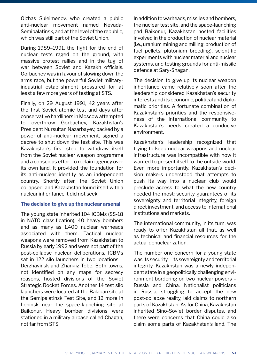Olzhas Suleimenov, who created a public anti-nuclear movement named Nevada-Semipalatinsk, and at the level of the republic, which was still part of the Soviet Union.

During 1989–1991, the fight for the end of nuclear tests raged on the ground, with massive protest rallies and in the tug of war between Soviet and Kazakh officials. Gorbachev was in favour of slowing down the arms race, but the powerful Soviet militaryindustrial establishment pressured for at least a few more years of testing at STS.

Finally, on 29 August 1991, 42 years after the first Soviet atomic test and days after conservative hardliners in Moscow attempted to overthrow Gorbachev, Kazakhstan's President Nursultan Nazarbayev, backed by a powerful anti-nuclear movement, signed a decree to shut down the test site. This was Kazakhstan's first step to withdraw itself from the Soviet nuclear weapon programme and a conscious effort to reclaim agency over its own land. It provided the foundation for its anti-nuclear identity as an independent country. Shortly after, the Soviet Union collapsed, and Kazakhstan found itself with a nuclear inheritance it did not seek.

#### **The decision to give up the nuclear arsenal**

The young state inherited 104 ICBMs (SS-18 in NATO classification), 40 heavy bombers and as many as 1,400 nuclear warheads associated with them. Tactical nuclear weapons were removed from Kazakhstan to Russia by early 1992 and were not part of the post-collapse nuclear deliberations. ICBMs sat in 122 silo launchers in two locations – Derzhavinsk and Zhangiz Tobe. Both towns, not identified on any maps for secrecy reasons, hosted divisions of the Soviet Strategic Rocket Forces. Another 14 test silo launchers were located at the Balapan site at the Semipalatinsk Test Site, and 12 more in Leninsk near the space-launching site at Baikonur. Heavy bomber divisions were stationed in a military airbase called Chagan, not far from STS.

In addition to warheads, missiles and bombers, the nuclear test site, and the space-launching pad Baikonur, Kazakhstan hosted facilities involved in the production of nuclear material (i.e., uranium mining and milling, production of fuel pellets, plutonium breeding), scientific experiments with nuclear material and nuclear systems, and testing grounds for anti-missile defence at Sary-Shagan.

The decision to give up its nuclear weapon inheritance came relatively soon after the leadership considered Kazakhstan's security interests and its economic, political and diplomatic priorities. A fortunate combination of Kazakhstan's priorities and the responsiveness of the international community to Kazakhstan's needs created a conducive environment.

Kazakhstan's leadership recognized that trying to keep nuclear weapons and nuclear infrastructure was incompatible with how it wanted to present itself to the outside world. Even more importantly, Kazakhstan's decision makers understood that attempts to push its way into a nuclear club would preclude access to what the new country needed the most: security guarantees of its sovereignty and territorial integrity, foreign direct investment, and access to international institutions and markets.

The international community, in its turn, was ready to offer Kazakhstan all that, as well as technical and financial resources for the actual denuclearization.

The number one concern for a young state was its security – its sovereignty and territorial integrity. Kazakhstan was a newly independent state in a geopolitically challenging environment bordering on two nuclear powers – Russia and China. Nationalist politicians in Russia, struggling to accept the new post-collapse reality, laid claims to northern parts of Kazakhstan. As for China, Kazakhstan inherited Sino-Soviet border disputes, and there were concerns that China could also claim some parts of Kazakhstan's land. The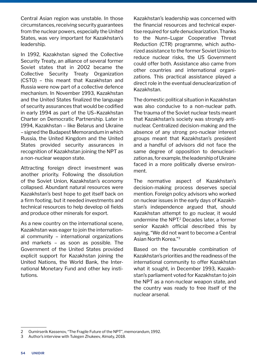Central Asian region was unstable. In those circumstances, receiving security guarantees from the nuclear powers, especially the United States, was very important for Kazakhstan's leadership.

In 1992, Kazakhstan signed the Collective Security Treaty, an alliance of several former Soviet states that in 2002 became the Collective Security Treaty Organization (CSTO) – this meant that Kazakhstan and Russia were now part of a collective defence mechanism. In November 1993, Kazakhstan and the United States finalized the language of security assurances that would be codified in early 1994 as part of the US–Kazakhstan Charter on Democratic Partnership. Later in 1994, Kazakhstan – like Belarus and Ukraine – signed the Budapest Memorandum in which Russia, the United Kingdom and the United States provided security assurances in recognition of Kazakhstan joining the NPT as a non-nuclear weapon state.

Attracting foreign direct investment was another priority. Following the dissolution of the Soviet Union, Kazakhstan's economy collapsed. Abundant natural resources were Kazakhstan's best hope to get itself back on a firm footing, but it needed investments and technical resources to help develop oil fields and produce other minerals for export.

As a new country on the international scene, Kazakhstan was eager to join the international community – international organizations and markets – as soon as possible. The Government of the United States provided explicit support for Kazakhstan joining the United Nations, the World Bank, the International Monetary Fund and other key institutions.

Kazakhstan's leadership was concerned with the financial resources and technical expertise required for safe denuclearization. Thanks to the Nunn–Lugar Cooperative Threat Reduction (CTR) programme, which authorized assistance to the former Soviet Union to reduce nuclear risks, the US Government could offer both. Assistance also came from other countries and international organizations. This practical assistance played a direct role in the eventual denuclearization of Kazakhstan.

The domestic political situation in Kazakhstan was also conducive to a non-nuclear path. The trauma of the Soviet nuclear tests meant that Kazakhstan's society was strongly antinuclear. Centralized decision-making and the absence of any strong pro-nuclear interest groups meant that Kazakhstan's president and a handful of advisors did not face the same degree of opposition to denuclearization as, for example, the leadership of Ukraine faced in a more politically diverse environment.

The normative aspect of Kazakhstan's decision-making process deserves special mention. Foreign policy advisors who worked on nuclear issues in the early days of Kazakhstan's independence argued that, should Kazakhstan attempt to go nuclear, it would undermine the NPT.<sup>2</sup> Decades later, a former senior Kazakh official described this by saying, "We did not want to become a Central Asian North Korea."3

Based on the favourable combination of Kazakhstan's priorities and the readiness of the international community to offer Kazakhstan what it sought, in December 1993, Kazakhstan's parliament voted for Kazakhstan to join the NPT as a non-nuclear weapon state, and the country was ready to free itself of the nuclear arsenal.

<sup>2</sup> Oumirserik Kassenov, "The Fragile Future of the NPT", memorandum, 1992.

<sup>3</sup> Author's interview with Tulegen Zhukeev, Almaty, 2018.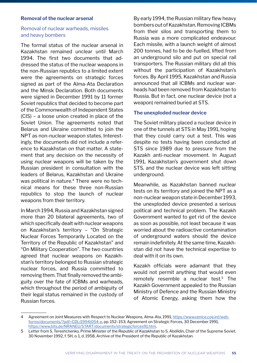#### **Removal of the nuclear arsenal**

#### Removal of nuclear warheads, missiles and heavy bombers

The formal status of the nuclear arsenal in Kazakhstan remained unclear until March 1994. The first two documents that addressed the status of the nuclear weapons in the non-Russian republics to a limited extent were the agreements on strategic forces signed as part of the Alma-Ata Declaration and the Minsk Declaration. Both documents were signed in December 1991 by 11 former Soviet republics that decided to become part of the Commonwealth of Independent States (CIS) – a loose union created in place of the Soviet Union. The agreements noted that Belarus and Ukraine committed to join the NPT as non-nuclear weapon states. Interestingly, the documents did not include a reference to Kazakhstan on that matter. A statement that any decision on the necessity of using nuclear weapons will be taken by the Russian president in consultation with the leaders of Belarus, Kazakhstan and Ukraine was political in nature.<sup>4</sup> There were no technical means for these three non-Russian republics to stop the launch of nuclear weapons from their territory.

In March 1994, Russia and Kazakhstan signed more than 20 bilateral agreements, two of which specifically dealt with nuclear weapons on Kazakhstan's territory – "On Strategic Nuclear Forces Temporarily Located on the Territory of the Republic of Kazakhstan" and "On Military Cooperation". The two countries agreed that nuclear weapons on Kazakhstan's territory belonged to Russian strategic nuclear forces, and Russia committed to removing them. That finally removed the ambiguity over the fate of ICBMs and warheads, which throughout the period of ambiguity of their legal status remained in the custody of Russian forces.

By early 1994, the Russian military flew heavy bombers out of Kazakhstan. Removing ICBMs from their silos and transporting them to Russia was a more complicated endeavour. Each missile, with a launch weight of almost 200 tonnes, had to be de-fuelled, lifted from an underground silo and put on special rail transporters. The Russian military did all this without the participation of Kazakhstan's forces. By April 1995, Kazakhstan and Russia announced that all ICBMs and nuclear warheads had been removed from Kazakhstan to Russia. But in fact, one nuclear device (not a weapon) remained buried at STS.

#### **The unexploded nuclear device**

The Soviet military placed a nuclear device in one of the tunnels at STS in May 1991, hoping that they could carry out a test. This was despite no tests having been conducted at STS since 1989 due to pressure from the Kazakh anti-nuclear movement. In August 1991, Kazakhstan's government shut down STS, and the nuclear device was left sitting underground.

Meanwhile, as Kazakhstan banned nuclear tests on its territory and joined the NPT as a non-nuclear weapon state in December 1993, the unexploded device presented a serious political and technical problem. The Kazakh Government wanted to get rid of the device as soon as possible, not least because it was worried about the radioactive contamination of underground waters should the device remain indefinitely. At the same time, Kazakhstan did not have the technical expertise to deal with it on its own.

Kazakh officials were adamant that they would not permit anything that would even remotely resemble a nuclear test.<sup>5</sup> The Kazakh Government appealed to the Russian Ministry of Defence and the Russian Ministry of Atomic Energy, asking them how the

<sup>4</sup> Agreement on Joint Measures with Respect to Nuclear Weapons, Alma-Ata, 1991, [https://www.venice.coe.int/web](https://www.venice.coe.int/webforms/documents/?pdf=CDL(1994)054-e)[forms/documents/?pdf=CDL\(1994\)054-e, pp](https://www.venice.coe.int/webforms/documents/?pdf=CDL(1994)054-e). 152–153; Agreement on Strategic Forces, 30 December 1991, <https://www.bits.de/NRANEU/START/documents/strategicforces91.htm>.

<sup>5</sup> Letter from S. Tereshchenko, Prime Minister of the Republic of Kazakhstan to S. Abdildin, Chair of the Supreme Soviet, 30 November 1992, f. 5H, o. 1, d. 1958, Archive of the President of the Republic of Kazakhstan.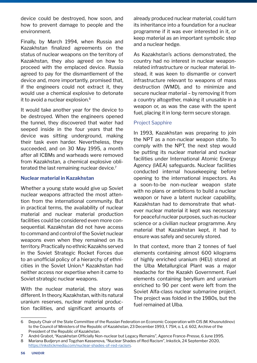device could be destroyed, how soon, and how to prevent damage to people and the environment.

Finally, by March 1994, when Russia and Kazakhstan finalized agreements on the status of nuclear weapons on the territory of Kazakhstan, they also agreed on how to proceed with the emplaced device. Russia agreed to pay for the dismantlement of the device and, more importantly, promised that, if the engineers could not extract it, they would use a chemical explosive to detonate it to avoid a nuclear explosion.<sup>6</sup>

It would take another year for the device to be destroyed. When the engineers opened the tunnel, they discovered that water had seeped inside in the four years that the device was sitting underground, making their task even harder. Nevertheless, they succeeded, and on 30 May 1995, a month after all ICBMs and warheads were removed from Kazakhstan, a chemical explosive obliterated the last remaining nuclear device.<sup>7</sup>

#### **Nuclear material in Kazakhstan**

Whether a young state would give up Soviet nuclear weapons attracted the most attention from the international community. But in practical terms, the availability of nuclear material and nuclear material production facilities could be considered even more consequential. Kazakhstan did not have access to command and control of the Soviet nuclear weapons even when they remained on its territory. Practically no ethnic Kazakhs served in the Soviet Strategic Rocket Forces due to an unofficial policy of a hierarchy of ethnicities in the Soviet Union.<sup>8</sup> Kazakhstan had neither access nor expertise when it came to Soviet strategic nuclear weapons.

With the nuclear material, the story was different. In theory, Kazakhstan, with its natural uranium reserves, nuclear material production facilities, and significant amounts of already produced nuclear material, could turn its inheritance into a foundation for a nuclear programme if it was ever interested in it, or keep material as an important symbolic step and a nuclear hedge.

As Kazakhstan's actions demonstrated, the country had no interest in nuclear weaponrelated infrastructure or nuclear material. Instead, it was keen to dismantle or convert infrastructure relevant to weapons of mass destruction (WMD), and to minimize and secure nuclear material – by removing it from a country altogether, making it unusable in a weapon or, as was the case with the spent fuel, placing it in long-term secure storage.

#### Project Sapphire

In 1993, Kazakhstan was preparing to join the NPT as a non-nuclear weapon state. To comply with the NPT, the next step would be putting its nuclear material and nuclear facilities under International Atomic Energy Agency (IAEA) safeguards. Nuclear facilities conducted internal housekeeping before opening to the international inspectors. As a soon-to-be non-nuclear weapon state with no plans or ambitions to build a nuclear weapon or have a latent nuclear capability, Kazakhstan had to demonstrate that whatever nuclear material it kept was necessary for peaceful nuclear purposes, such as nuclear science or a civilian nuclear programme. Any material that Kazakhstan kept, it had to ensure was safely and securely stored.

In that context, more than 2 tonnes of fuel elements containing almost 600 kilograms of highly enriched uranium (HEU) stored at the Ulba Metallurgical Plant was a major headache for the Kazakh Government. Fuel elements containing beryllium and uranium enriched to 90 per cent were left from the Soviet Alfa-class nuclear submarine project. The project was folded in the 1980s, but the fuel remained at Ulba.

<sup>6</sup> Deputy Chair of the State Committee of the Russian Federation on Economic Cooperation with CIS (M. Khusnutdinov) to the Council of Ministers of the Republic of Kazakhstan, 23 December 1993, f. 75H, o. 1, d. 602, Archive of the President of the Republic of Kazakhstan.

<sup>7</sup> André Grabot, "Kazakhstan Officially Non-nuclear but Legacy Remains", Agence France-Presse, 6 June 1995.

<sup>8</sup> Mariana Budjeryn and Togzhan Kassenova, "Nuclear Shades of Red Racism", Inkstick, 24 September 2020, <https://inkstickmedia.com/nuclear-shades-of-red-racism>.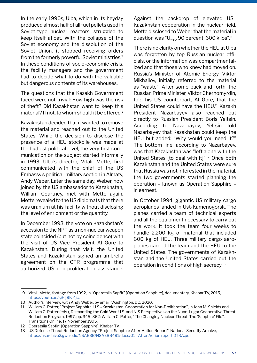In the early 1990s, Ulba, which in its heyday produced almost half of all fuel pellets used in Soviet-type nuclear reactors, struggled to keep itself afloat. With the collapse of the Soviet economy and the dissolution of the Soviet Union, it stopped receiving orders from the formerly powerful Soviet ministries.<sup>9</sup> In these conditions of socio-economic crisis, the facility managers and the government had to decide what to do with the valuable but dangerous contents of its warehouses.

The questions that the Kazakh Government faced were not trivial: How high was the risk of theft? Did Kazakhstan want to keep this material? If not, to whom should it be offered?

Kazakhstan decided that it wanted to remove the material and reached out to the United States. While the decision to disclose the presence of a HEU stockpile was made at the highest political level, the very first communication on the subject started informally in 1993. Ulba's director, Vitalii Mette, first communicated with the chief of the US Embassy's political-military section in Almaty, Andy Weber. Later the same day, Weber, now joined by the US ambassador to Kazakhstan, William Courtney, met with Mette again. Mette revealed to the US diplomats that there was uranium at his facility without disclosing the level of enrichment or the quantity.

In December 1993, the vote on Kazakhstan's accession to the NPT as a non-nuclear weapon state coincided (but not by coincidence) with the visit of US Vice President Al Gore to Kazakhstan. During that visit, the United States and Kazakhstan signed an umbrella agreement on the CTR programme that authorized US non-proliferation assistance.

Against the backdrop of elevated US– Kazakhstan cooperation in the nuclear field, Mette disclosed to Weber that the material in question was " $U_{235}$ , 90 percent, 600 kilos".<sup>10</sup>

There is no clarity on whether the HEU at Ulba was forgotten by top Russian nuclear officials, or the information was compartmentalized and that those who knew had moved on. Russia's Minister of Atomic Energy, Viktor Mikhailov, initially referred to the material as "waste". After some back and forth, the Russian Prime Minister, Viktor Chernomyrdin, told his US counterpart, Al Gore, that the United States could have the HEU.<sup>11</sup> Kazakh President Nazarbayev also reached out directly to Russian President Boris Yeltsin. According to Nazarbayev, Yeltsin told Nazarbayev that Kazakhstan could keep the HEU but added: "Why would you need it?" The bottom line, according to Nazarbayev, was that Kazakhstan was "left alone with the United States [to deal with it]".12 Once both Kazakhstan and the United States were sure that Russia was not interested in the material, the two governments started planning the operation – known as Operation Sapphire – in earnest.

In October 1994, gigantic US military cargo aeroplanes landed in Ust-Kamenogorsk. The planes carried a team of technical experts and all the equipment necessary to carry out the work. It took the team four weeks to handle 2,200 kg of material that included 600 kg of HEU. Three military cargo aeroplanes carried the team and the HEU to the United States. The governments of Kazakhstan and the United States carried out the operation in conditions of high secrecy.<sup>13</sup>

 <sup>9</sup> Vitalii Mette, footage from 1992, in "Operatsiia Sapfir" [Operation Sapphire], documentary, Khabar TV, 2015, <https://youtu.be/kjHIj9K-4jc>.

<sup>10</sup> Author's interview with Andy Weber, by email, Washington, DC, 2020.

<sup>11</sup> William C. Potter, "Project Sapphire: U.S.–Kazakhstani Cooperation for Non-Proliferation", in John M. Shields and William C. Potter (eds.), Dismantling the Cold War: U.S. and NIS Perspectives on the Nunn-Lugar Cooperative Threat Reduction Program, 1997, pp. 345–362; William C. Potter, "The Changing Nuclear Threat: The 'Sapphire' File", Transitions Online, 17 November 1995.

<sup>12</sup> Operatsiia Sapfir" [Operation Sapphire], Khabar TV.

<sup>13</sup> US Defense Threat Reduction Agency, "Project Sapphire After-Action Report", National Security Archive, <https://nsarchive2.gwu.edu/NSAEBB/NSAEBB491/docs/01 - After Action report DTRA.pdf>.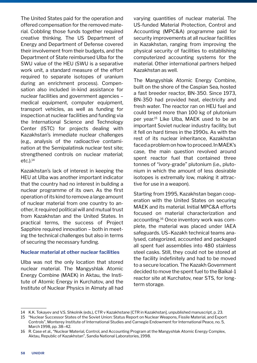The United States paid for the operation and offered compensation for the removed material. Cobbling those funds together required creative thinking. The US Department of Energy and Department of Defense covered their involvement from their budgets, and the Department of State reimbursed Ulba for the SWU value of the HEU (SWU is a separative work unit, a standard measure of the effort required to separate isotopes of uranium during an enrichment process). Compensation also included in-kind assistance for nuclear facilities and government agencies – medical equipment, computer equipment, transport vehicles, as well as funding for inspection at nuclear facilities and funding via the International Science and Technology Center (ISTC) for projects dealing with Kazakhstan's immediate nuclear challenges (e.g., analysis of the radioactive contamination at the Semipalatinsk nuclear test site; strengthened controls on nuclear material; etc.).14

Kazakhstan's lack of interest in keeping the HEU at Ulba was another important indicator that the country had no interest in building a nuclear programme of its own. As the first operation of its kind to remove a large amount of nuclear material from one country to another, it required political will and mutual trust from Kazakhstan and the United States. In practical terms, the success of Project Sapphire required innovation – both in meeting the technical challenges but also in terms of securing the necessary funding.

#### **Nuclear material at other nuclear facilities**

Ulba was not the only location that stored nuclear material. The Mangyshlak Atomic Energy Combine (MAEK) in Aktau, the Institute of Atomic Energy in Kurchatov, and the Institute of Nuclear Physics in Almaty all had varying quantities of nuclear material. The US-funded Material Protection, Control and Accounting (MPC&A) programme paid for security improvements at all nuclear facilities in Kazakhstan, ranging from improving the physical security of facilities to establishing computerized accounting systems for the material. Other international partners helped Kazakhstan as well.

The Mangyshlak Atomic Energy Combine, built on the shore of the Caspian Sea, hosted a fast breeder reactor, BN-350. Since 1973, BN-350 had provided heat, electricity and fresh water. The reactor ran on HEU fuel and could breed more than 100 kg of plutonium per year.15 Like Ulba, MAEK used to be an important Soviet nuclear industry facility, but it fell on hard times in the 1990s. As with the rest of its nuclear inheritance, Kazakhstan faced a problem on how to proceed. In MAEK's case, the main question revolved around spent reactor fuel that contained three tonnes of "ivory-grade" plutonium (i.e., plutonium in which the amount of less desirable isotopes is extremally low, making it attractive for use in a weapon).

Starting from 1995, Kazakhstan began cooperation with the United States on securing MAEK and its material. Initial MPC&A efforts focused on material characterization and accounting.16 Once inventory work was complete, the material was placed under IAEA safeguards. US–Kazakh technical teams analysed, categorized, accounted and packaged all spent fuel assemblies into 480 stainless steel casks. Still, they could not be stored at the facility indefinitely and had to be moved to a secure location. The Kazakh Government decided to move the spent fuel to the Baikal-1 reactor site at Kurchatov, near STS, for longterm storage.

<sup>14</sup> K.K. Tokayev and V.S. Shkolnik (eds.), CTR v Kazakhstane [CTR in Kazakhstan], unpublished manuscript, p. 23.

<sup>15</sup> "Nuclear Successor States of the Soviet Union: Status Report on Nuclear Weapons, Fissile Material, and Export Controls", Monterey Institute of International Studies and Carnegie Endowment for International Peace, no. 5, March 1998, pp. 38–42.

<sup>16</sup> R. Case et al., "Nuclear Material, Control, and Accounting Program at the Mangyshlak Atomic Energy Complex, Aktau, Republic of Kazakhstan", Sandia National Laboratories, 1998.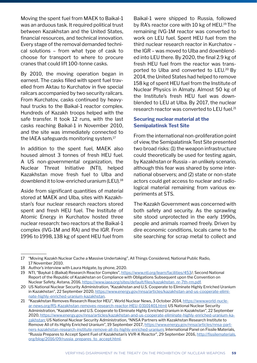Moving the spent fuel from MAEK to Baikal-1 was an arduous task. It required political trust between Kazakhstan and the United States, financial resources, and technical innovation. Every stage of the removal demanded technical solutions – from what type of cask to choose for transport to where to procure cranes that could lift 100-tonne casks.

By 2010, the moving operation began in earnest. The casks filled with spent fuel travelled from Aktau to Kurchatov in five special railcars accompanied by two security railcars. From Kurchatov, casks continued by heavyhaul trucks to the Baikal-1 reactor complex. Hundreds of Kazakh troops helped with the safe transfer. It took 12 runs, with the last casks reaching Baikal-1 in November 2010, and the site was immediately connected to the IAEA safeguards monitoring system.17

In addition to the spent fuel, MAEK also housed almost 3 tonnes of fresh HEU fuel. A US non-governmental organization, the Nuclear Threat Initiative (NTI), helped Kazakhstan move fresh fuel to Ulba and downblend it to low-enriched uranium (LEU).18

Aside from significant quantities of material stored at MAEK and Ulba, sites with Kazakhstan's four nuclear research reactors stored spent and fresh HEU fuel. The Institute of Atomic Energy in Kurchatov hosted three nuclear research: two reactors at the Baikal-1 complex (IVG-1M and RA) and the IGR. From 1996 to 1998, 138 kg of spent HEU fuel from

Baikal-1 were shipped to Russia, followed by RA's reactor core with 10 kg of HEU.<sup>19</sup> The remaining IVG-1M reactor was converted to work on LEU fuel. Spent HEU fuel from the third nuclear research reactor in Kurchatov – the IGR – was moved to Ulba and downblended into LEU there. By 2020, the final 2.9 kg of fresh HEU fuel from the reactor was transported to Ulba and converted to LEU.20 By 2014, the United States had helped to remove 158 kg of spent HEU fuel from the Institute of Nuclear Physics in Almaty. Almost 50 kg of the Institute's fresh HEU fuel was downblended to LEU at Ulba. By 2017, the nuclear research reactor was converted to LEU fuel.<sup>21</sup>

#### **Securing nuclear material at the Semipalatinsk Test Site**

From the international non-proliferation point of view, the Semipalatinsk Test Site presented two broad risks: (1) the weapon infrastructure could theoretically be used for testing again, by Kazakhstan or Russia – an unlikely scenario, although this fear was shared by some international observers; and (2) state or non-state actors could get access to nuclear and radiological material remaining from various experiments at STS.

The Kazakh Government was concerned with both safety and security. As the sprawling site stood unprotected in the early 1990s, people and animals roamed freely. Driven by dire economic conditions, locals came to the site searching for scrap metal to collect and

<sup>17</sup> "Moving Kazakh Nuclear Cache a Massive Undertaking", All Things Considered, National Public Radio, 17 November 2010.

<sup>18</sup> Author's interview with Laura Holgate, by phone, 2020.

<sup>19</sup> NTI, "Baykal-1 (Baikal) Research Reactor Complex", [https://www.nti.org/learn/facilities/453/](https://www.nti.org/learn/facilities/453); Second National Report of the Republic of Kazakhstan on Compliance with Obligations Subsequent upon the Convention on Nuclear Safety, Astana, 2016, [https://www.iaea.org/sites/default/files/kazakhstan\\_nr-7th-rm.pdf](https://www.iaea.org/sites/default/files/kazakhstan_nr-7th-rm.pdf).

<sup>20</sup> US National Nuclear Security Administration, "Kazakhstan and U.S. Cooperate to Eliminate Highly Enriched Uranium in Kazakhstan", 22 September 2020, [https://www.energy.gov/nnsa/articles/kazakhstan-and-us-cooperate-elimi](https://www.energy.gov/nnsa/articles/kazakhstan-and-us-cooperate-eliminate-highly-enriched-uranium-kazakhstan)[nate-highly-enriched-uranium-kazakhstan](https://www.energy.gov/nnsa/articles/kazakhstan-and-us-cooperate-eliminate-highly-enriched-uranium-kazakhstan).

<sup>21</sup> "Kazakhstan Removes Research Reactor HEU", World Nuclear News, 3 October 2014, [https://www.world-nucle](https://www.world-nuclear-news.org/RS-Kazakhstan-removes-research-reactor-HEU-03101401.html)[ar-news.org/RS-Kazakhstan-removes-research-reactor-HEU-03101401.html](https://www.world-nuclear-news.org/RS-Kazakhstan-removes-research-reactor-HEU-03101401.html); US National Nuclear Security Administration, "Kazakhstan and U.S. Cooperate to Eliminate Highly Enriched Uranium in Kazakhstan", 22 September 2020, [https://www.energy.gov/nnsa/articles/kazakhstan-and-us-cooperate-eliminate-highly-enriched-uranium-ka](https://www.energy.gov/nnsa/articles/kazakhstan-and-us-cooperate-eliminate-highly-enriched-uranium-kazakhstan)[zakhstan;](https://www.energy.gov/nnsa/articles/kazakhstan-and-us-cooperate-eliminate-highly-enriched-uranium-kazakhstan) US National Nuclear Security Administration, "NNSA Partners with Kazakhstan Research Institute to Remove All of its Highly Enriched Uranium", 19 September 2017, [https://www.energy.gov/nnsa/articles/nnsa-part](https://www.energy.gov/nnsa/articles/nnsa-partners-kazakhstan-research-institute-remove-all-its-highly-enriched-uranium)[ners-kazakhstan-research-institute-remove-all-its-highly-enriched-uranium](https://www.energy.gov/nnsa/articles/nnsa-partners-kazakhstan-research-institute-remove-all-its-highly-enriched-uranium); International Panel on Fissile Materials, "Russia Prepares to Accept Spent Fuel of Kazakhstan's VVR-K Reactor", 29 September 2016, [http://fissilematerials.](http://fissilematerials.org/blog/2016/09/russia_prepares_to_accept.html) [org/blog/2016/09/russia\\_prepares\\_to\\_accept.html](http://fissilematerials.org/blog/2016/09/russia_prepares_to_accept.html).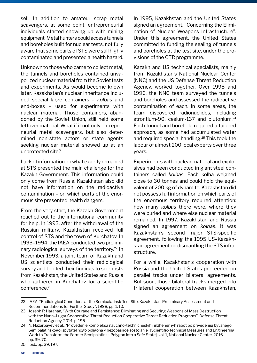sell. In addition to amateur scrap metal scavengers, at some point, entrepreneurial individuals started showing up with mining equipment. Metal hunters could access tunnels and boreholes built for nuclear tests, not fully aware that some parts of STS were still highly contaminated and presented a health hazard.

Unknown to those who came to collect metal, the tunnels and boreholes contained unvaporized nuclear material from the Soviet tests and experiments. As would become known later, Kazakhstan's nuclear inheritance included special large containers – *kolbas* and end-boxes – used for experiments with nuclear material. Those containers, abandoned by the Soviet Union, still held some leftover material. What if it not only entrepreneurial metal scavengers, but also determined non-state actors or state agents seeking nuclear material showed up at an unprotected site?

Lack of information on what exactly remained at STS presented the main challenge for the Kazakh Government. This information could only come from Russia. Kazakhstan also did not have information on the radioactive contamination – on which parts of the enormous site presented health dangers.

From the very start, the Kazakh Government reached out to the international community for help. In 1993, after the withdrawal of the Russian military, Kazakhstan received full control of STS and the town of Kurchatov. In 1993–1994, the IAEA conducted two preliminary radiological surveys of the territory.<sup>22</sup> In November 1993, a joint team of Kazakh and US scientists conducted their radiological survey and briefed their findings to scientists from Kazakhstan, the United States and Russia who gathered in Kurchatov for a scientific conference.<sup>23</sup>

In 1995, Kazakhstan and the United States signed an agreement, "Concerning the Elimination of Nuclear Weapons Infrastructure". Under this agreement, the United States committed to funding the sealing of tunnels and boreholes at the test site, under the provisions of the CTR programme.

Kazakh and US technical specialists, mainly from Kazakhstan's National Nuclear Center (NNC) and the US Defense Threat Reduction Agency, worked together. Over 1995 and 1996, the NNC team surveyed the tunnels and boreholes and assessed the radioactive contamination of each. In some areas, the team discovered radionuclides, including strontium-90, cesium-137 and plutonium.<sup>24</sup> Each tunnel and borehole required a tailored approach, as some had accumulated water and required special handling.25 This took the labour of almost 200 local experts over three years.

Experiments with nuclear material and explosives had been conducted in giant steel containers called *kolbas*. Each kolba weighed close to 30 tonnes and could hold the equivalent of 200 kg of dynamite. Kazakhstan did not possess full information on which parts of the enormous territory required attention: how many *kolbas* there were, where they were buried and where else nuclear material remained. In 1997, Kazakhstan and Russia signed an agreement on *kolbas*. It was Kazakhstan's second major STS-specific agreement, following the 1995 US–Kazakhstan agreement on dismantling the STS infrastructure.

For a while, Kazakhstan's cooperation with Russia and the United States proceeded on parallel tracks under bilateral agreements. But soon, those bilateral tracks merged into trilateral cooperation between Kazakhstan,

<sup>22</sup> IAEA, "Radiological Conditions at the Semipalatinsk Test Site, Kazakhstan: Preliminary Assessment and Recommendations for Further Study", 1998, pp. 1, 10.

<sup>23</sup> Joseph P. Harahan, "With Courage and Persistence: Eliminating and Securing Weapons of Mass Destruction with the Nunn–Lugar Cooperative Threat Reduction Cooperative Threat Reduction Programs", Defense Threat Reduction Agency, 2014, p. 195.

<sup>24</sup> N. Nazarbayev et al., "Provedenie kompleksa nauchno-tekhnicheskih i inzhenernyh rabot po privedeniiu byvshego Semipalatinskogo ispytatel'nogo poligona v bezopasnoe sostoianie" [Scientific-Technical Measures and Engineering Work to Transform the Former Semipalatinsk Polygon into a Safe State], vol. 1, National Nuclear Center, 2016, pp. 39, 70.

<sup>25</sup> Ibid., pp. 39, 197.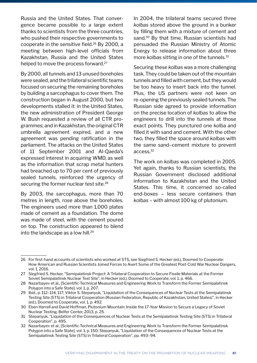Russia and the United States. That convergence became possible to a large extent thanks to scientists from the three countries, who pushed their respective governments to cooperate in the sensitive field.26 By 2000, a meeting between high-level officials from Kazakhstan, Russia and the United States helped to move the process forward.<sup>27</sup>

By 2000, all tunnels and 13 unused boreholes were sealed, and the trilateral scientific teams focused on securing the remaining boreholes by building a sarcophagus to cover them. The construction began in August 2000, but two developments stalled it: in the United States, the new administration of President George W. Bush requested a review of all CTR programmes; and in Kazakhstan, the original CTR umbrella agreement expired, and a new agreement was pending ratification in the parliament. The attacks on the United States of 11 September 2001 and Al-Qaeda's expressed interest in acquiring WMD, as well as the information that scrap metal hunters had breached up to 70 per cent of previously sealed tunnels, reinforced the urgency of securing the former nuclear test site.<sup>28</sup>

By 2003, the sarcophagus, more than 70 metres in length, rose above the boreholes. The engineers used more than 1,000 plates made of cement as a foundation. The dome was made of steel, with the cement poured on top. The construction appeared to blend into the landscape as a low hill.<sup>29</sup>

In 2004, the trilateral teams secured three *kolbas* stored above the ground in a bunker by filling them with a mixture of cement and sand.30 By that time, Russian scientists had persuaded the Russian Ministry of Atomic Energy to release information about three more *kolbas* sitting in one of the tunnels.<sup>31</sup>

Securing these *kolbas* was a more challenging task. They could be taken out of the mountain tunnels and filled with cement, but they would be too heavy to insert back into the tunnel. Plus, the US partners were not keen on re-opening the previously sealed tunnels. The Russian side agreed to provide information on the precise location of *kolbas* to allow the engineers to drill into the tunnels at those exact points. They punctured one kolba and filled it with sand and cement. With the other two, they filled the space around *kolbas* with the same sand–cement mixture to prevent access.<sup>32</sup>

The work on *kolbas* was completed in 2005. Yet again, thanks to Russian scientists, the Russian Government disclosed additional information to Kazakhstan and the United States. This time, it concerned so-called end-boxes – less secure containers than *kolbas* – with almost 100 kg of plutonium.

<sup>26</sup> For first-hand accounts of scientists who worked at STS, see Siegfried S. Hecker (ed.), Doomed to Cooperate: How American and Russian Scientists Joined Forces to Avert Some of the Greatest Post-Cold War Nuclear Dangers, vol. 1, 2016.

<sup>27</sup> Siegfried S. Hecker, "Semipalatinsk Project: A Trilateral Cooperation to Secure Fissile Materials at the Former Soviet Semipalatinsk Nuclear Test Site", in Hecker (ed.), Doomed to Cooperate, vol. 1, p. 466.

<sup>28</sup> Nazarbayev et al., [Scientific-Technical Measures and Engineering Work to Transform the Former Semipalatinsk Polygon into a Safe State], vol. 1, p. 207.

<sup>29</sup> Ibid., p. 112–114, 117; Viktor S. Stepanyuk, "Liquidation of the Consequences of Nuclear Tests at the Semipalatinsk Testing Site (STS) in Trilateral Cooperation (Russian Federation, Republic of Kazakhstan, United States)", in Hecker (ed.), Doomed to Cooperate, vol. 1, p. 492.

<sup>30</sup> Eben Harrell and David Hoffman, Plutonium Mountain: Inside the 17-Year Mission to Secure a Legacy of Soviet Nuclear Testing, Belfer Center, 2013, p. 25.

<sup>31</sup> Stepanyuk, "Liquidation of the Consequences of Nuclear Tests at the Semipalatinsk Testing Site (STS) in Trilateral Cooperation", p. 495.

<sup>32</sup> Nazarbayev et al., [Scientific-Technical Measures and Engineering Work to Transform the Former Semipalatinsk Polygon into a Safe State], vol. 1, p. 150; Stepanyuk, "Liquidation of the Consequences of Nuclear Tests at the Semipalatinsk Testing Site (STS) in Trilateral Cooperation", pp. 493–94.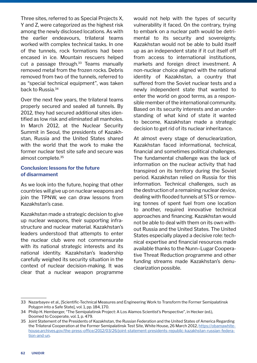Three sites, referred to as Special Projects X, Y and Z, were categorized as the highest risk among the newly disclosed locations. As with the earlier endeavours, trilateral teams worked with complex technical tasks. In one of the tunnels, rock formations had been encased in ice. Mountain rescuers helped cut a passage through. $33$  Teams manually removed metal from the frozen rocks. Debris removed from two of the tunnels, referred to as "special technical equipment", was taken back to Russia.34

Over the next few years, the trilateral teams properly secured and sealed all tunnels. By 2012, they had secured additional sites identified as low risk and eliminated all manholes. In March 2012, at the Nuclear Security Summit in Seoul, the presidents of Kazakhstan, Russia and the United States shared with the world that the work to make the former nuclear test site safe and secure was almost complete.<sup>35</sup>

#### **Conclusion: lessons for the future of disarmament**

As we look into the future, hoping that other countries will give up on nuclear weapons and join the TPNW, we can draw lessons from Kazakhstan's case.

Kazakhstan made a strategic decision to give up nuclear weapons, their supporting infrastructure and nuclear material. Kazakhstan's leaders understood that attempts to enter the nuclear club were not commensurate with its national strategic interests and its national identity. Kazakhstan's leadership carefully weighed its security situation in the context of nuclear decision-making. It was clear that a nuclear weapon programme

would not help with the types of security vulnerability it faced. On the contrary, trying to embark on a nuclear path would be detrimental to its security and sovereignty. Kazakhstan would not be able to build itself up as an independent state if it cut itself off from access to international institutions, markets and foreign direct investment. A non-nuclear choice aligned with the national identity of Kazakhstan, a country that suffered from the Soviet nuclear tests and a newly independent state that wanted to enter the world on good terms, as a responsible member of the international community. Based on its security interests and an understanding of what kind of state it wanted to become, Kazakhstan made a strategic decision to get rid of its nuclear inheritance.

At almost every stage of denuclearization, Kazakhstan faced informational, technical, financial and sometimes political challenges. The fundamental challenge was the lack of information on the nuclear activity that had transpired on its territory during the Soviet period. Kazakhstan relied on Russia for this information. Technical challenges, such as the destruction of a remaining nuclear device, dealing with flooded tunnels at STS or removing tonnes of spent fuel from one location to another, required innovative technical approaches and financing. Kazakhstan would not be able to deal with them on its own without Russia and the United States. The United States especially played a decisive role: technical expertise and financial resources made available thanks to the Nunn–Lugar Cooperative Threat Reduction programme and other funding streams made Kazakhstan's denuclearization possible.

<sup>33</sup> Nazarbayev et al., [Scientific-Technical Measures and Engineering Work to Transform the Former Semipalatinsk Polygon into a Safe State], vol. 1, pp. 184, 170.

<sup>34</sup> Philip H. Hemberger, "The Semipalatinsk Project: A Los Alamos Scientist's Perspective", in Hecker (ed.), Doomed to Cooperate, vol. 1, p. 479.

<sup>35</sup> Joint Statement of the Presidents of Kazakhstan, the Russian Federation and the United States of America Regarding the Trilateral Cooperation at the Former Semipalatinsk Test Site, White House, 26 March 2012, [https://obamawhite](https://obamawhitehouse.archives.gov/the-press-office/2012/03/26/joint-statement-presidents-republic-kazakhstan-russian-federation-and-un)[house.archives.gov/the-press-office/2012/03/26/joint-statement-presidents-republic-kazakhstan-russian-federa](https://obamawhitehouse.archives.gov/the-press-office/2012/03/26/joint-statement-presidents-republic-kazakhstan-russian-federation-and-un)[tion-and-un](https://obamawhitehouse.archives.gov/the-press-office/2012/03/26/joint-statement-presidents-republic-kazakhstan-russian-federation-and-un).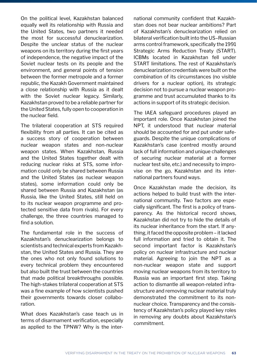On the political level, Kazakhstan balanced equally well its relationship with Russia and the United States, two partners it needed the most for successful denuclearization. Despite the unclear status of the nuclear weapons on its territory during the first years of independence, the negative impact of the Soviet nuclear tests on its people and the environment, and general points of tension between the former metropole and a former republic, the Kazakh Government maintained a close relationship with Russia as it dealt with the Soviet nuclear legacy. Similarly, Kazakhstan proved to be a reliable partner for the United States, fully open to cooperation in the nuclear field.

The trilateral cooperation at STS required flexibility from all parties. It can be cited as a success story of cooperation between nuclear weapon states and non-nuclear weapon states. When Kazakhstan, Russia and the United States together dealt with reducing nuclear risks at STS, some information could only be shared between Russia and the United States (as nuclear weapon states), some information could only be shared between Russia and Kazakhstan (as Russia, like the United States, still held on to its nuclear weapon programme and protected sensitive data from rivals). For every challenge, the three countries managed to find a solution.

The fundamental role in the success of Kazakhstan's denuclearization belongs to scientists and technical experts from Kazakhstan, the United States and Russia. They are the ones who not only found solutions to every technical problem they encountered but also built the trust between the countries that made political breakthroughs possible. The high-stakes trilateral cooperation at STS was a fine example of how scientists pushed their governments towards closer collaboration.

What does Kazakhstan's case teach us in terms of disarmament verification, especially as applied to the TPNW? Why is the international community confident that Kazakhstan does not bear nuclear ambitions? Part of Kazakhstan's denuclearization relied on bilateral verification built into the US–Russian arms control framework, specifically the 1991 Strategic Arms Reduction Treaty (START). ICBMs located in Kazakhstan fell under START limitations. The rest of Kazakhstan's denuclearization credentials were built on the combination of its circumstances (no visible drivers for a nuclear option), its strategic decision not to pursue a nuclear weapon programme and trust accumulated thanks to its actions in support of its strategic decision.

The IAEA safeguard procedures played an important role. Once Kazakhstan joined the NPT, it understood that nuclear material should be accounted for and put under safeguards. Despite the unique complications of Kazakhstan's case (centred mostly around lack of full information and unique challenges of securing nuclear material at a former nuclear test site, etc.) and necessity to improvise on the go, Kazakhstan and its international partners found ways.

Once Kazakhstan made the decision, its actions helped to build trust with the international community. Two factors are especially significant. The first is a policy of transparency. As the historical record shows, Kazakhstan did not try to hide the details of its nuclear inheritance from the start. If anything, it faced the opposite problem – it lacked full information and tried to obtain it. The second important factor is Kazakhstan's policy on nuclear infrastructure and nuclear material. Agreeing to join the NPT as a non-nuclear weapon state and support moving nuclear weapons from its territory to Russia was an important first step. Taking action to dismantle all weapon-related infrastructure and removing nuclear material truly demonstrated the commitment to its nonnuclear choice. Transparency and the consistency of Kazakhstan's policy played key roles in removing any doubts about Kazakhstan's commitment.